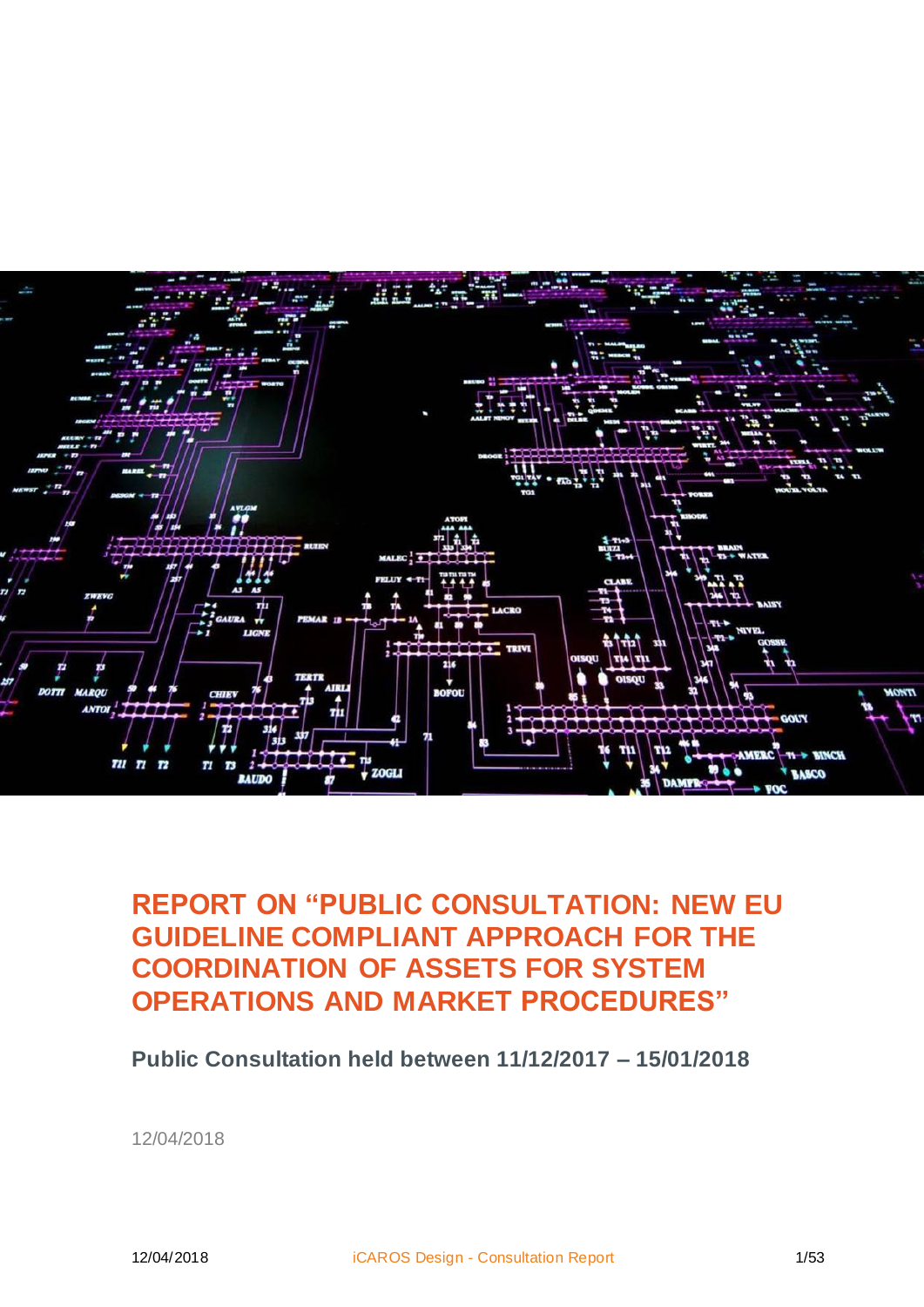

## **REPORT ON "PUBLIC CONSULTATION: NEW EU GUIDELINE COMPLIANT APPROACH FOR THE COORDINATION OF ASSETS FOR SYSTEM OPERATIONS AND MARKET PROCEDURES"**

**Public Consultation held between 11/12/2017 – 15/01/2018**

12/04/2018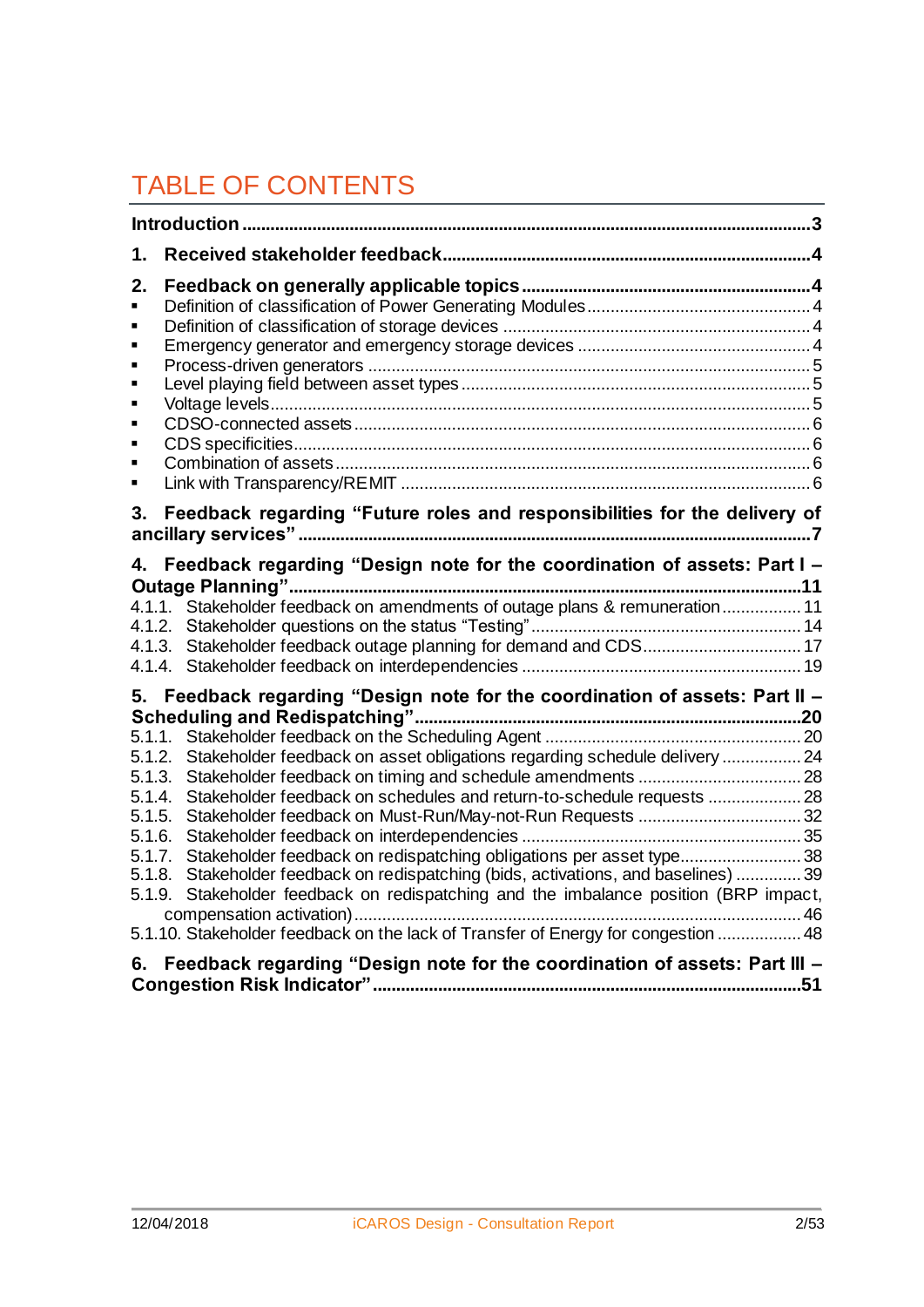# TABLE OF CONTENTS

| 1.                                                                                     |                                                                                                                                                                                                                                                                                                                                                                                                                                                                                |  |
|----------------------------------------------------------------------------------------|--------------------------------------------------------------------------------------------------------------------------------------------------------------------------------------------------------------------------------------------------------------------------------------------------------------------------------------------------------------------------------------------------------------------------------------------------------------------------------|--|
| 2.<br>٠<br>٠<br>п<br>٠<br>٠<br>٠<br>٠<br>п<br>٠                                        |                                                                                                                                                                                                                                                                                                                                                                                                                                                                                |  |
| 3.                                                                                     | Feedback regarding "Future roles and responsibilities for the delivery of                                                                                                                                                                                                                                                                                                                                                                                                      |  |
| 4.                                                                                     | Feedback regarding "Design note for the coordination of assets: Part I -<br>4.1.1. Stakeholder feedback on amendments of outage plans & remuneration 11<br>4.1.3. Stakeholder feedback outage planning for demand and CDS 17                                                                                                                                                                                                                                                   |  |
|                                                                                        | 5. Feedback regarding "Design note for the coordination of assets: Part II -                                                                                                                                                                                                                                                                                                                                                                                                   |  |
| 5.1.1.<br>5.1.2.<br>5.1.3.<br>5.1.4.<br>5.1.5.<br>5.1.6.<br>5.1.7.<br>5.1.8.<br>5.1.9. | Stakeholder feedback on asset obligations regarding schedule delivery  24<br>Stakeholder feedback on schedules and return-to-schedule requests  28<br>Stakeholder feedback on redispatching obligations per asset type38<br>Stakeholder feedback on redispatching (bids, activations, and baselines)  39<br>Stakeholder feedback on redispatching and the imbalance position (BRP impact,<br>5.1.10. Stakeholder feedback on the lack of Transfer of Energy for congestion  48 |  |
| 6.                                                                                     | Feedback regarding "Design note for the coordination of assets: Part III -                                                                                                                                                                                                                                                                                                                                                                                                     |  |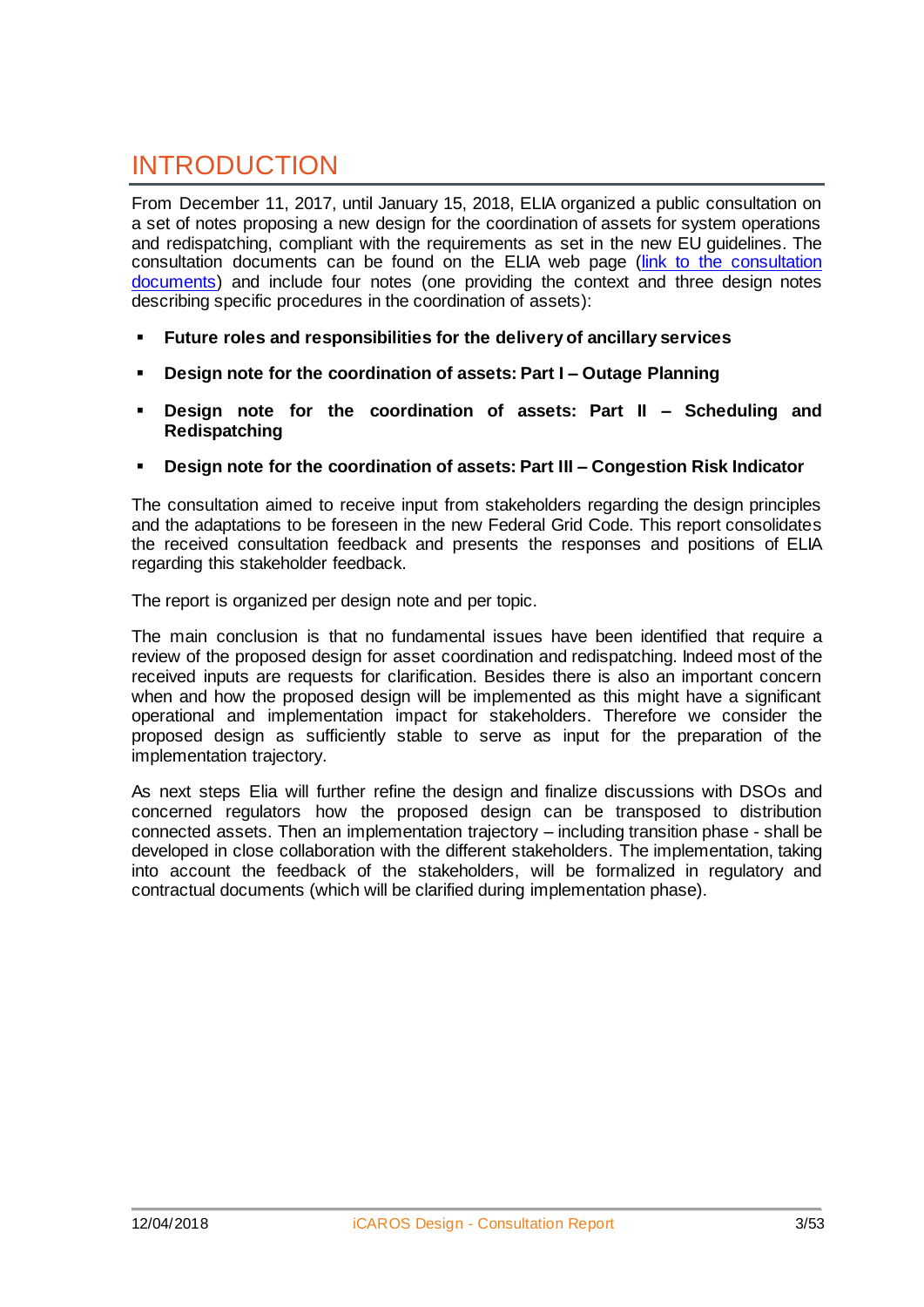## INTRODUCTION

From December 11, 2017, until January 15, 2018, ELIA organized a public consultation on a set of notes proposing a new design for the coordination of assets for system operations and redispatching, compliant with the requirements as set in the new EU guidelines. The consultation documents can be found on the ELIA web page [\(link to the consultation](http://www.elia.be/en/about-elia/publications/Public-Consultation/New-eu-guideline-compliant-approach-for-the-coordination)  [documents\)](http://www.elia.be/en/about-elia/publications/Public-Consultation/New-eu-guideline-compliant-approach-for-the-coordination) and include four notes (one providing the context and three design notes describing specific procedures in the coordination of assets):

- **Future roles and responsibilities for the delivery of ancillary services**
- **Design note for the coordination of assets: Part I – Outage Planning**
- **Design note for the coordination of assets: Part II – Scheduling and Redispatching**
- **Design note for the coordination of assets: Part III – Congestion Risk Indicator**

The consultation aimed to receive input from stakeholders regarding the design principles and the adaptations to be foreseen in the new Federal Grid Code. This report consolidates the received consultation feedback and presents the responses and positions of ELIA regarding this stakeholder feedback.

The report is organized per design note and per topic.

The main conclusion is that no fundamental issues have been identified that require a review of the proposed design for asset coordination and redispatching. Indeed most of the received inputs are requests for clarification. Besides there is also an important concern when and how the proposed design will be implemented as this might have a significant operational and implementation impact for stakeholders. Therefore we consider the proposed design as sufficiently stable to serve as input for the preparation of the implementation trajectory.

As next steps Elia will further refine the design and finalize discussions with DSOs and concerned regulators how the proposed design can be transposed to distribution connected assets. Then an implementation trajectory – including transition phase - shall be developed in close collaboration with the different stakeholders. The implementation, taking into account the feedback of the stakeholders, will be formalized in regulatory and contractual documents (which will be clarified during implementation phase).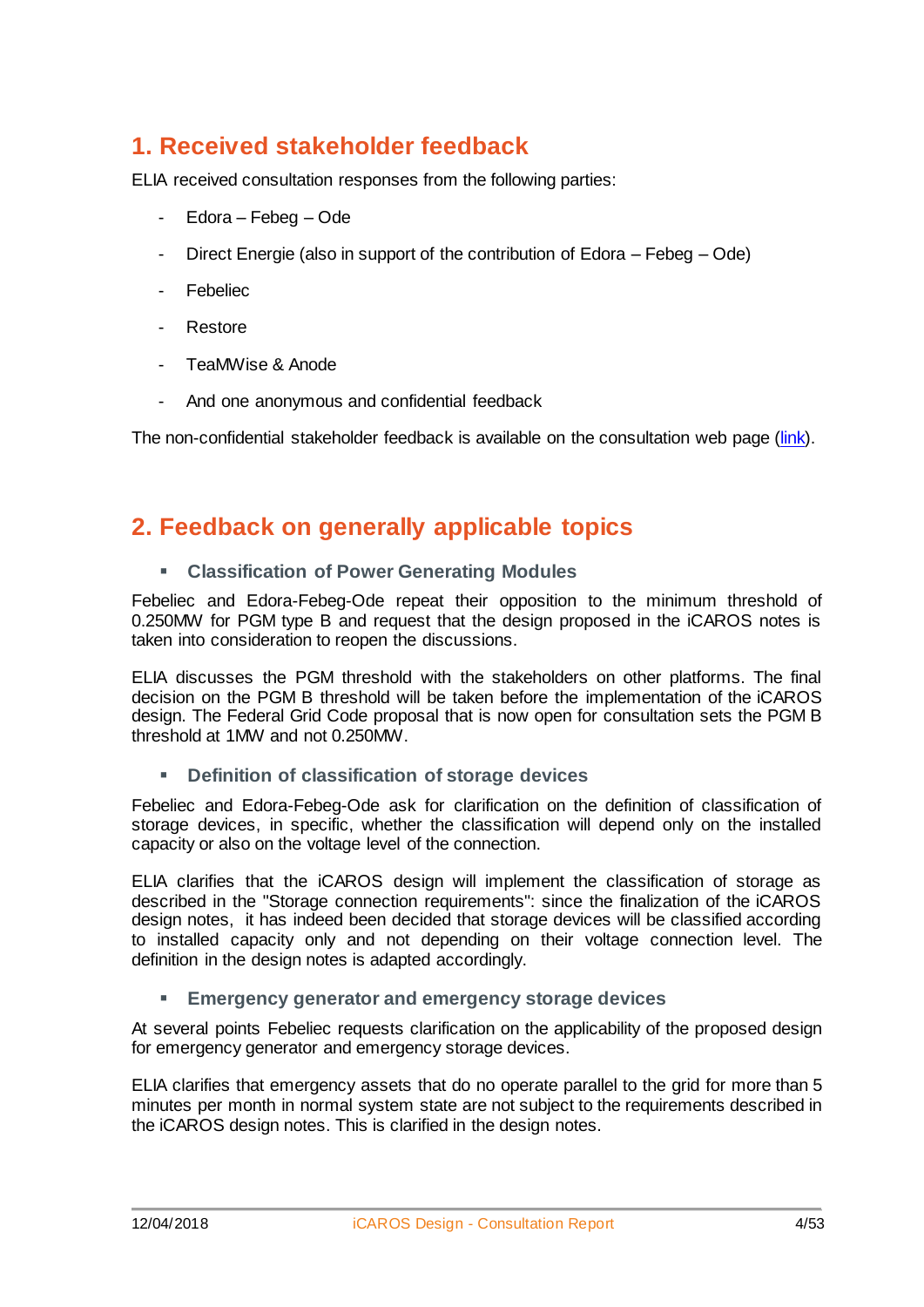### **1. Received stakeholder feedback**

ELIA received consultation responses from the following parties:

- Edora Febeg Ode
- Direct Energie (also in support of the contribution of Edora Febeg Ode)
- Febeliec
- Restore
- TeaMWise & Anode
- And one anonymous and confidential feedback

The non-confidential stakeholder feedback is available on the consultation web page [\(link\)](http://www.elia.be/en/about-elia/publications/Public-Consultation/New-eu-guideline-compliant-approach-for-the-coordination).

#### **2. Feedback on generally applicable topics**

**Classification of Power Generating Modules**

Febeliec and Edora-Febeg-Ode repeat their opposition to the minimum threshold of 0.250MW for PGM type B and request that the design proposed in the iCAROS notes is taken into consideration to reopen the discussions.

ELIA discusses the PGM threshold with the stakeholders on other platforms. The final decision on the PGM B threshold will be taken before the implementation of the iCAROS design. The Federal Grid Code proposal that is now open for consultation sets the PGM B threshold at 1MW and not 0.250MW.

**Definition of classification of storage devices**

Febeliec and Edora-Febeg-Ode ask for clarification on the definition of classification of storage devices, in specific, whether the classification will depend only on the installed capacity or also on the voltage level of the connection.

ELIA clarifies that the iCAROS design will implement the classification of storage as described in the "Storage connection requirements": since the finalization of the iCAROS design notes, it has indeed been decided that storage devices will be classified according to installed capacity only and not depending on their voltage connection level. The definition in the design notes is adapted accordingly.

#### **Emergency generator and emergency storage devices**

At several points Febeliec requests clarification on the applicability of the proposed design for emergency generator and emergency storage devices.

ELIA clarifies that emergency assets that do no operate parallel to the grid for more than 5 minutes per month in normal system state are not subject to the requirements described in the iCAROS design notes. This is clarified in the design notes.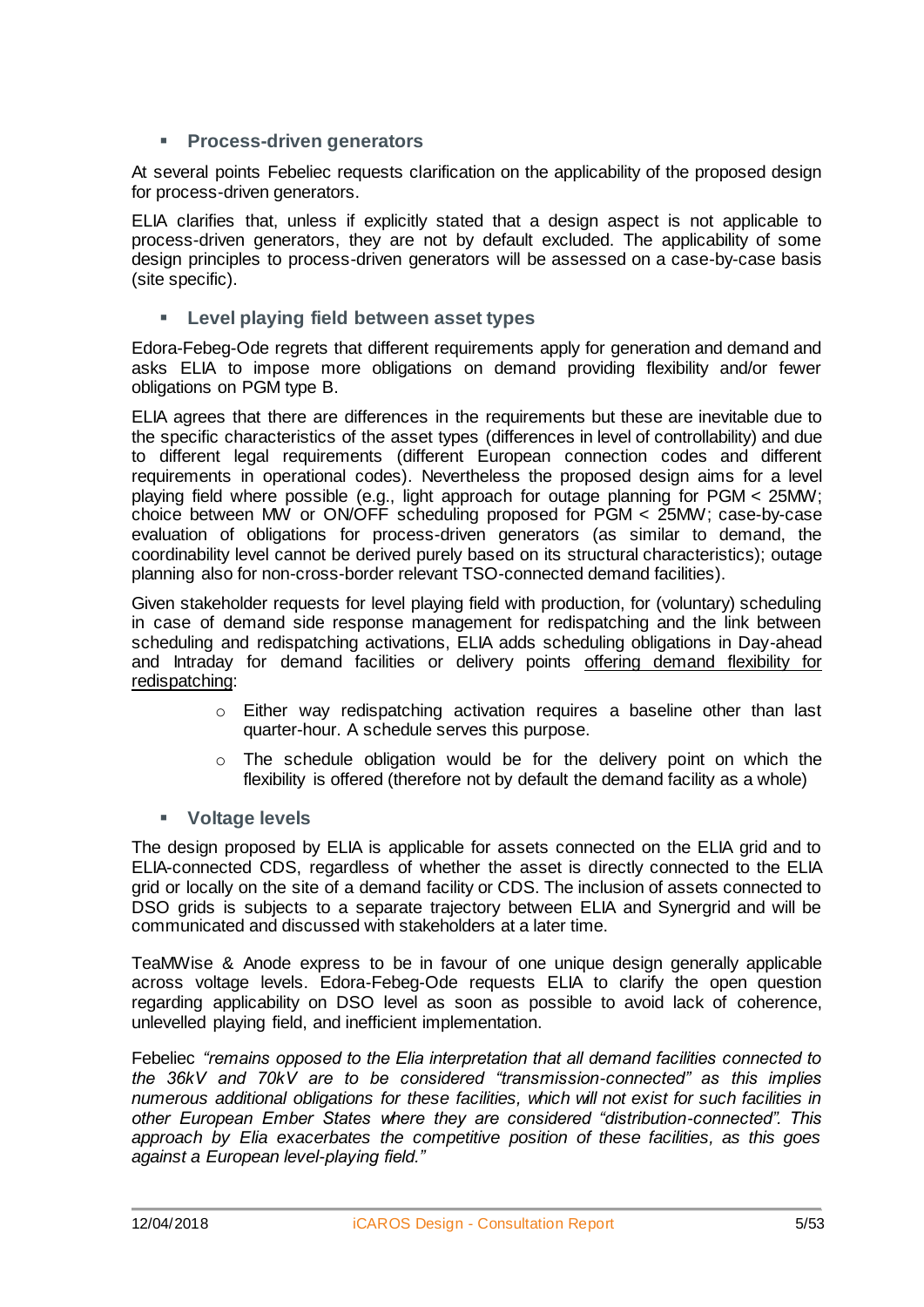#### **Process-driven generators**

At several points Febeliec requests clarification on the applicability of the proposed design for process-driven generators.

ELIA clarifies that, unless if explicitly stated that a design aspect is not applicable to process-driven generators, they are not by default excluded. The applicability of some design principles to process-driven generators will be assessed on a case-by-case basis (site specific).

#### **Level playing field between asset types**

Edora-Febeg-Ode regrets that different requirements apply for generation and demand and asks ELIA to impose more obligations on demand providing flexibility and/or fewer obligations on PGM type B.

ELIA agrees that there are differences in the requirements but these are inevitable due to the specific characteristics of the asset types (differences in level of controllability) and due to different legal requirements (different European connection codes and different requirements in operational codes). Nevertheless the proposed design aims for a level playing field where possible (e.g., light approach for outage planning for PGM < 25MW; choice between MW or ON/OFF scheduling proposed for PGM < 25MW; case-by-case evaluation of obligations for process-driven generators (as similar to demand, the coordinability level cannot be derived purely based on its structural characteristics); outage planning also for non-cross-border relevant TSO-connected demand facilities).

Given stakeholder requests for level playing field with production, for (voluntary) scheduling in case of demand side response management for redispatching and the link between scheduling and redispatching activations, ELIA adds scheduling obligations in Day-ahead and Intraday for demand facilities or delivery points offering demand flexibility for redispatching:

- o Either way redispatching activation requires a baseline other than last quarter-hour. A schedule serves this purpose.
- $\circ$  The schedule obligation would be for the delivery point on which the flexibility is offered (therefore not by default the demand facility as a whole)

#### **Voltage levels**

The design proposed by ELIA is applicable for assets connected on the ELIA grid and to ELIA-connected CDS, regardless of whether the asset is directly connected to the ELIA grid or locally on the site of a demand facility or CDS. The inclusion of assets connected to DSO grids is subjects to a separate trajectory between ELIA and Synergrid and will be communicated and discussed with stakeholders at a later time.

TeaMWise & Anode express to be in favour of one unique design generally applicable across voltage levels. Edora-Febeg-Ode requests ELIA to clarify the open question regarding applicability on DSO level as soon as possible to avoid lack of coherence, unlevelled playing field, and inefficient implementation.

Febeliec *"remains opposed to the Elia interpretation that all demand facilities connected to the 36kV and 70kV are to be considered "transmission-connected" as this implies numerous additional obligations for these facilities, which will not exist for such facilities in other European Ember States where they are considered "distribution-connected". This approach by Elia exacerbates the competitive position of these facilities, as this goes against a European level-playing field."*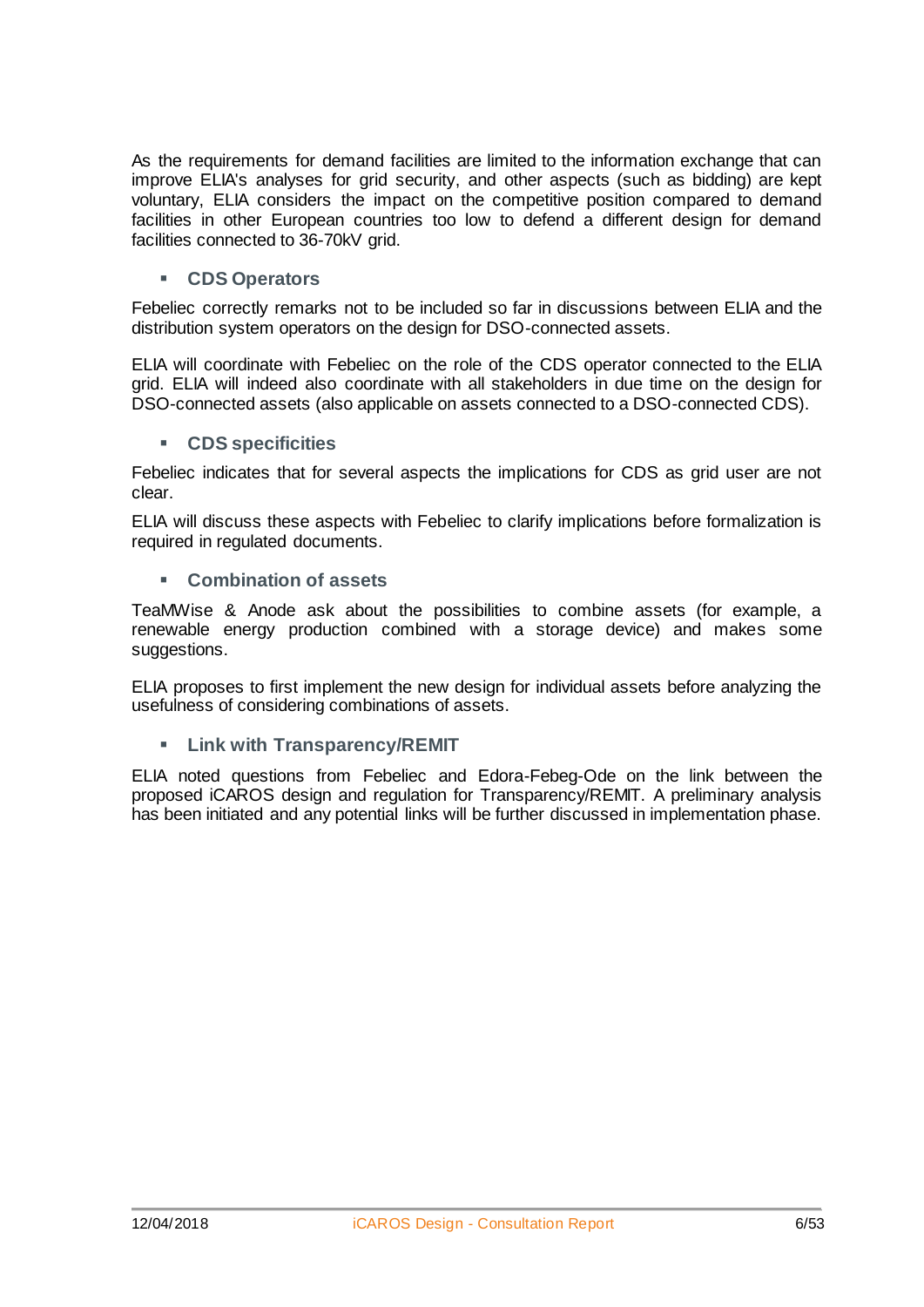As the requirements for demand facilities are limited to the information exchange that can improve ELIA's analyses for grid security, and other aspects (such as bidding) are kept voluntary, ELIA considers the impact on the competitive position compared to demand facilities in other European countries too low to defend a different design for demand facilities connected to 36-70kV grid.

#### **CDS Operators**

Febeliec correctly remarks not to be included so far in discussions between ELIA and the distribution system operators on the design for DSO-connected assets.

ELIA will coordinate with Febeliec on the role of the CDS operator connected to the ELIA grid. ELIA will indeed also coordinate with all stakeholders in due time on the design for DSO-connected assets (also applicable on assets connected to a DSO-connected CDS).

#### **CDS specificities**

Febeliec indicates that for several aspects the implications for CDS as grid user are not clear.

ELIA will discuss these aspects with Febeliec to clarify implications before formalization is required in regulated documents.

**Combination of assets**

TeaMWise & Anode ask about the possibilities to combine assets (for example, a renewable energy production combined with a storage device) and makes some suggestions.

ELIA proposes to first implement the new design for individual assets before analyzing the usefulness of considering combinations of assets.

**Link with Transparency/REMIT**

ELIA noted questions from Febeliec and Edora-Febeg-Ode on the link between the proposed iCAROS design and regulation for Transparency/REMIT. A preliminary analysis has been initiated and any potential links will be further discussed in implementation phase.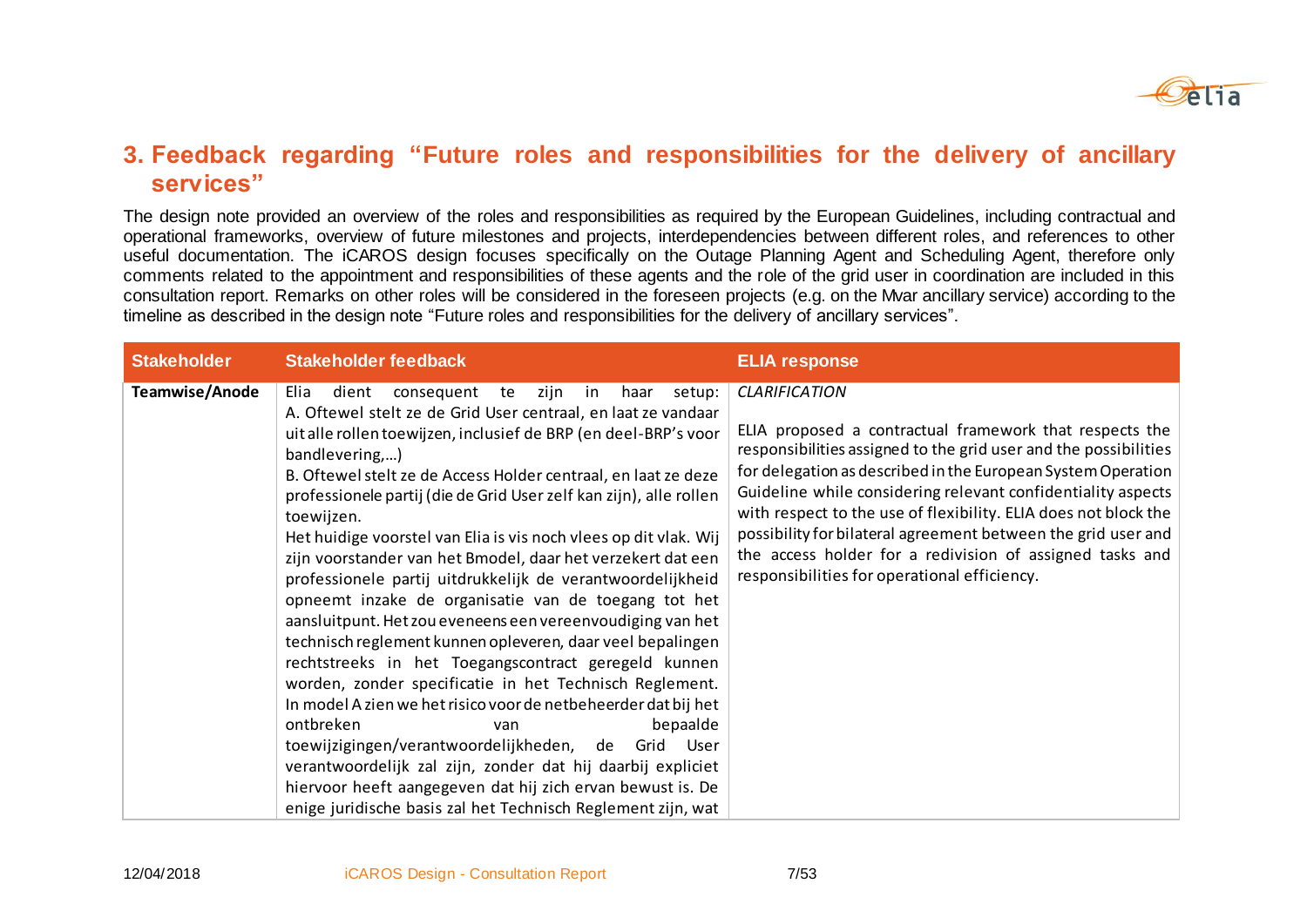

#### **3. Feedback regarding "Future roles and responsibilities for the delivery of ancillary services"**

The design note provided an overview of the roles and responsibilities as required by the European Guidelines, including contractual and operational frameworks, overview of future milestones and projects, interdependencies between different roles, and references to other useful documentation. The iCAROS design focuses specifically on the Outage Planning Agent and Scheduling Agent, therefore only comments related to the appointment and responsibilities of these agents and the role of the grid user in coordination are included in this consultation report. Remarks on other roles will be considered in the foreseen projects (e.g. on the Mvar ancillary service) according to the timeline as described in the design note "Future roles and responsibilities for the delivery of ancillary services".

| <b>Stakeholder</b> | <b>Stakeholder feedback</b>                                                                                                                                                                                                                                                                                                                                                                                                                                                                                                                                                                                                                                                                                                                                                                                                                                                                                                                                                                                                                                                                                                                                                                                                                   | <b>ELIA response</b>                                                                                                                                                                                                                                                                                                                                                                                                                                                                                                                |
|--------------------|-----------------------------------------------------------------------------------------------------------------------------------------------------------------------------------------------------------------------------------------------------------------------------------------------------------------------------------------------------------------------------------------------------------------------------------------------------------------------------------------------------------------------------------------------------------------------------------------------------------------------------------------------------------------------------------------------------------------------------------------------------------------------------------------------------------------------------------------------------------------------------------------------------------------------------------------------------------------------------------------------------------------------------------------------------------------------------------------------------------------------------------------------------------------------------------------------------------------------------------------------|-------------------------------------------------------------------------------------------------------------------------------------------------------------------------------------------------------------------------------------------------------------------------------------------------------------------------------------------------------------------------------------------------------------------------------------------------------------------------------------------------------------------------------------|
| Teamwise/Anode     | zijn<br>haar<br>setup:<br>dient<br>consequent<br>in<br>Elia<br>te<br>A. Oftewel stelt ze de Grid User centraal, en laat ze vandaar<br>uit alle rollen toewijzen, inclusief de BRP (en deel-BRP's voor<br>bandlevering,)<br>B. Oftewel stelt ze de Access Holder centraal, en laat ze deze<br>professionele partij (die de Grid User zelf kan zijn), alle rollen<br>toewijzen.<br>Het huidige voorstel van Elia is vis noch vlees op dit vlak. Wij<br>zijn voorstander van het Bmodel, daar het verzekert dat een<br>professionele partij uitdrukkelijk de verantwoordelijkheid<br>opneemt inzake de organisatie van de toegang tot het<br>aansluitpunt. Het zou eveneens een vereenvoudiging van het<br>technisch reglement kunnen opleveren, daar veel bepalingen<br>rechtstreeks in het Toegangscontract geregeld kunnen<br>worden, zonder specificatie in het Technisch Reglement.<br>In model A zien we het risico voor de netbeheerder dat bij het<br>ontbreken<br>bepaalde<br>van<br>toewijzigingen/verantwoordelijkheden, de Grid<br>User<br>verantwoordelijk zal zijn, zonder dat hij daarbij expliciet<br>hiervoor heeft aangegeven dat hij zich ervan bewust is. De<br>enige juridische basis zal het Technisch Reglement zijn, wat | <b>CLARIFICATION</b><br>ELIA proposed a contractual framework that respects the<br>responsibilities assigned to the grid user and the possibilities<br>for delegation as described in the European System Operation<br>Guideline while considering relevant confidentiality aspects<br>with respect to the use of flexibility. ELIA does not block the<br>possibility for bilateral agreement between the grid user and<br>the access holder for a redivision of assigned tasks and<br>responsibilities for operational efficiency. |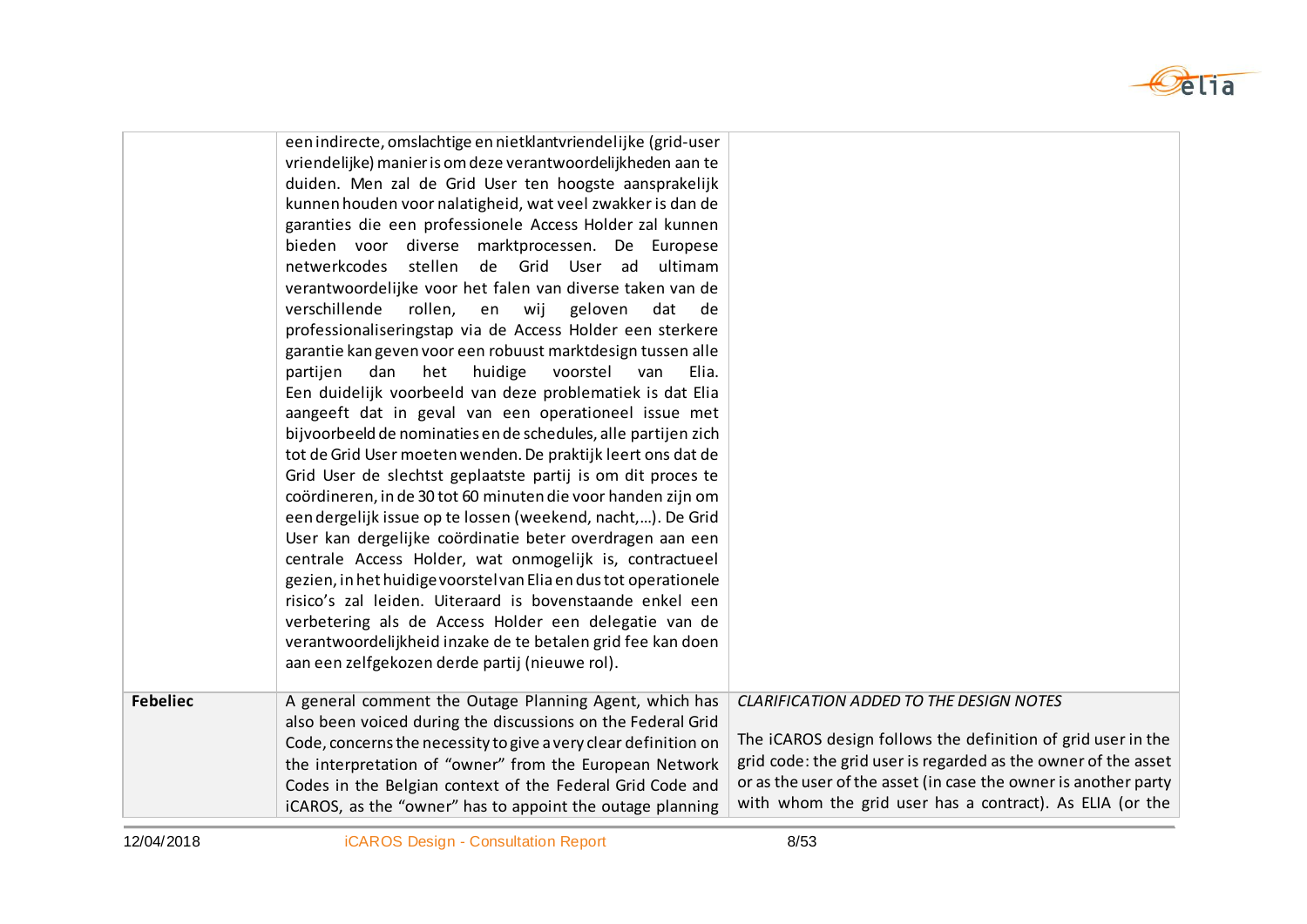

|                 | een indirecte, omslachtige en nietklantvriendelijke (grid-user<br>vriendelijke) manier is om deze verantwoordelijkheden aan te<br>duiden. Men zal de Grid User ten hoogste aansprakelijk<br>kunnen houden voor nalatigheid, wat veel zwakker is dan de<br>garanties die een professionele Access Holder zal kunnen<br>bieden voor diverse marktprocessen. De Europese<br>netwerkcodes stellen<br>de Grid User ad<br>ultimam<br>verantwoordelijke voor het falen van diverse taken van de<br>verschillende<br>rollen, en wij<br>geloven<br>dat<br>de<br>professionaliseringstap via de Access Holder een sterkere<br>garantie kan geven voor een robuust marktdesign tussen alle<br>partijen<br>het<br>huidige<br>voorstel<br>dan<br>Elia.<br>van<br>Een duidelijk voorbeeld van deze problematiek is dat Elia<br>aangeeft dat in geval van een operationeel issue met<br>bijvoorbeeld de nominaties en de schedules, alle partijen zich<br>tot de Grid User moeten wenden. De praktijk leert ons dat de<br>Grid User de slechtst geplaatste partij is om dit proces te<br>coördineren, in de 30 tot 60 minuten die voor handen zijn om<br>een dergelijk issue op te lossen (weekend, nacht,). De Grid<br>User kan dergelijke coördinatie beter overdragen aan een<br>centrale Access Holder, wat onmogelijk is, contractueel<br>gezien, in het huidige voorstel van Elia en dus tot operationele<br>risico's zal leiden. Uiteraard is bovenstaande enkel een<br>verbetering als de Access Holder een delegatie van de<br>verantwoordelijkheid inzake de te betalen grid fee kan doen<br>aan een zelfgekozen derde partij (nieuwe rol). |                                                                                                                                                                                                                                                                                                          |
|-----------------|----------------------------------------------------------------------------------------------------------------------------------------------------------------------------------------------------------------------------------------------------------------------------------------------------------------------------------------------------------------------------------------------------------------------------------------------------------------------------------------------------------------------------------------------------------------------------------------------------------------------------------------------------------------------------------------------------------------------------------------------------------------------------------------------------------------------------------------------------------------------------------------------------------------------------------------------------------------------------------------------------------------------------------------------------------------------------------------------------------------------------------------------------------------------------------------------------------------------------------------------------------------------------------------------------------------------------------------------------------------------------------------------------------------------------------------------------------------------------------------------------------------------------------------------------------------------------------------------------------------------------------------|----------------------------------------------------------------------------------------------------------------------------------------------------------------------------------------------------------------------------------------------------------------------------------------------------------|
| <b>Febeliec</b> | A general comment the Outage Planning Agent, which has<br>also been voiced during the discussions on the Federal Grid<br>Code, concerns the necessity to give a very clear definition on<br>the interpretation of "owner" from the European Network<br>Codes in the Belgian context of the Federal Grid Code and<br>iCAROS, as the "owner" has to appoint the outage planning                                                                                                                                                                                                                                                                                                                                                                                                                                                                                                                                                                                                                                                                                                                                                                                                                                                                                                                                                                                                                                                                                                                                                                                                                                                          | CLARIFICATION ADDED TO THE DESIGN NOTES<br>The iCAROS design follows the definition of grid user in the<br>grid code: the grid user is regarded as the owner of the asset<br>or as the user of the asset (in case the owner is another party<br>with whom the grid user has a contract). As ELIA (or the |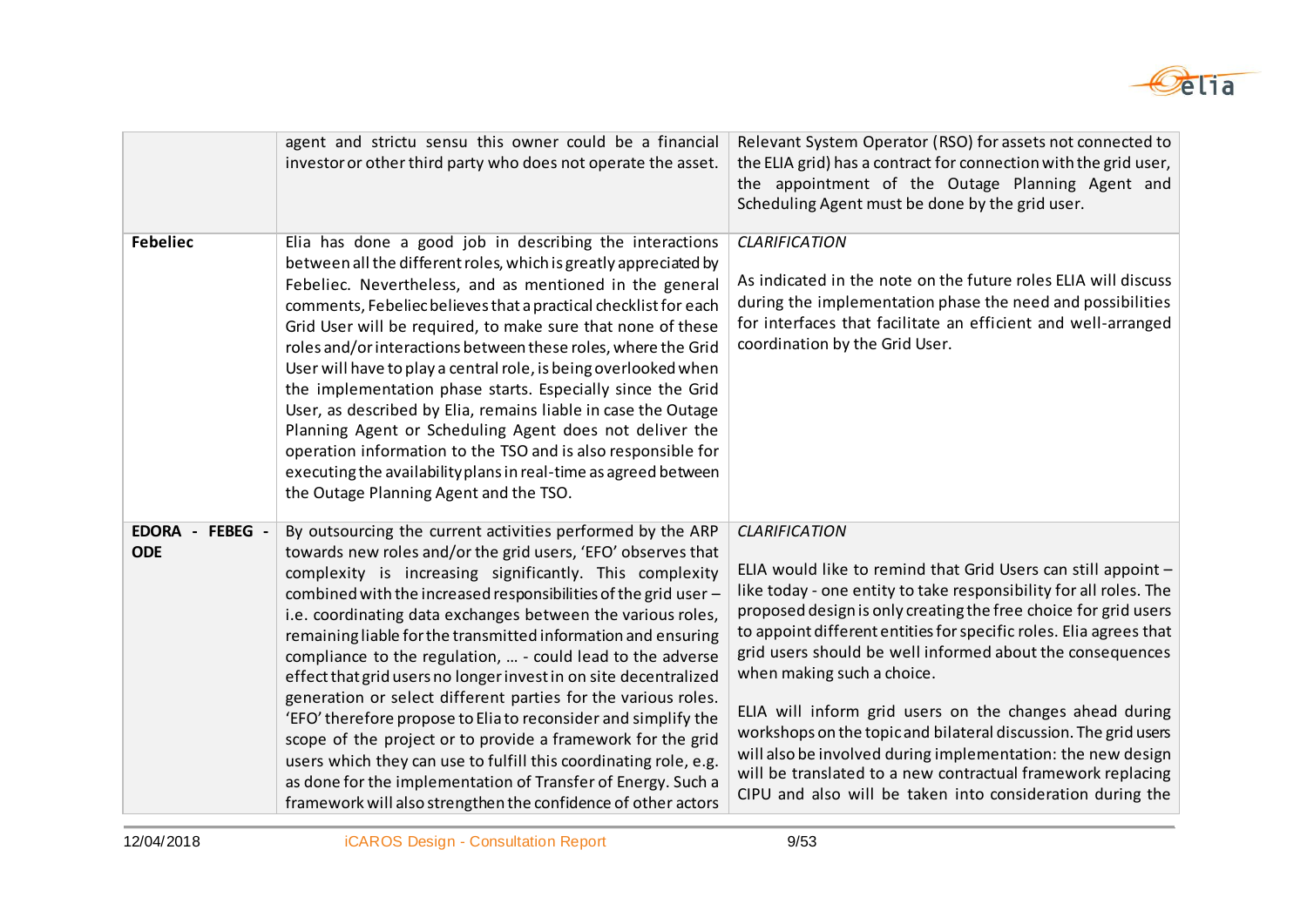

|                                  | agent and strictu sensu this owner could be a financial<br>investor or other third party who does not operate the asset.                                                                                                                                                                                                                                                                                                                                                                                                                                                                                                                                                                                                                                                                                                                                                                                                          | Relevant System Operator (RSO) for assets not connected to<br>the ELIA grid) has a contract for connection with the grid user,<br>the appointment of the Outage Planning Agent and<br>Scheduling Agent must be done by the grid user.                                                                                                                                                                                                                                                                                                                                                                                                                                                                                   |
|----------------------------------|-----------------------------------------------------------------------------------------------------------------------------------------------------------------------------------------------------------------------------------------------------------------------------------------------------------------------------------------------------------------------------------------------------------------------------------------------------------------------------------------------------------------------------------------------------------------------------------------------------------------------------------------------------------------------------------------------------------------------------------------------------------------------------------------------------------------------------------------------------------------------------------------------------------------------------------|-------------------------------------------------------------------------------------------------------------------------------------------------------------------------------------------------------------------------------------------------------------------------------------------------------------------------------------------------------------------------------------------------------------------------------------------------------------------------------------------------------------------------------------------------------------------------------------------------------------------------------------------------------------------------------------------------------------------------|
| <b>Febeliec</b>                  | Elia has done a good job in describing the interactions<br>between all the different roles, which is greatly appreciated by<br>Febeliec. Nevertheless, and as mentioned in the general<br>comments, Febeliec believes that a practical checklist for each<br>Grid User will be required, to make sure that none of these<br>roles and/or interactions between these roles, where the Grid<br>User will have to play a central role, is being overlooked when<br>the implementation phase starts. Especially since the Grid<br>User, as described by Elia, remains liable in case the Outage<br>Planning Agent or Scheduling Agent does not deliver the<br>operation information to the TSO and is also responsible for<br>executing the availability plans in real-time as agreed between<br>the Outage Planning Agent and the TSO.                                                                                               | <b>CLARIFICATION</b><br>As indicated in the note on the future roles ELIA will discuss<br>during the implementation phase the need and possibilities<br>for interfaces that facilitate an efficient and well-arranged<br>coordination by the Grid User.                                                                                                                                                                                                                                                                                                                                                                                                                                                                 |
| EDORA -<br>FEBEG -<br><b>ODE</b> | By outsourcing the current activities performed by the ARP<br>towards new roles and/or the grid users, 'EFO' observes that<br>complexity is increasing significantly. This complexity<br>combined with the increased responsibilities of the grid user -<br>i.e. coordinating data exchanges between the various roles,<br>remaining liable for the transmitted information and ensuring<br>compliance to the regulation,  - could lead to the adverse<br>effect that grid users no longer invest in on site decentralized<br>generation or select different parties for the various roles.<br>'EFO' therefore propose to Elia to reconsider and simplify the<br>scope of the project or to provide a framework for the grid<br>users which they can use to fulfill this coordinating role, e.g.<br>as done for the implementation of Transfer of Energy. Such a<br>framework will also strengthen the confidence of other actors | <b>CLARIFICATION</b><br>ELIA would like to remind that Grid Users can still appoint -<br>like today - one entity to take responsibility for all roles. The<br>proposed design is only creating the free choice for grid users<br>to appoint different entities for specific roles. Elia agrees that<br>grid users should be well informed about the consequences<br>when making such a choice.<br>ELIA will inform grid users on the changes ahead during<br>workshops on the topic and bilateral discussion. The grid users<br>will also be involved during implementation: the new design<br>will be translated to a new contractual framework replacing<br>CIPU and also will be taken into consideration during the |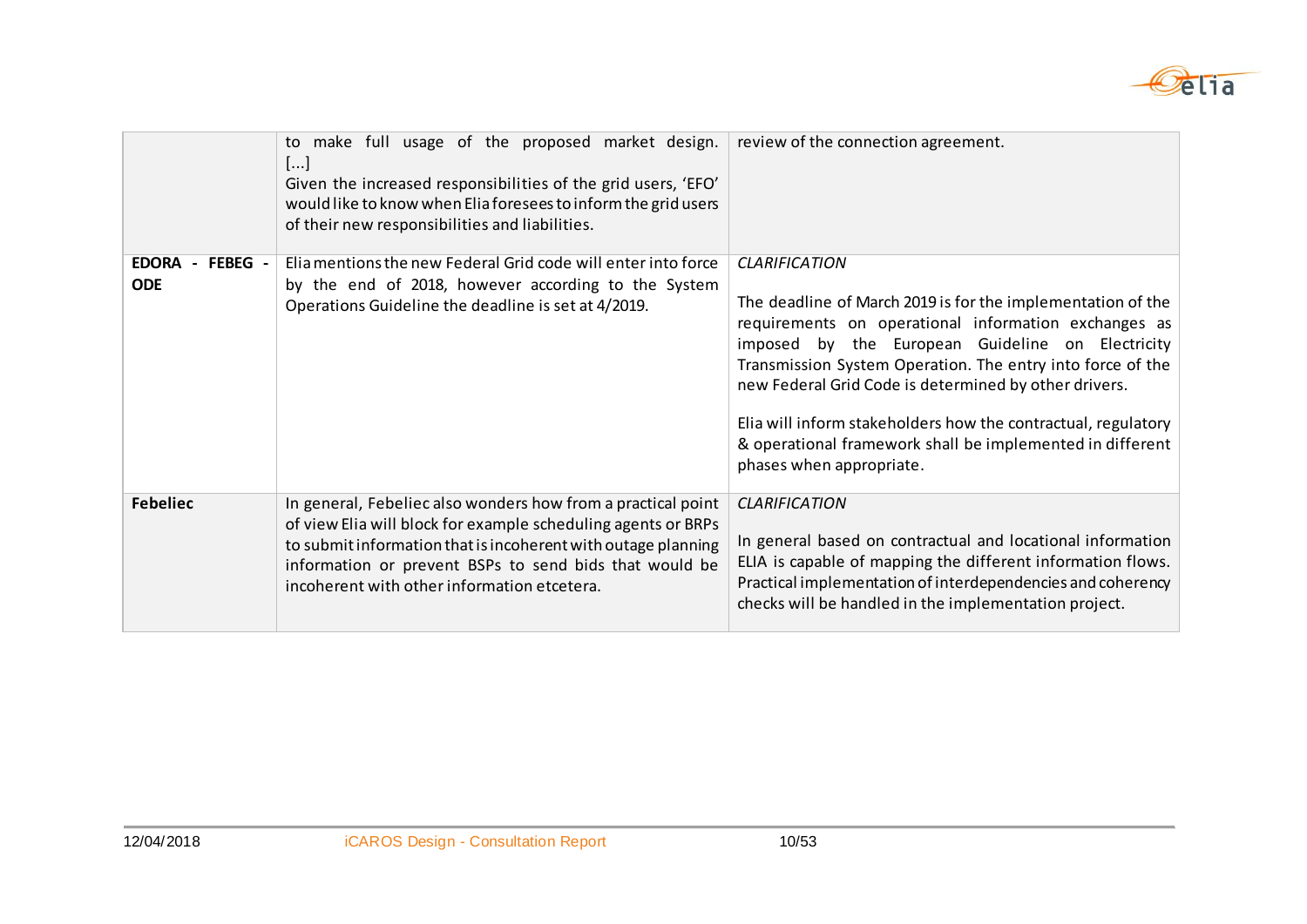

|                                         | to make full usage of the proposed market design.<br>[]<br>Given the increased responsibilities of the grid users, 'EFO'<br>would like to know when Elia foresees to inform the grid users<br>of their new responsibilities and liabilities.                                                            | review of the connection agreement.                                                                                                                                                                                                                                                                                                                                                                                                                                              |
|-----------------------------------------|---------------------------------------------------------------------------------------------------------------------------------------------------------------------------------------------------------------------------------------------------------------------------------------------------------|----------------------------------------------------------------------------------------------------------------------------------------------------------------------------------------------------------------------------------------------------------------------------------------------------------------------------------------------------------------------------------------------------------------------------------------------------------------------------------|
| <b>EDORA</b><br>- FEBEG -<br><b>ODE</b> | Elia mentions the new Federal Grid code will enter into force<br>by the end of 2018, however according to the System<br>Operations Guideline the deadline is set at 4/2019.                                                                                                                             | <b>CLARIFICATION</b><br>The deadline of March 2019 is for the implementation of the<br>requirements on operational information exchanges as<br>imposed by the European Guideline on Electricity<br>Transmission System Operation. The entry into force of the<br>new Federal Grid Code is determined by other drivers.<br>Elia will inform stakeholders how the contractual, regulatory<br>& operational framework shall be implemented in different<br>phases when appropriate. |
| <b>Febeliec</b>                         | In general, Febeliec also wonders how from a practical point<br>of view Elia will block for example scheduling agents or BRPs<br>to submit information that is incoherent with outage planning<br>information or prevent BSPs to send bids that would be<br>incoherent with other information etcetera. | <b>CLARIFICATION</b><br>In general based on contractual and locational information<br>ELIA is capable of mapping the different information flows.<br>Practical implementation of interdependencies and coherency<br>checks will be handled in the implementation project.                                                                                                                                                                                                        |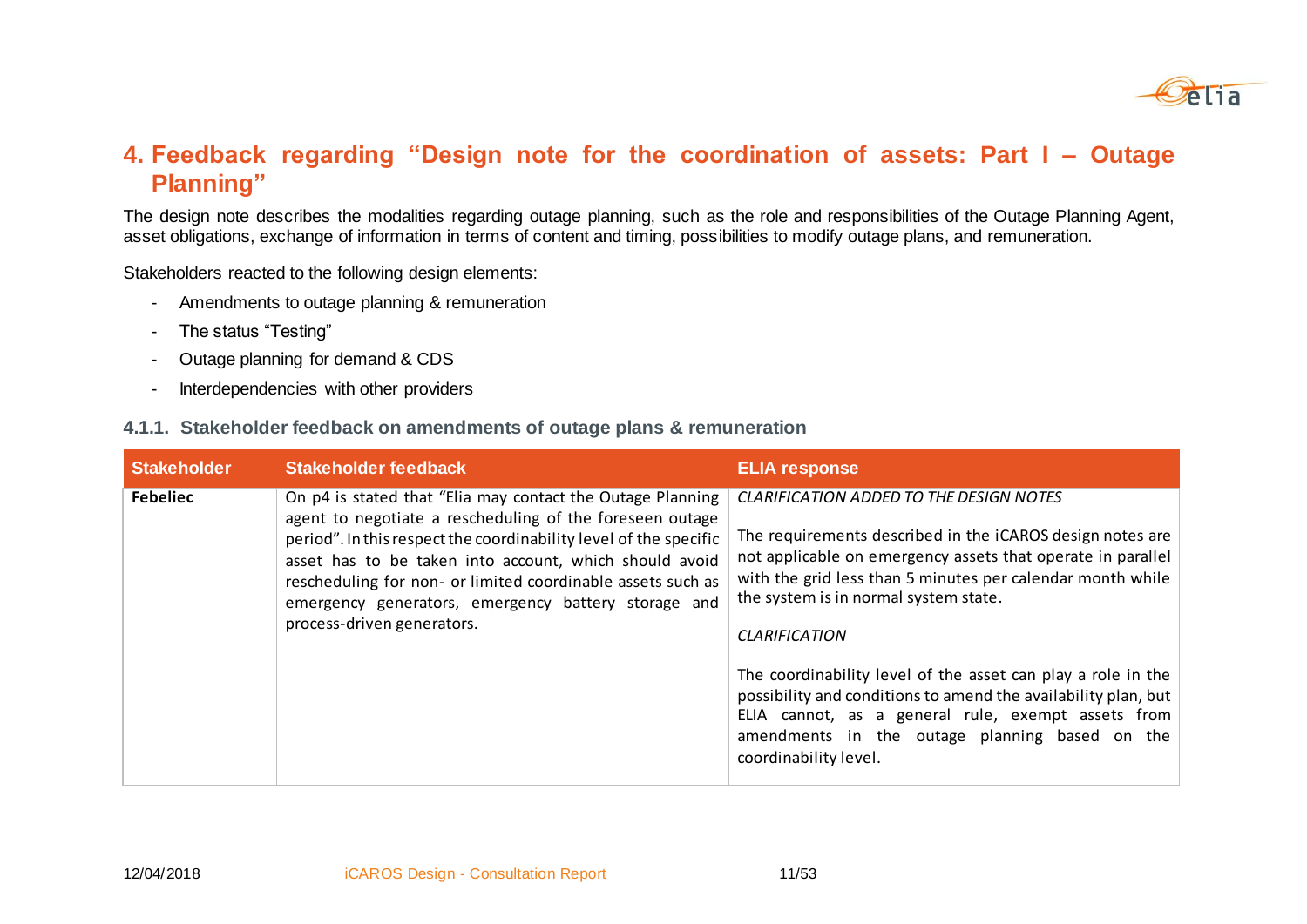

### **4. Feedback regarding "Design note for the coordination of assets: Part I – Outage Planning"**

The design note describes the modalities regarding outage planning, such as the role and responsibilities of the Outage Planning Agent, asset obligations, exchange of information in terms of content and timing, possibilities to modify outage plans, and remuneration.

Stakeholders reacted to the following design elements:

- Amendments to outage planning & remuneration
- The status "Testing"
- Outage planning for demand & CDS
- Interdependencies with other providers

#### **4.1.1. Stakeholder feedback on amendments of outage plans & remuneration**

| <b>Stakeholder</b> | <b>Stakeholder feedback</b>                                                                                                                                                                                                                                                                                                                                                                               | <b>ELIA response</b>                                                                                                                                                                                                                                                                                                                                                                                                                                                                                                                                                         |
|--------------------|-----------------------------------------------------------------------------------------------------------------------------------------------------------------------------------------------------------------------------------------------------------------------------------------------------------------------------------------------------------------------------------------------------------|------------------------------------------------------------------------------------------------------------------------------------------------------------------------------------------------------------------------------------------------------------------------------------------------------------------------------------------------------------------------------------------------------------------------------------------------------------------------------------------------------------------------------------------------------------------------------|
| <b>Febeliec</b>    | On p4 is stated that "Elia may contact the Outage Planning<br>agent to negotiate a rescheduling of the foreseen outage<br>period". In this respect the coordinability level of the specific<br>asset has to be taken into account, which should avoid<br>rescheduling for non- or limited coordinable assets such as<br>emergency generators, emergency battery storage and<br>process-driven generators. | <b>CLARIFICATION ADDED TO THE DESIGN NOTES</b><br>The requirements described in the iCAROS design notes are<br>not applicable on emergency assets that operate in parallel<br>with the grid less than 5 minutes per calendar month while<br>the system is in normal system state.<br><b>CLARIFICATION</b><br>The coordinability level of the asset can play a role in the<br>possibility and conditions to amend the availability plan, but<br>ELIA cannot, as a general rule, exempt assets from<br>amendments in the outage planning based on the<br>coordinability level. |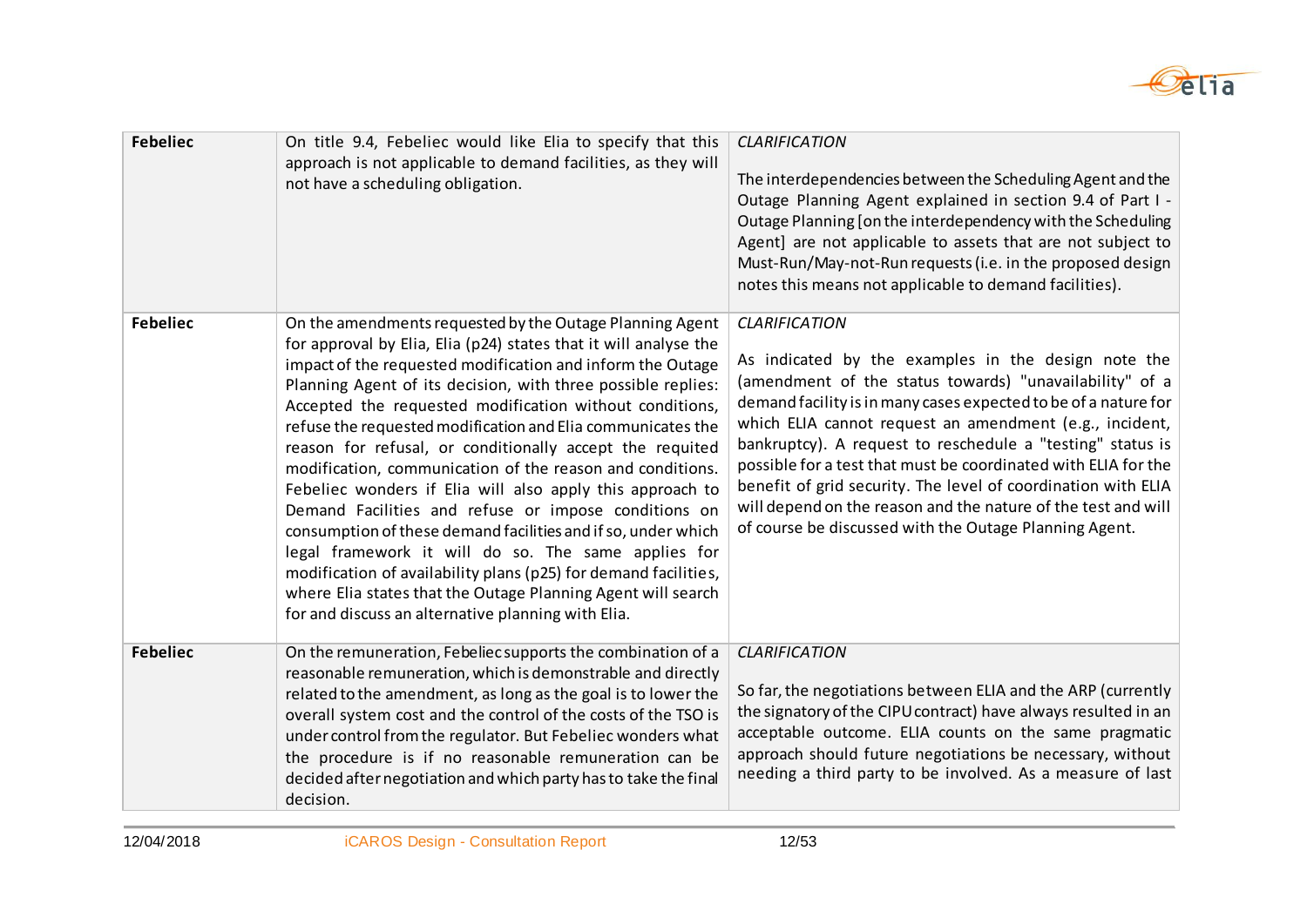

| <b>Febeliec</b> | On title 9.4, Febeliec would like Elia to specify that this<br>approach is not applicable to demand facilities, as they will<br>not have a scheduling obligation.                                                                                                                                                                                                                                                                                                                                                                                                                                                                                                                                                                                                                                                                                                                                                                                   | <b>CLARIFICATION</b><br>The interdependencies between the Scheduling Agent and the<br>Outage Planning Agent explained in section 9.4 of Part I -<br>Outage Planning [on the interdependency with the Scheduling<br>Agent] are not applicable to assets that are not subject to<br>Must-Run/May-not-Run requests (i.e. in the proposed design<br>notes this means not applicable to demand facilities).                                                                                                                                                                                           |
|-----------------|-----------------------------------------------------------------------------------------------------------------------------------------------------------------------------------------------------------------------------------------------------------------------------------------------------------------------------------------------------------------------------------------------------------------------------------------------------------------------------------------------------------------------------------------------------------------------------------------------------------------------------------------------------------------------------------------------------------------------------------------------------------------------------------------------------------------------------------------------------------------------------------------------------------------------------------------------------|--------------------------------------------------------------------------------------------------------------------------------------------------------------------------------------------------------------------------------------------------------------------------------------------------------------------------------------------------------------------------------------------------------------------------------------------------------------------------------------------------------------------------------------------------------------------------------------------------|
| <b>Febeliec</b> | On the amendments requested by the Outage Planning Agent<br>for approval by Elia, Elia (p24) states that it will analyse the<br>impact of the requested modification and inform the Outage<br>Planning Agent of its decision, with three possible replies:<br>Accepted the requested modification without conditions,<br>refuse the requested modification and Elia communicates the<br>reason for refusal, or conditionally accept the requited<br>modification, communication of the reason and conditions.<br>Febeliec wonders if Elia will also apply this approach to<br>Demand Facilities and refuse or impose conditions on<br>consumption of these demand facilities and if so, under which<br>legal framework it will do so. The same applies for<br>modification of availability plans (p25) for demand facilities,<br>where Elia states that the Outage Planning Agent will search<br>for and discuss an alternative planning with Elia. | <b>CLARIFICATION</b><br>As indicated by the examples in the design note the<br>(amendment of the status towards) "unavailability" of a<br>demand facility is in many cases expected to be of a nature for<br>which ELIA cannot request an amendment (e.g., incident,<br>bankruptcy). A request to reschedule a "testing" status is<br>possible for a test that must be coordinated with ELIA for the<br>benefit of grid security. The level of coordination with ELIA<br>will depend on the reason and the nature of the test and will<br>of course be discussed with the Outage Planning Agent. |
| <b>Febeliec</b> | On the remuneration, Febeliec supports the combination of a<br>reasonable remuneration, which is demonstrable and directly<br>related to the amendment, as long as the goal is to lower the<br>overall system cost and the control of the costs of the TSO is<br>under control from the regulator. But Febeliec wonders what<br>the procedure is if no reasonable remuneration can be<br>decided after negotiation and which party has to take the final<br>decision.                                                                                                                                                                                                                                                                                                                                                                                                                                                                               | <b>CLARIFICATION</b><br>So far, the negotiations between ELIA and the ARP (currently<br>the signatory of the CIPU contract) have always resulted in an<br>acceptable outcome. ELIA counts on the same pragmatic<br>approach should future negotiations be necessary, without<br>needing a third party to be involved. As a measure of last                                                                                                                                                                                                                                                       |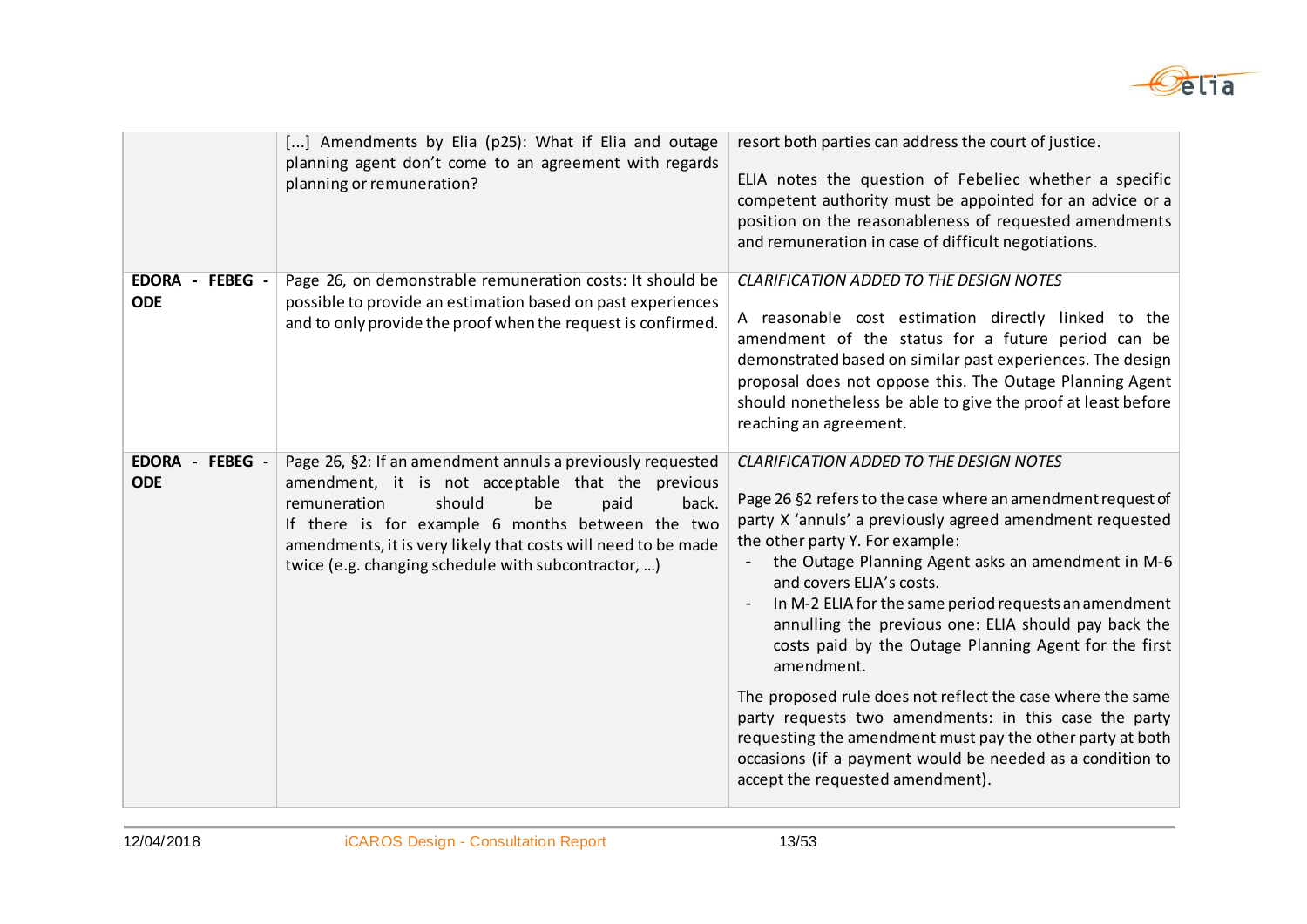

|                               | [] Amendments by Elia (p25): What if Elia and outage<br>planning agent don't come to an agreement with regards<br>planning or remuneration?                                                                                                                                                                                                  | resort both parties can address the court of justice.<br>ELIA notes the question of Febeliec whether a specific<br>competent authority must be appointed for an advice or a<br>position on the reasonableness of requested amendments<br>and remuneration in case of difficult negotiations.                                                                                                                                                                                                                                                                                                                                                                                                                                                                                |
|-------------------------------|----------------------------------------------------------------------------------------------------------------------------------------------------------------------------------------------------------------------------------------------------------------------------------------------------------------------------------------------|-----------------------------------------------------------------------------------------------------------------------------------------------------------------------------------------------------------------------------------------------------------------------------------------------------------------------------------------------------------------------------------------------------------------------------------------------------------------------------------------------------------------------------------------------------------------------------------------------------------------------------------------------------------------------------------------------------------------------------------------------------------------------------|
| EDORA - FEBEG -<br><b>ODE</b> | Page 26, on demonstrable remuneration costs: It should be<br>possible to provide an estimation based on past experiences<br>and to only provide the proof when the request is confirmed.                                                                                                                                                     | <b>CLARIFICATION ADDED TO THE DESIGN NOTES</b><br>A reasonable cost estimation directly linked to the<br>amendment of the status for a future period can be<br>demonstrated based on similar past experiences. The design<br>proposal does not oppose this. The Outage Planning Agent<br>should nonetheless be able to give the proof at least before<br>reaching an agreement.                                                                                                                                                                                                                                                                                                                                                                                             |
| EDORA - FEBEG -<br><b>ODE</b> | Page 26, §2: If an amendment annuls a previously requested<br>amendment, it is not acceptable that the previous<br>should<br>remuneration<br>be<br>paid<br>back.<br>If there is for example 6 months between the two<br>amendments, it is very likely that costs will need to be made<br>twice (e.g. changing schedule with subcontractor, ) | <b>CLARIFICATION ADDED TO THE DESIGN NOTES</b><br>Page 26 §2 refers to the case where an amendment request of<br>party X 'annuls' a previously agreed amendment requested<br>the other party Y. For example:<br>the Outage Planning Agent asks an amendment in M-6<br>and covers ELIA's costs.<br>In M-2 ELIA for the same period requests an amendment<br>annulling the previous one: ELIA should pay back the<br>costs paid by the Outage Planning Agent for the first<br>amendment.<br>The proposed rule does not reflect the case where the same<br>party requests two amendments: in this case the party<br>requesting the amendment must pay the other party at both<br>occasions (if a payment would be needed as a condition to<br>accept the requested amendment). |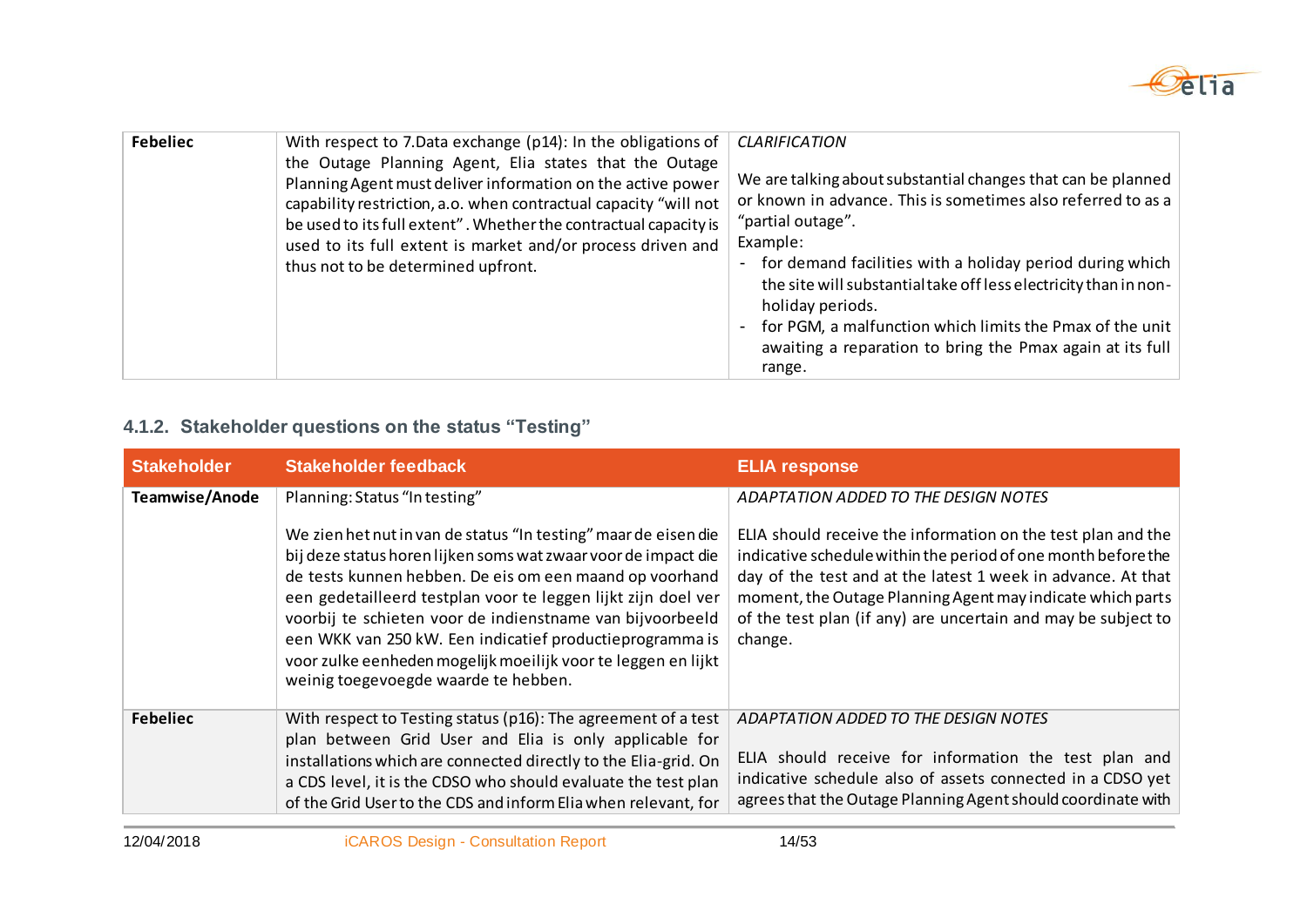

| <b>Febeliec</b> | With respect to 7.Data exchange (p14): In the obligations of<br>the Outage Planning Agent, Elia states that the Outage<br>Planning Agent must deliver information on the active power<br>capability restriction, a.o. when contractual capacity "will not<br>be used to its full extent". Whether the contractual capacity is<br>used to its full extent is market and/or process driven and<br>thus not to be determined upfront. | <b>CLARIFICATION</b><br>We are talking about substantial changes that can be planned<br>or known in advance. This is sometimes also referred to as a<br>"partial outage".<br>Example:<br>for demand facilities with a holiday period during which<br>$\blacksquare$<br>the site will substantial take off less electricity than in non-<br>holiday periods.<br>for PGM, a malfunction which limits the Pmax of the unit<br>$\overline{\phantom{a}}$<br>awaiting a reparation to bring the Pmax again at its full<br>range. |
|-----------------|------------------------------------------------------------------------------------------------------------------------------------------------------------------------------------------------------------------------------------------------------------------------------------------------------------------------------------------------------------------------------------------------------------------------------------|----------------------------------------------------------------------------------------------------------------------------------------------------------------------------------------------------------------------------------------------------------------------------------------------------------------------------------------------------------------------------------------------------------------------------------------------------------------------------------------------------------------------------|
|-----------------|------------------------------------------------------------------------------------------------------------------------------------------------------------------------------------------------------------------------------------------------------------------------------------------------------------------------------------------------------------------------------------------------------------------------------------|----------------------------------------------------------------------------------------------------------------------------------------------------------------------------------------------------------------------------------------------------------------------------------------------------------------------------------------------------------------------------------------------------------------------------------------------------------------------------------------------------------------------------|

### **4.1.2. Stakeholder questions on the status "Testing"**

| <b>Stakeholder</b> | Stakeholder feedback                                                                                                                                                                                                                                                                                                                                                                                                                                                                            | <b>ELIA response</b>                                                                                                                                                                                                                                                                                                                    |
|--------------------|-------------------------------------------------------------------------------------------------------------------------------------------------------------------------------------------------------------------------------------------------------------------------------------------------------------------------------------------------------------------------------------------------------------------------------------------------------------------------------------------------|-----------------------------------------------------------------------------------------------------------------------------------------------------------------------------------------------------------------------------------------------------------------------------------------------------------------------------------------|
| Teamwise/Anode     | Planning: Status "In testing"                                                                                                                                                                                                                                                                                                                                                                                                                                                                   | ADAPTATION ADDED TO THE DESIGN NOTES                                                                                                                                                                                                                                                                                                    |
|                    | We zien het nut in van de status "In testing" maar de eisen die<br>bij deze status horen lijken soms wat zwaar voor de impact die<br>de tests kunnen hebben. De eis om een maand op voorhand<br>een gedetailleerd testplan voor te leggen lijkt zijn doel ver<br>voorbij te schieten voor de indienstname van bijvoorbeeld<br>een WKK van 250 kW. Een indicatief productieprogramma is<br>voor zulke eenheden mogelijk moeilijk voor te leggen en lijkt<br>weinig toegevoegde waarde te hebben. | ELIA should receive the information on the test plan and the<br>indicative schedule within the period of one month before the<br>day of the test and at the latest 1 week in advance. At that<br>moment, the Outage Planning Agent may indicate which parts<br>of the test plan (if any) are uncertain and may be subject to<br>change. |
| <b>Febeliec</b>    | With respect to Testing status (p16): The agreement of a test<br>plan between Grid User and Elia is only applicable for<br>installations which are connected directly to the Elia-grid. On<br>a CDS level, it is the CDSO who should evaluate the test plan<br>of the Grid User to the CDS and inform Elia when relevant, for                                                                                                                                                                   | ADAPTATION ADDED TO THE DESIGN NOTES<br>ELIA should receive for information the test plan and<br>indicative schedule also of assets connected in a CDSO yet<br>agrees that the Outage Planning Agent should coordinate with                                                                                                             |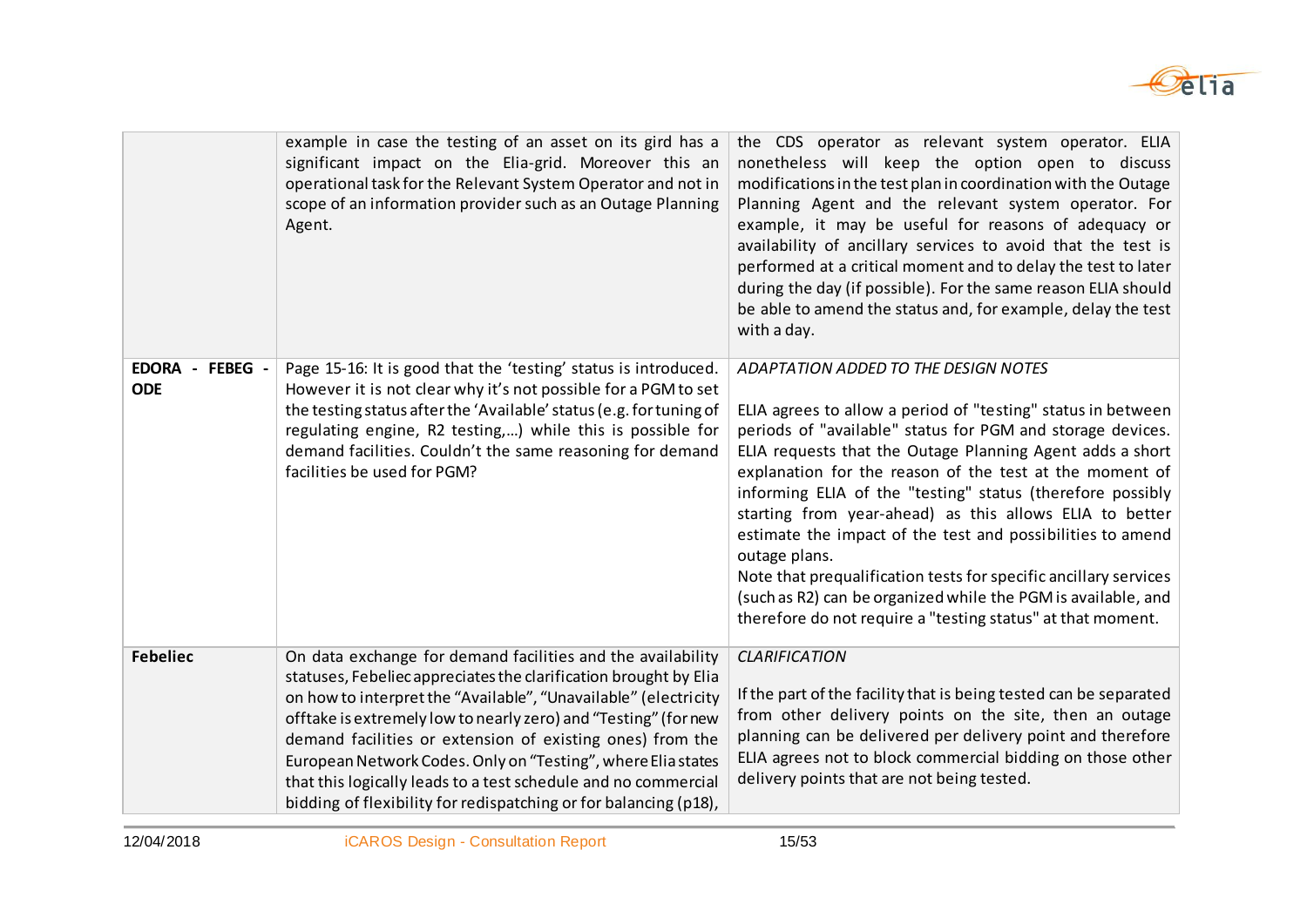

|                               | example in case the testing of an asset on its gird has a<br>significant impact on the Elia-grid. Moreover this an<br>operational task for the Relevant System Operator and not in<br>scope of an information provider such as an Outage Planning<br>Agent.                                                                                                                                                                                                                                                                              | the CDS operator as relevant system operator. ELIA<br>nonetheless will keep the option open to discuss<br>modifications in the test plan in coordination with the Outage<br>Planning Agent and the relevant system operator. For<br>example, it may be useful for reasons of adequacy or<br>availability of ancillary services to avoid that the test is<br>performed at a critical moment and to delay the test to later<br>during the day (if possible). For the same reason ELIA should<br>be able to amend the status and, for example, delay the test<br>with a day.                                                                                                                              |
|-------------------------------|------------------------------------------------------------------------------------------------------------------------------------------------------------------------------------------------------------------------------------------------------------------------------------------------------------------------------------------------------------------------------------------------------------------------------------------------------------------------------------------------------------------------------------------|--------------------------------------------------------------------------------------------------------------------------------------------------------------------------------------------------------------------------------------------------------------------------------------------------------------------------------------------------------------------------------------------------------------------------------------------------------------------------------------------------------------------------------------------------------------------------------------------------------------------------------------------------------------------------------------------------------|
| EDORA - FEBEG -<br><b>ODE</b> | Page 15-16: It is good that the 'testing' status is introduced.<br>However it is not clear why it's not possible for a PGM to set<br>the testing status after the 'Available' status (e.g. for tuning of<br>regulating engine, R2 testing,) while this is possible for<br>demand facilities. Couldn't the same reasoning for demand<br>facilities be used for PGM?                                                                                                                                                                       | ADAPTATION ADDED TO THE DESIGN NOTES<br>ELIA agrees to allow a period of "testing" status in between<br>periods of "available" status for PGM and storage devices.<br>ELIA requests that the Outage Planning Agent adds a short<br>explanation for the reason of the test at the moment of<br>informing ELIA of the "testing" status (therefore possibly<br>starting from year-ahead) as this allows ELIA to better<br>estimate the impact of the test and possibilities to amend<br>outage plans.<br>Note that prequalification tests for specific ancillary services<br>(such as R2) can be organized while the PGM is available, and<br>therefore do not require a "testing status" at that moment. |
| <b>Febeliec</b>               | On data exchange for demand facilities and the availability<br>statuses, Febeliec appreciates the clarification brought by Elia<br>on how to interpret the "Available", "Unavailable" (electricity<br>offtake is extremely low to nearly zero) and "Testing" (for new<br>demand facilities or extension of existing ones) from the<br>European Network Codes. Only on "Testing", where Elia states<br>that this logically leads to a test schedule and no commercial<br>bidding of flexibility for redispatching or for balancing (p18), | <b>CLARIFICATION</b><br>If the part of the facility that is being tested can be separated<br>from other delivery points on the site, then an outage<br>planning can be delivered per delivery point and therefore<br>ELIA agrees not to block commercial bidding on those other<br>delivery points that are not being tested.                                                                                                                                                                                                                                                                                                                                                                          |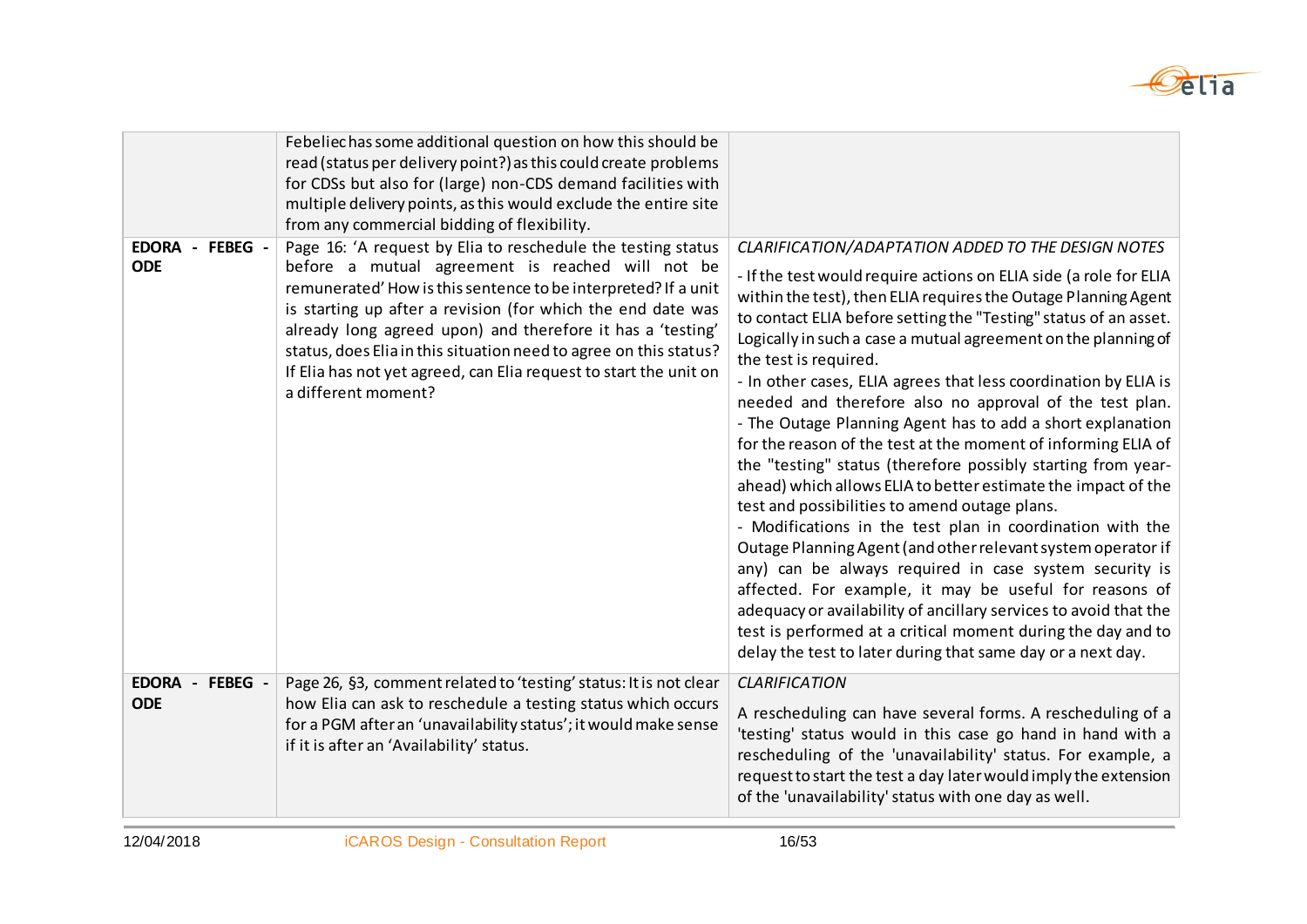

|                               | Febeliechas some additional question on how this should be<br>read (status per delivery point?) as this could create problems<br>for CDSs but also for (large) non-CDS demand facilities with<br>multiple delivery points, as this would exclude the entire site<br>from any commercial bidding of flexibility.                                                                                                                                                                  |                                                                                                                                                                                                                                                                                                                                                                                                                                                                                                                                                                                                                                                                                                                                                                                                                                                                                                                                                                                                                                                                                                                                                                                                                                                             |
|-------------------------------|----------------------------------------------------------------------------------------------------------------------------------------------------------------------------------------------------------------------------------------------------------------------------------------------------------------------------------------------------------------------------------------------------------------------------------------------------------------------------------|-------------------------------------------------------------------------------------------------------------------------------------------------------------------------------------------------------------------------------------------------------------------------------------------------------------------------------------------------------------------------------------------------------------------------------------------------------------------------------------------------------------------------------------------------------------------------------------------------------------------------------------------------------------------------------------------------------------------------------------------------------------------------------------------------------------------------------------------------------------------------------------------------------------------------------------------------------------------------------------------------------------------------------------------------------------------------------------------------------------------------------------------------------------------------------------------------------------------------------------------------------------|
| EDORA - FEBEG -<br><b>ODE</b> | Page 16: 'A request by Elia to reschedule the testing status<br>before a mutual agreement is reached will not be<br>remunerated' How is this sentence to be interpreted? If a unit<br>is starting up after a revision (for which the end date was<br>already long agreed upon) and therefore it has a 'testing'<br>status, does Elia in this situation need to agree on this status?<br>If Elia has not yet agreed, can Elia request to start the unit on<br>a different moment? | CLARIFICATION/ADAPTATION ADDED TO THE DESIGN NOTES<br>- If the test would require actions on ELIA side (a role for ELIA<br>within the test), then ELIA requires the Outage Planning Agent<br>to contact ELIA before setting the "Testing" status of an asset.<br>Logically in such a case a mutual agreement on the planning of<br>the test is required.<br>- In other cases, ELIA agrees that less coordination by ELIA is<br>needed and therefore also no approval of the test plan.<br>- The Outage Planning Agent has to add a short explanation<br>for the reason of the test at the moment of informing ELIA of<br>the "testing" status (therefore possibly starting from year-<br>ahead) which allows ELIA to better estimate the impact of the<br>test and possibilities to amend outage plans.<br>- Modifications in the test plan in coordination with the<br>Outage Planning Agent (and other relevant system operator if<br>any) can be always required in case system security is<br>affected. For example, it may be useful for reasons of<br>adequacy or availability of ancillary services to avoid that the<br>test is performed at a critical moment during the day and to<br>delay the test to later during that same day or a next day. |
| EDORA - FEBEG -<br><b>ODE</b> | Page 26, §3, comment related to 'testing' status: It is not clear<br>how Elia can ask to reschedule a testing status which occurs<br>for a PGM after an 'unavailability status'; it would make sense<br>if it is after an 'Availability' status.                                                                                                                                                                                                                                 | <b>CLARIFICATION</b><br>A rescheduling can have several forms. A rescheduling of a<br>'testing' status would in this case go hand in hand with a<br>rescheduling of the 'unavailability' status. For example, a<br>request to start the test a day later would imply the extension<br>of the 'unavailability' status with one day as well.                                                                                                                                                                                                                                                                                                                                                                                                                                                                                                                                                                                                                                                                                                                                                                                                                                                                                                                  |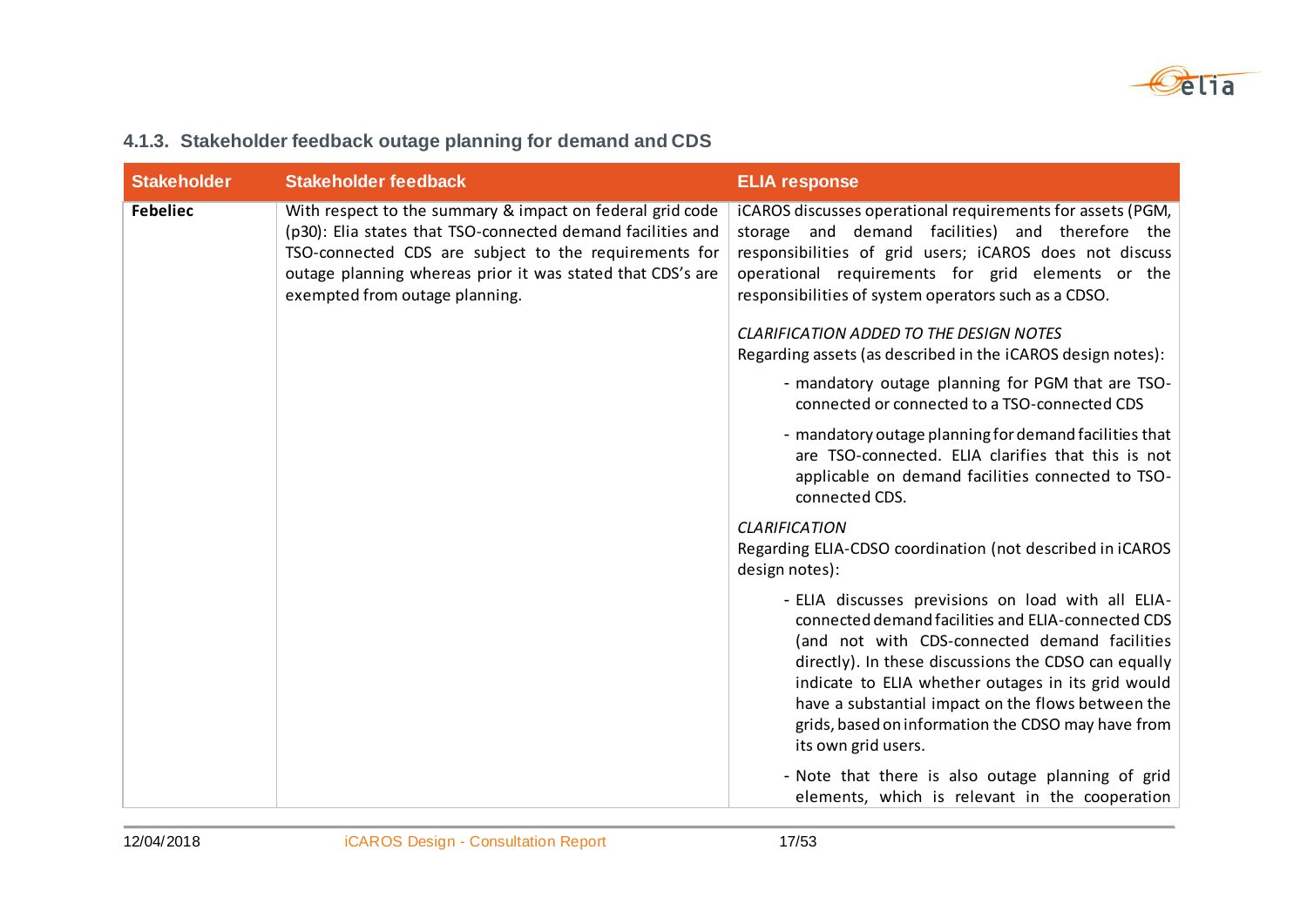

| <b>Stakeholder</b> | <b>Stakeholder feedback</b>                                                                                                                                                                                                                                                       | <b>ELIA response</b>                                                                                                                                                                                                                                                                                                                                                                                       |
|--------------------|-----------------------------------------------------------------------------------------------------------------------------------------------------------------------------------------------------------------------------------------------------------------------------------|------------------------------------------------------------------------------------------------------------------------------------------------------------------------------------------------------------------------------------------------------------------------------------------------------------------------------------------------------------------------------------------------------------|
| <b>Febeliec</b>    | With respect to the summary & impact on federal grid code<br>(p30): Elia states that TSO-connected demand facilities and<br>TSO-connected CDS are subject to the requirements for<br>outage planning whereas prior it was stated that CDS's are<br>exempted from outage planning. | iCAROS discusses operational requirements for assets (PGM,<br>storage and demand facilities) and therefore the<br>responsibilities of grid users; iCAROS does not discuss<br>operational requirements for grid elements or the<br>responsibilities of system operators such as a CDSO.                                                                                                                     |
|                    |                                                                                                                                                                                                                                                                                   | <b>CLARIFICATION ADDED TO THE DESIGN NOTES</b><br>Regarding assets (as described in the iCAROS design notes):                                                                                                                                                                                                                                                                                              |
|                    |                                                                                                                                                                                                                                                                                   | - mandatory outage planning for PGM that are TSO-<br>connected or connected to a TSO-connected CDS                                                                                                                                                                                                                                                                                                         |
|                    |                                                                                                                                                                                                                                                                                   | - mandatory outage planning for demand facilities that<br>are TSO-connected. ELIA clarifies that this is not<br>applicable on demand facilities connected to TSO-<br>connected CDS.                                                                                                                                                                                                                        |
|                    |                                                                                                                                                                                                                                                                                   | <b>CLARIFICATION</b><br>Regarding ELIA-CDSO coordination (not described in iCAROS<br>design notes):                                                                                                                                                                                                                                                                                                        |
|                    |                                                                                                                                                                                                                                                                                   | - ELIA discusses previsions on load with all ELIA-<br>connected demand facilities and ELIA-connected CDS<br>(and not with CDS-connected demand facilities<br>directly). In these discussions the CDSO can equally<br>indicate to ELIA whether outages in its grid would<br>have a substantial impact on the flows between the<br>grids, based on information the CDSO may have from<br>its own grid users. |
|                    |                                                                                                                                                                                                                                                                                   | - Note that there is also outage planning of grid<br>elements, which is relevant in the cooperation                                                                                                                                                                                                                                                                                                        |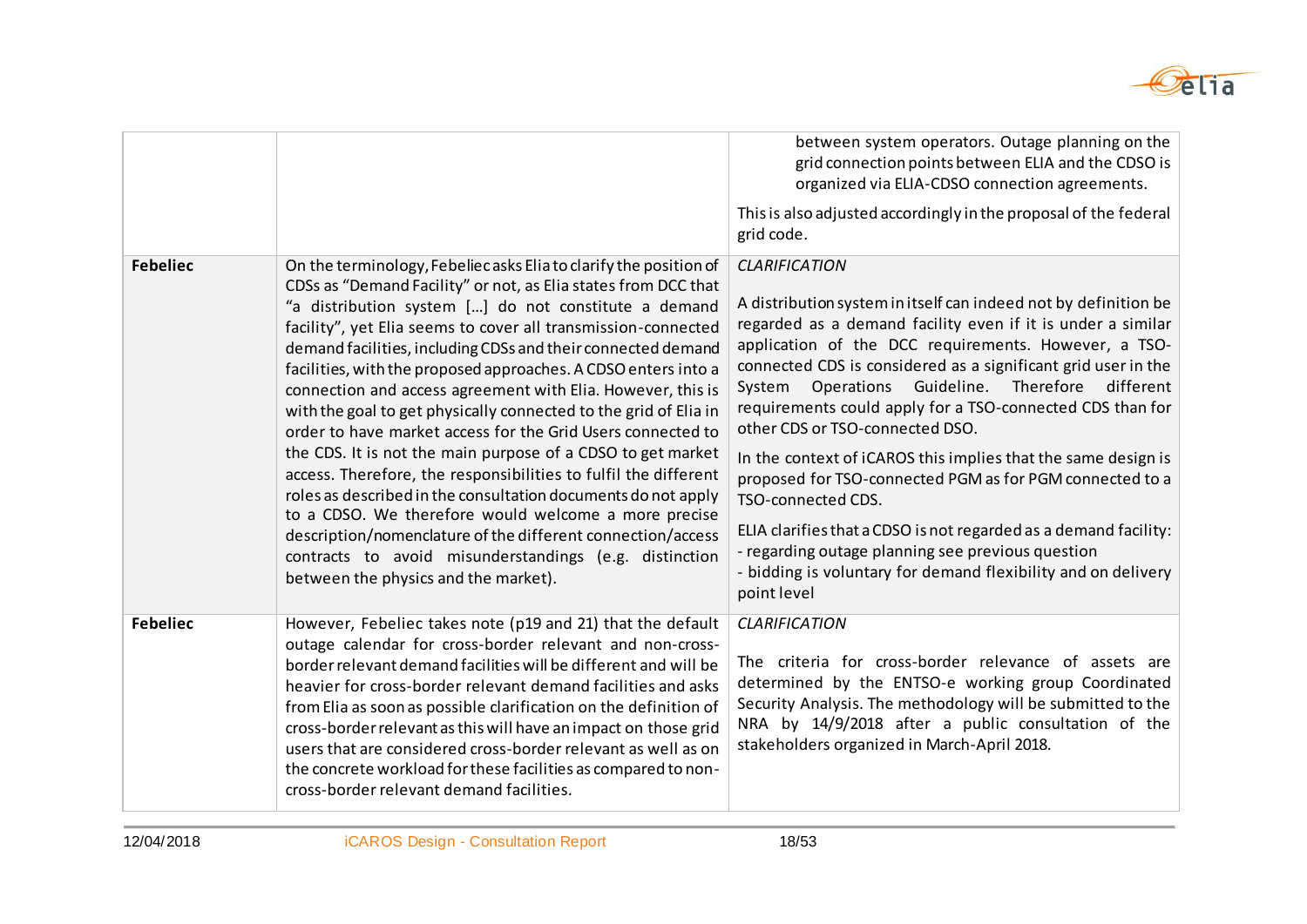

| <b>Febeliec</b> | On the terminology, Febeliec asks Elia to clarify the position of<br>CDSs as "Demand Facility" or not, as Elia states from DCC that<br>"a distribution system [] do not constitute a demand<br>facility", yet Elia seems to cover all transmission-connected<br>demand facilities, including CDSs and their connected demand<br>facilities, with the proposed approaches. A CDSO enters into a<br>connection and access agreement with Elia. However, this is<br>with the goal to get physically connected to the grid of Elia in<br>order to have market access for the Grid Users connected to<br>the CDS. It is not the main purpose of a CDSO to get market<br>access. Therefore, the responsibilities to fulfil the different<br>roles as described in the consultation documents do not apply<br>to a CDSO. We therefore would welcome a more precise<br>description/nomenclature of the different connection/access<br>contracts to avoid misunderstandings (e.g. distinction<br>between the physics and the market). | between system operators. Outage planning on the<br>grid connection points between ELIA and the CDSO is<br>organized via ELIA-CDSO connection agreements.<br>This is also adjusted accordingly in the proposal of the federal<br>grid code.<br><b>CLARIFICATION</b><br>A distribution system in itself can indeed not by definition be<br>regarded as a demand facility even if it is under a similar<br>application of the DCC requirements. However, a TSO-<br>connected CDS is considered as a significant grid user in the<br>Operations<br>Guideline.<br>Therefore<br>different<br>System<br>requirements could apply for a TSO-connected CDS than for<br>other CDS or TSO-connected DSO.<br>In the context of iCAROS this implies that the same design is<br>proposed for TSO-connected PGM as for PGM connected to a<br>TSO-connected CDS.<br>ELIA clarifies that a CDSO is not regarded as a demand facility:<br>- regarding outage planning see previous question<br>- bidding is voluntary for demand flexibility and on delivery<br>point level |
|-----------------|------------------------------------------------------------------------------------------------------------------------------------------------------------------------------------------------------------------------------------------------------------------------------------------------------------------------------------------------------------------------------------------------------------------------------------------------------------------------------------------------------------------------------------------------------------------------------------------------------------------------------------------------------------------------------------------------------------------------------------------------------------------------------------------------------------------------------------------------------------------------------------------------------------------------------------------------------------------------------------------------------------------------------|------------------------------------------------------------------------------------------------------------------------------------------------------------------------------------------------------------------------------------------------------------------------------------------------------------------------------------------------------------------------------------------------------------------------------------------------------------------------------------------------------------------------------------------------------------------------------------------------------------------------------------------------------------------------------------------------------------------------------------------------------------------------------------------------------------------------------------------------------------------------------------------------------------------------------------------------------------------------------------------------------------------------------------------------------------|
| <b>Febeliec</b> | However, Febeliec takes note (p19 and 21) that the default<br>outage calendar for cross-border relevant and non-cross-<br>border relevant demand facilities will be different and will be<br>heavier for cross-border relevant demand facilities and asks<br>from Elia as soon as possible clarification on the definition of<br>cross-border relevant as this will have an impact on those grid<br>users that are considered cross-border relevant as well as on<br>the concrete workload for these facilities as compared to non-<br>cross-border relevant demand facilities.                                                                                                                                                                                                                                                                                                                                                                                                                                              | <b>CLARIFICATION</b><br>The criteria for cross-border relevance of assets are<br>determined by the ENTSO-e working group Coordinated<br>Security Analysis. The methodology will be submitted to the<br>NRA by 14/9/2018 after a public consultation of the<br>stakeholders organized in March-April 2018.                                                                                                                                                                                                                                                                                                                                                                                                                                                                                                                                                                                                                                                                                                                                                  |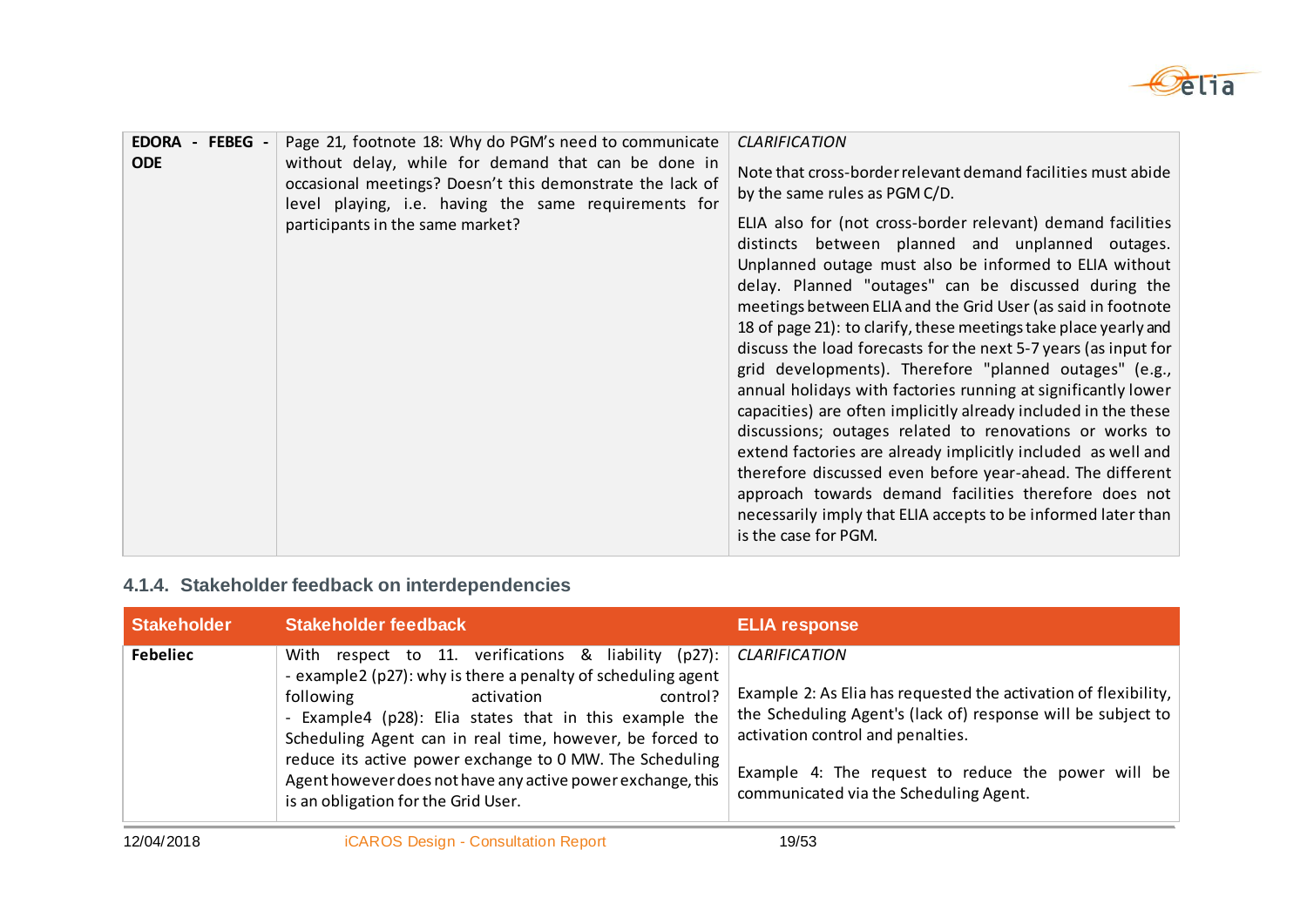

| - FEBEG -<br><b>EDORA</b><br><b>ODE</b> | Page 21, footnote 18: Why do PGM's need to communicate<br>without delay, while for demand that can be done in<br>occasional meetings? Doesn't this demonstrate the lack of<br>level playing, i.e. having the same requirements for<br>participants in the same market?                                                                 | <b>CLARIFICATION</b><br>Note that cross-border relevant demand facilities must abide<br>by the same rules as PGM C/D.<br>ELIA also for (not cross-border relevant) demand facilities<br>distincts between planned and unplanned outages.<br>Unplanned outage must also be informed to ELIA without<br>delay. Planned "outages" can be discussed during the<br>meetings between ELIA and the Grid User (as said in footnote<br>18 of page 21): to clarify, these meetings take place yearly and<br>discuss the load forecasts for the next 5-7 years (as input for<br>grid developments). Therefore "planned outages" (e.g.,<br>annual holidays with factories running at significantly lower<br>capacities) are often implicitly already included in the these |
|-----------------------------------------|----------------------------------------------------------------------------------------------------------------------------------------------------------------------------------------------------------------------------------------------------------------------------------------------------------------------------------------|----------------------------------------------------------------------------------------------------------------------------------------------------------------------------------------------------------------------------------------------------------------------------------------------------------------------------------------------------------------------------------------------------------------------------------------------------------------------------------------------------------------------------------------------------------------------------------------------------------------------------------------------------------------------------------------------------------------------------------------------------------------|
|                                         | discussions; outages related to renovations or works to<br>extend factories are already implicitly included as well and<br>therefore discussed even before year-ahead. The different<br>approach towards demand facilities therefore does not<br>necessarily imply that ELIA accepts to be informed later than<br>is the case for PGM. |                                                                                                                                                                                                                                                                                                                                                                                                                                                                                                                                                                                                                                                                                                                                                                |

## **4.1.4. Stakeholder feedback on interdependencies**

| Stakeholder     | <b>Stakeholder feedback</b>                                                                                                                                                                                                                                                                                                                                                                                                                                          | <b>ELIA response</b>                                                                                                                                                                                                                                                 |
|-----------------|----------------------------------------------------------------------------------------------------------------------------------------------------------------------------------------------------------------------------------------------------------------------------------------------------------------------------------------------------------------------------------------------------------------------------------------------------------------------|----------------------------------------------------------------------------------------------------------------------------------------------------------------------------------------------------------------------------------------------------------------------|
| <b>Febeliec</b> | respect to 11. verifications & liability (p27): CLARIFICATION<br>With<br>- example2 (p27): why is there a penalty of scheduling agent<br>following<br>control?<br>activation<br>- Example4 (p28): Elia states that in this example the<br>Scheduling Agent can in real time, however, be forced to<br>reduce its active power exchange to 0 MW. The Scheduling<br>Agent however does not have any active power exchange, this<br>is an obligation for the Grid User. | Example 2: As Elia has requested the activation of flexibility,<br>the Scheduling Agent's (lack of) response will be subject to<br>activation control and penalties.<br>Example 4: The request to reduce the power will be<br>communicated via the Scheduling Agent. |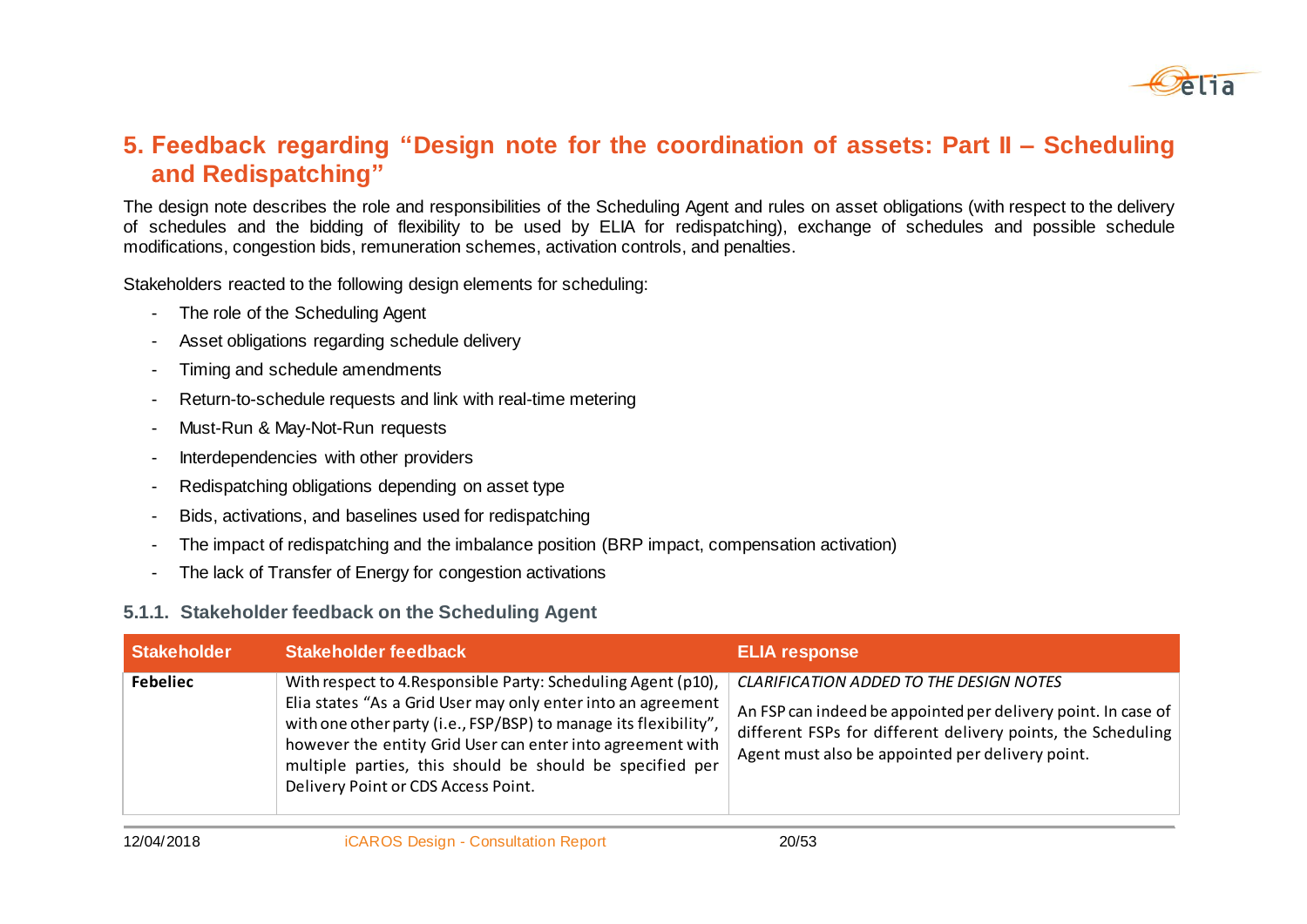

### **5. Feedback regarding "Design note for the coordination of assets: Part II – Scheduling and Redispatching"**

The design note describes the role and responsibilities of the Scheduling Agent and rules on asset obligations (with respect to the delivery of schedules and the bidding of flexibility to be used by ELIA for redispatching), exchange of schedules and possible schedule modifications, congestion bids, remuneration schemes, activation controls, and penalties.

Stakeholders reacted to the following design elements for scheduling:

- The role of the Scheduling Agent
- Asset obligations regarding schedule delivery
- Timing and schedule amendments
- Return-to-schedule requests and link with real-time metering
- Must-Run & May-Not-Run requests
- Interdependencies with other providers
- Redispatching obligations depending on asset type
- Bids, activations, and baselines used for redispatching
- The impact of redispatching and the imbalance position (BRP impact, compensation activation)
- The lack of Transfer of Energy for congestion activations

#### **5.1.1. Stakeholder feedback on the Scheduling Agent**

| <b>Stakeholder</b> | <b>Stakeholder feedback</b>                                                                                                                                                                                                                                                                                                                                        | <b>ELIA response</b>                                                                                                                                                                                                                |
|--------------------|--------------------------------------------------------------------------------------------------------------------------------------------------------------------------------------------------------------------------------------------------------------------------------------------------------------------------------------------------------------------|-------------------------------------------------------------------------------------------------------------------------------------------------------------------------------------------------------------------------------------|
| <b>Febeliec</b>    | With respect to 4. Responsible Party: Scheduling Agent (p10),<br>Elia states "As a Grid User may only enter into an agreement<br>with one other party (i.e., FSP/BSP) to manage its flexibility",<br>however the entity Grid User can enter into agreement with<br>multiple parties, this should be should be specified per<br>Delivery Point or CDS Access Point. | <b>CLARIFICATION ADDED TO THE DESIGN NOTES</b><br>An FSP can indeed be appointed per delivery point. In case of<br>different FSPs for different delivery points, the Scheduling<br>Agent must also be appointed per delivery point. |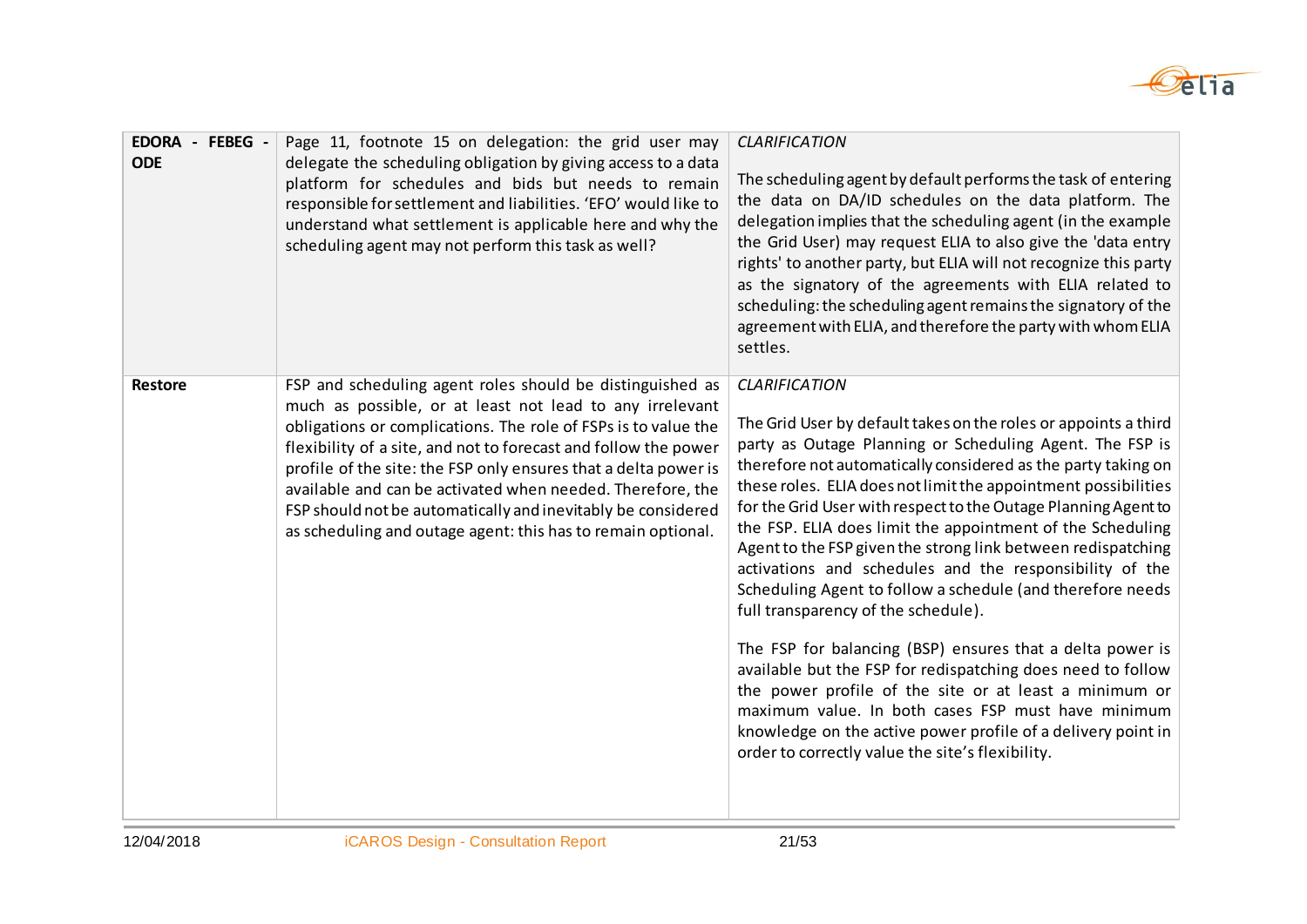

| EDORA - FEBEG -<br><b>ODE</b> | Page 11, footnote 15 on delegation: the grid user may<br>delegate the scheduling obligation by giving access to a data<br>platform for schedules and bids but needs to remain<br>responsible for settlement and liabilities. 'EFO' would like to<br>understand what settlement is applicable here and why the<br>scheduling agent may not perform this task as well?                                                                                                                                                        | <b>CLARIFICATION</b><br>The scheduling agent by default performs the task of entering<br>the data on DA/ID schedules on the data platform. The<br>delegation implies that the scheduling agent (in the example<br>the Grid User) may request ELIA to also give the 'data entry<br>rights' to another party, but ELIA will not recognize this party<br>as the signatory of the agreements with ELIA related to<br>scheduling: the scheduling agent remains the signatory of the<br>agreement with ELIA, and therefore the party with whom ELIA<br>settles.                                                                                                                                                                                                                                                                                                                                                                                                                                                              |
|-------------------------------|-----------------------------------------------------------------------------------------------------------------------------------------------------------------------------------------------------------------------------------------------------------------------------------------------------------------------------------------------------------------------------------------------------------------------------------------------------------------------------------------------------------------------------|------------------------------------------------------------------------------------------------------------------------------------------------------------------------------------------------------------------------------------------------------------------------------------------------------------------------------------------------------------------------------------------------------------------------------------------------------------------------------------------------------------------------------------------------------------------------------------------------------------------------------------------------------------------------------------------------------------------------------------------------------------------------------------------------------------------------------------------------------------------------------------------------------------------------------------------------------------------------------------------------------------------------|
| <b>Restore</b>                | FSP and scheduling agent roles should be distinguished as<br>much as possible, or at least not lead to any irrelevant<br>obligations or complications. The role of FSPs is to value the<br>flexibility of a site, and not to forecast and follow the power<br>profile of the site: the FSP only ensures that a delta power is<br>available and can be activated when needed. Therefore, the<br>FSP should not be automatically and inevitably be considered<br>as scheduling and outage agent: this has to remain optional. | <b>CLARIFICATION</b><br>The Grid User by default takes on the roles or appoints a third<br>party as Outage Planning or Scheduling Agent. The FSP is<br>therefore not automatically considered as the party taking on<br>these roles. ELIA does not limit the appointment possibilities<br>for the Grid User with respect to the Outage Planning Agent to<br>the FSP. ELIA does limit the appointment of the Scheduling<br>Agent to the FSP given the strong link between redispatching<br>activations and schedules and the responsibility of the<br>Scheduling Agent to follow a schedule (and therefore needs<br>full transparency of the schedule).<br>The FSP for balancing (BSP) ensures that a delta power is<br>available but the FSP for redispatching does need to follow<br>the power profile of the site or at least a minimum or<br>maximum value. In both cases FSP must have minimum<br>knowledge on the active power profile of a delivery point in<br>order to correctly value the site's flexibility. |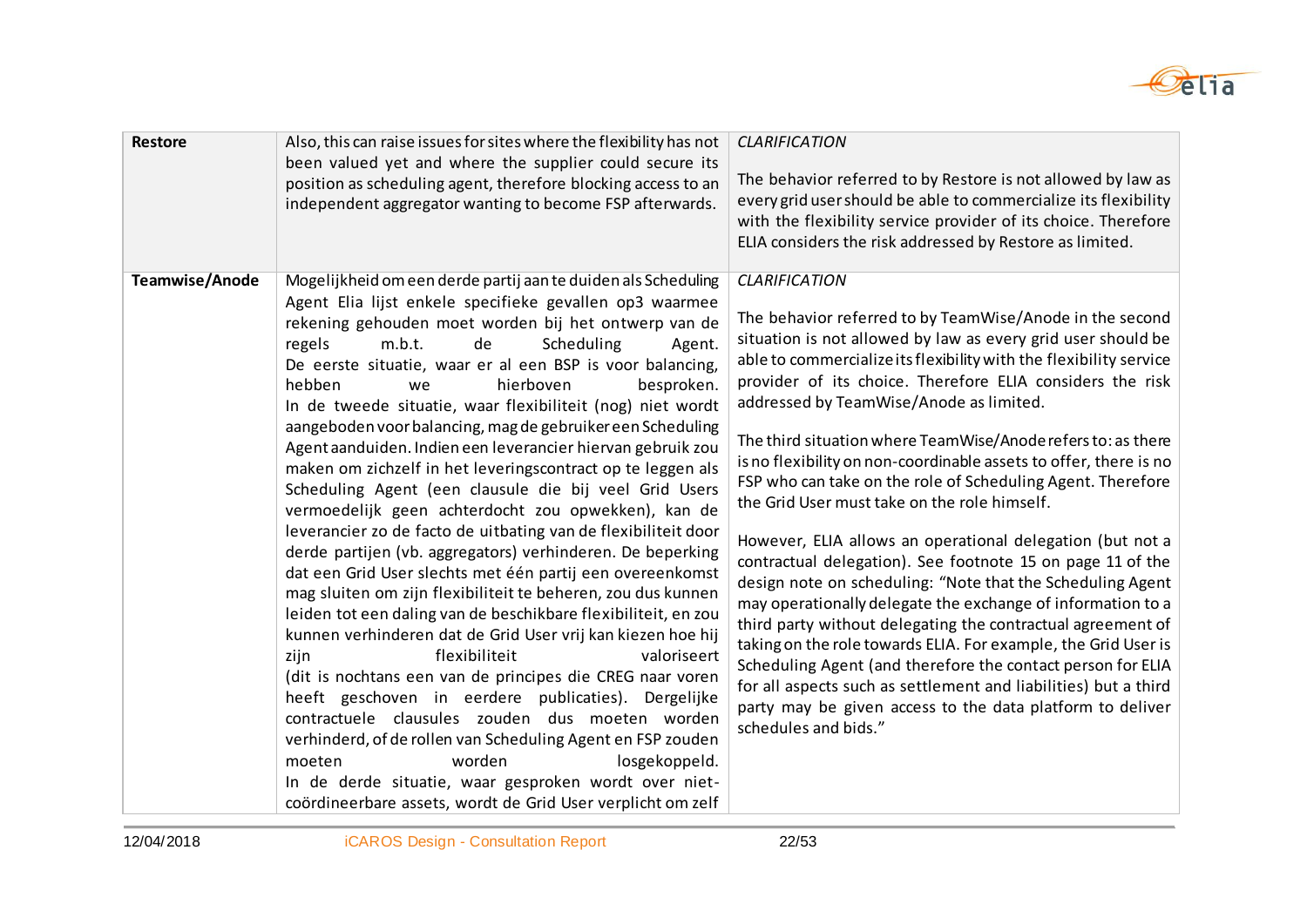

| <b>Restore</b> | Also, this can raise issues for sites where the flexibility has not<br>been valued yet and where the supplier could secure its<br>position as scheduling agent, therefore blocking access to an<br>independent aggregator wanting to become FSP afterwards.                                                                                                                                                                                                                                                                                                                                                                                                                                                                                                                                                                                                                                                                                                                                                                                                                                                                                                                                                                                                                                                                                                                                                                                                                                                                                                    | <b>CLARIFICATION</b><br>The behavior referred to by Restore is not allowed by law as<br>every grid user should be able to commercialize its flexibility<br>with the flexibility service provider of its choice. Therefore<br>ELIA considers the risk addressed by Restore as limited.                                                                                                                                                                                                                                                                                                                                                                                                                                                                                                                                                                                                                                                                                                                                                                                                                                                                                                              |
|----------------|----------------------------------------------------------------------------------------------------------------------------------------------------------------------------------------------------------------------------------------------------------------------------------------------------------------------------------------------------------------------------------------------------------------------------------------------------------------------------------------------------------------------------------------------------------------------------------------------------------------------------------------------------------------------------------------------------------------------------------------------------------------------------------------------------------------------------------------------------------------------------------------------------------------------------------------------------------------------------------------------------------------------------------------------------------------------------------------------------------------------------------------------------------------------------------------------------------------------------------------------------------------------------------------------------------------------------------------------------------------------------------------------------------------------------------------------------------------------------------------------------------------------------------------------------------------|----------------------------------------------------------------------------------------------------------------------------------------------------------------------------------------------------------------------------------------------------------------------------------------------------------------------------------------------------------------------------------------------------------------------------------------------------------------------------------------------------------------------------------------------------------------------------------------------------------------------------------------------------------------------------------------------------------------------------------------------------------------------------------------------------------------------------------------------------------------------------------------------------------------------------------------------------------------------------------------------------------------------------------------------------------------------------------------------------------------------------------------------------------------------------------------------------|
| Teamwise/Anode | Mogelijkheid om een derde partij aan te duiden als Scheduling<br>Agent Elia lijst enkele specifieke gevallen op3 waarmee<br>rekening gehouden moet worden bij het ontwerp van de<br>Scheduling<br>regels<br>m.b.t.<br>de<br>Agent.<br>De eerste situatie, waar er al een BSP is voor balancing,<br>hebben<br>hierboven<br>besproken.<br>we<br>In de tweede situatie, waar flexibiliteit (nog) niet wordt<br>aangeboden voor balancing, mag de gebruiker een Scheduling<br>Agent aanduiden. Indien een leverancier hiervan gebruik zou<br>maken om zichzelf in het leveringscontract op te leggen als<br>Scheduling Agent (een clausule die bij veel Grid Users<br>vermoedelijk geen achterdocht zou opwekken), kan de<br>leverancier zo de facto de uitbating van de flexibiliteit door<br>derde partijen (vb. aggregators) verhinderen. De beperking<br>dat een Grid User slechts met één partij een overeenkomst<br>mag sluiten om zijn flexibiliteit te beheren, zou dus kunnen<br>leiden tot een daling van de beschikbare flexibiliteit, en zou<br>kunnen verhinderen dat de Grid User vrij kan kiezen hoe hij<br>flexibiliteit<br>valoriseert<br>zijn<br>(dit is nochtans een van de principes die CREG naar voren<br>heeft geschoven in eerdere publicaties). Dergelijke<br>contractuele clausules zouden dus moeten worden<br>verhinderd, of de rollen van Scheduling Agent en FSP zouden<br>moeten<br>worden<br>losgekoppeld.<br>In de derde situatie, waar gesproken wordt over niet-<br>coördineerbare assets, wordt de Grid User verplicht om zelf | <b>CLARIFICATION</b><br>The behavior referred to by TeamWise/Anode in the second<br>situation is not allowed by law as every grid user should be<br>able to commercialize its flexibility with the flexibility service<br>provider of its choice. Therefore ELIA considers the risk<br>addressed by TeamWise/Anode as limited.<br>The third situation where TeamWise/Anode refers to: as there<br>is no flexibility on non-coordinable assets to offer, there is no<br>FSP who can take on the role of Scheduling Agent. Therefore<br>the Grid User must take on the role himself.<br>However, ELIA allows an operational delegation (but not a<br>contractual delegation). See footnote 15 on page 11 of the<br>design note on scheduling: "Note that the Scheduling Agent<br>may operationally delegate the exchange of information to a<br>third party without delegating the contractual agreement of<br>taking on the role towards ELIA. For example, the Grid User is<br>Scheduling Agent (and therefore the contact person for ELIA<br>for all aspects such as settlement and liabilities) but a third<br>party may be given access to the data platform to deliver<br>schedules and bids." |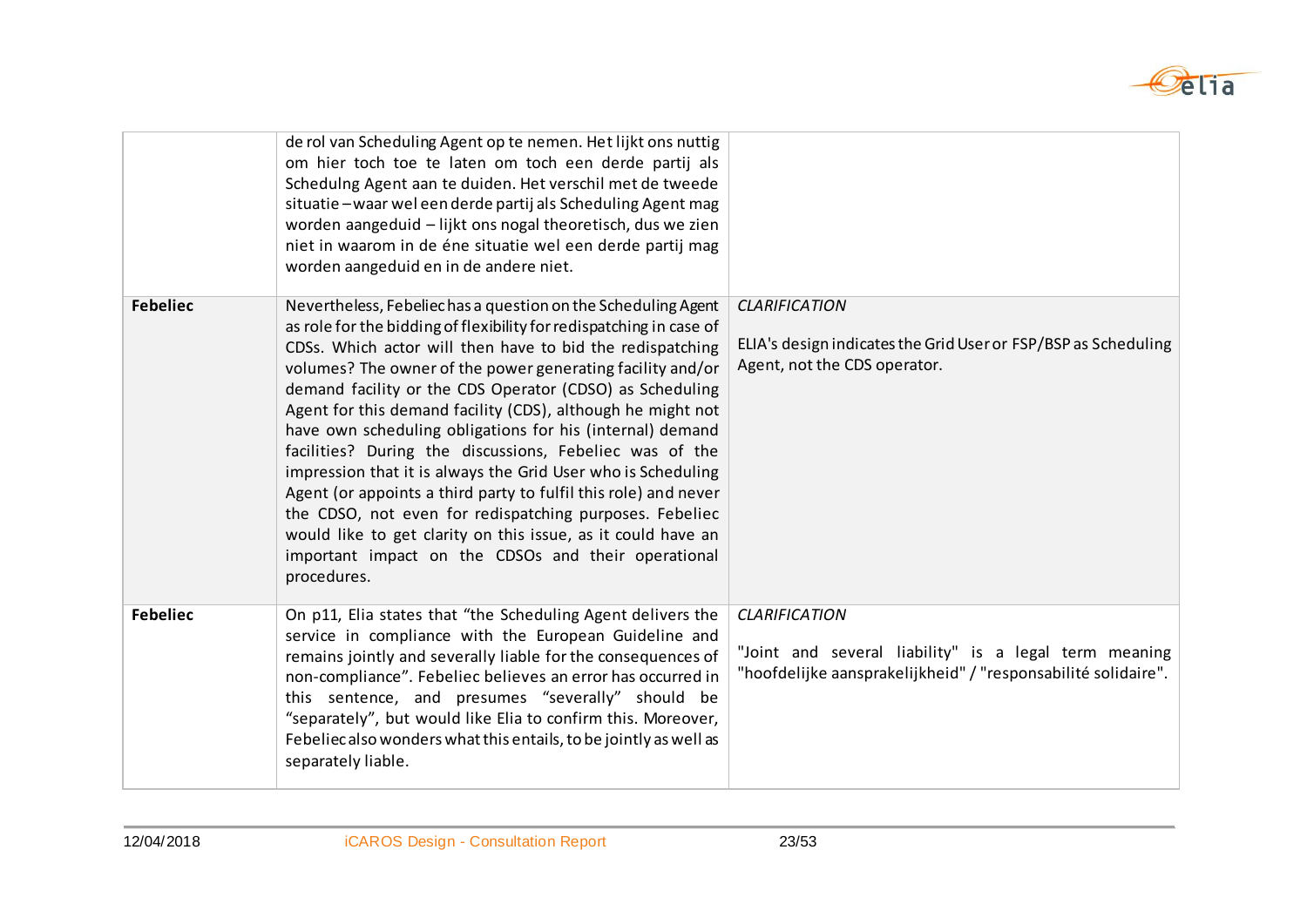

|                 | de rol van Scheduling Agent op te nemen. Het lijkt ons nuttig<br>om hier toch toe te laten om toch een derde partij als<br>Schedulng Agent aan te duiden. Het verschil met de tweede<br>situatie - waar wel een derde partij als Scheduling Agent mag<br>worden aangeduid - lijkt ons nogal theoretisch, dus we zien<br>niet in waarom in de éne situatie wel een derde partij mag<br>worden aangeduid en in de andere niet.                                                                                                                                                                                                                                                                                                                                                                                                                          |                                                                                                                                                |
|-----------------|-------------------------------------------------------------------------------------------------------------------------------------------------------------------------------------------------------------------------------------------------------------------------------------------------------------------------------------------------------------------------------------------------------------------------------------------------------------------------------------------------------------------------------------------------------------------------------------------------------------------------------------------------------------------------------------------------------------------------------------------------------------------------------------------------------------------------------------------------------|------------------------------------------------------------------------------------------------------------------------------------------------|
| <b>Febeliec</b> | Nevertheless, Febeliechas a question on the Scheduling Agent<br>as role for the bidding of flexibility for redispatching in case of<br>CDSs. Which actor will then have to bid the redispatching<br>volumes? The owner of the power generating facility and/or<br>demand facility or the CDS Operator (CDSO) as Scheduling<br>Agent for this demand facility (CDS), although he might not<br>have own scheduling obligations for his (internal) demand<br>facilities? During the discussions, Febeliec was of the<br>impression that it is always the Grid User who is Scheduling<br>Agent (or appoints a third party to fulfil this role) and never<br>the CDSO, not even for redispatching purposes. Febeliec<br>would like to get clarity on this issue, as it could have an<br>important impact on the CDSOs and their operational<br>procedures. | <b>CLARIFICATION</b><br>ELIA's design indicates the Grid User or FSP/BSP as Scheduling<br>Agent, not the CDS operator.                         |
| <b>Febeliec</b> | On p11, Elia states that "the Scheduling Agent delivers the<br>service in compliance with the European Guideline and<br>remains jointly and severally liable for the consequences of<br>non-compliance". Febeliec believes an error has occurred in<br>this sentence, and presumes "severally" should be<br>"separately", but would like Elia to confirm this. Moreover,<br>Febeliec also wonders what this entails, to be jointly as well as<br>separately liable.                                                                                                                                                                                                                                                                                                                                                                                   | <b>CLARIFICATION</b><br>"Joint and several liability" is a legal term meaning<br>"hoofdelijke aansprakelijkheid" / "responsabilité solidaire". |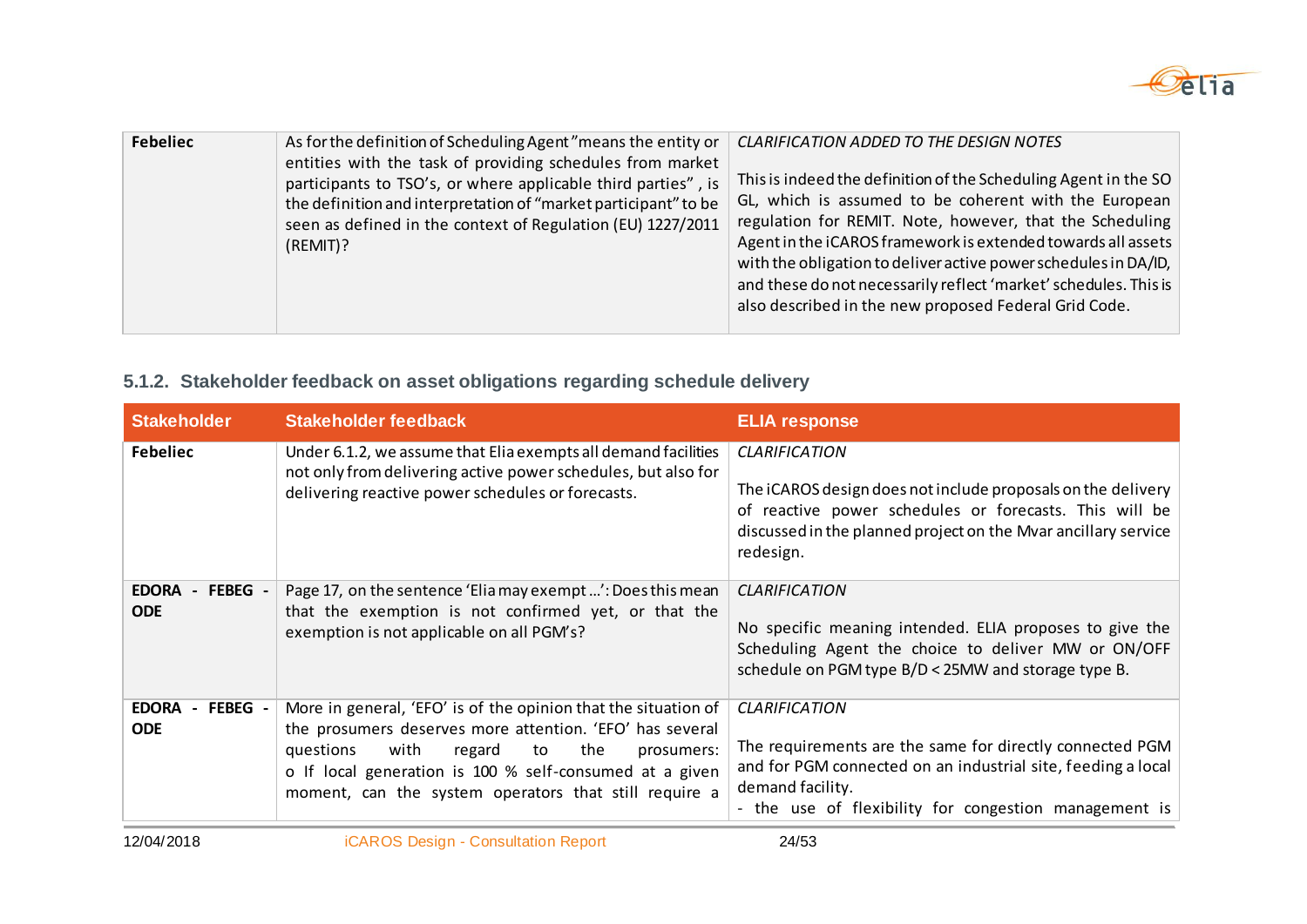

| <b>Febeliec</b><br>As for the definition of Scheduling Agent "means the entity or<br>entities with the task of providing schedules from market<br>participants to TSO's, or where applicable third parties", is<br>the definition and interpretation of "market participant" to be<br>seen as defined in the context of Regulation (EU) 1227/2011<br>(REMIT)? | CLARIFICATION ADDED TO THE DESIGN NOTES<br>This is indeed the definition of the Scheduling Agent in the SO<br>GL, which is assumed to be coherent with the European<br>regulation for REMIT. Note, however, that the Scheduling<br>Agent in the iCAROS framework is extended towards all assets<br>with the obligation to deliver active power schedules in DA/ID,<br>and these do not necessarily reflect 'market' schedules. This is<br>also described in the new proposed Federal Grid Code. |
|---------------------------------------------------------------------------------------------------------------------------------------------------------------------------------------------------------------------------------------------------------------------------------------------------------------------------------------------------------------|-------------------------------------------------------------------------------------------------------------------------------------------------------------------------------------------------------------------------------------------------------------------------------------------------------------------------------------------------------------------------------------------------------------------------------------------------------------------------------------------------|
|---------------------------------------------------------------------------------------------------------------------------------------------------------------------------------------------------------------------------------------------------------------------------------------------------------------------------------------------------------------|-------------------------------------------------------------------------------------------------------------------------------------------------------------------------------------------------------------------------------------------------------------------------------------------------------------------------------------------------------------------------------------------------------------------------------------------------------------------------------------------------|

### **5.1.2. Stakeholder feedback on asset obligations regarding schedule delivery**

| <b>Stakeholder</b>                      | <b>Stakeholder feedback</b>                                                                                                                                                                                                                                                                              | <b>ELIA response</b>                                                                                                                                                                                                          |
|-----------------------------------------|----------------------------------------------------------------------------------------------------------------------------------------------------------------------------------------------------------------------------------------------------------------------------------------------------------|-------------------------------------------------------------------------------------------------------------------------------------------------------------------------------------------------------------------------------|
| <b>Febeliec</b>                         | Under 6.1.2, we assume that Elia exempts all demand facilities<br>not only from delivering active power schedules, but also for<br>delivering reactive power schedules or forecasts.                                                                                                                     | <b>CLARIFICATION</b><br>The iCAROS design does not include proposals on the delivery<br>of reactive power schedules or forecasts. This will be<br>discussed in the planned project on the Mvar ancillary service<br>redesign. |
| <b>EDORA</b><br>- FEBEG -<br><b>ODE</b> | Page 17, on the sentence 'Elia may exempt ': Does this mean<br>that the exemption is not confirmed yet, or that the<br>exemption is not applicable on all PGM's?                                                                                                                                         | <b>CLARIFICATION</b><br>No specific meaning intended. ELIA proposes to give the<br>Scheduling Agent the choice to deliver MW or ON/OFF<br>schedule on PGM type B/D < 25MW and storage type B.                                 |
| - FEBEG -<br><b>EDORA</b><br><b>ODE</b> | More in general, 'EFO' is of the opinion that the situation of<br>the prosumers deserves more attention. 'EFO' has several<br>questions<br>with<br>the<br>regard<br>to<br>prosumers:<br>o If local generation is 100 % self-consumed at a given<br>moment, can the system operators that still require a | <b>CLARIFICATION</b><br>The requirements are the same for directly connected PGM<br>and for PGM connected on an industrial site, feeding a local<br>demand facility.<br>- the use of flexibility for congestion management is |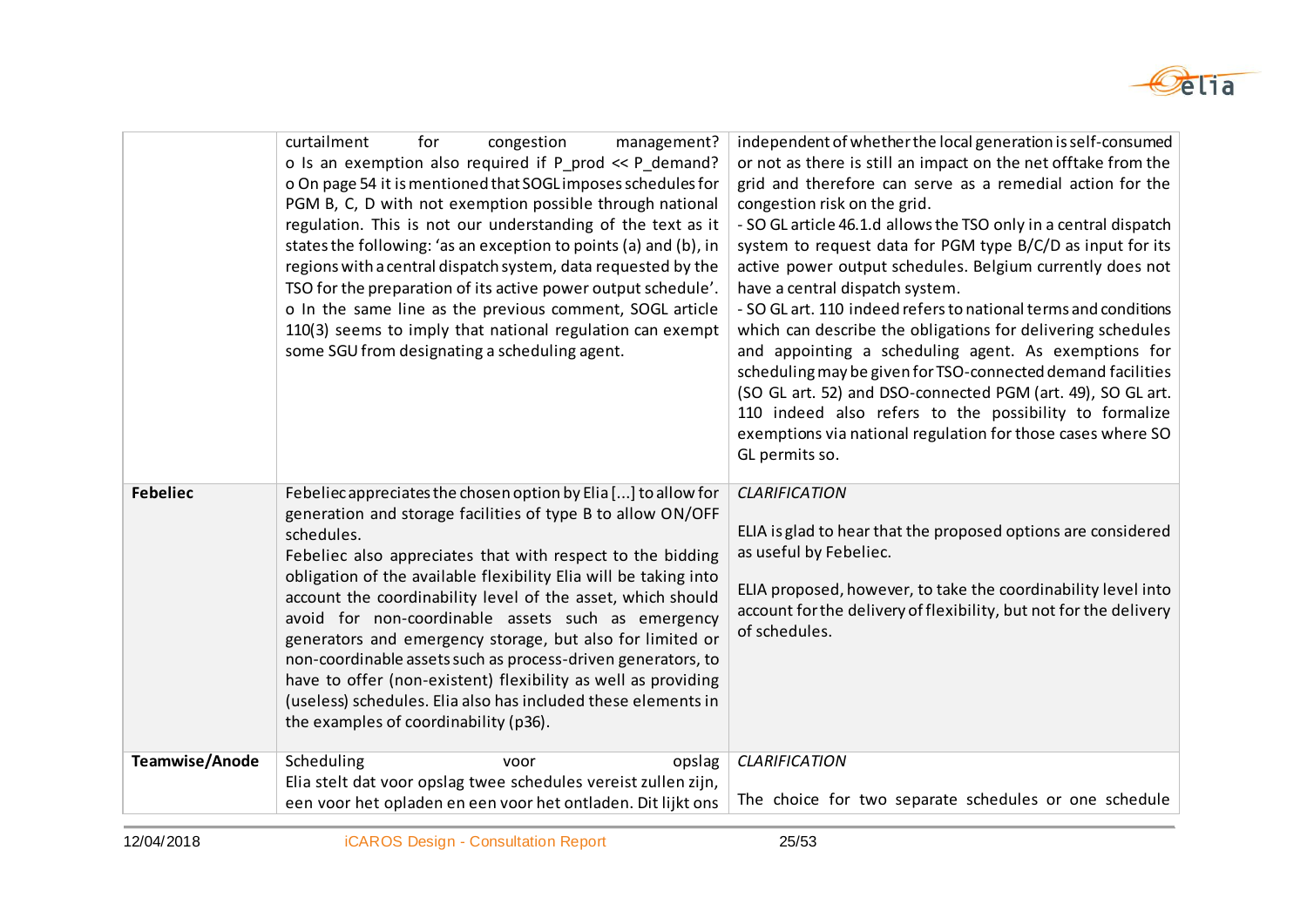

|                 | curtailment<br>for<br>congestion<br>management?<br>o Is an exemption also required if P_prod << P_demand?<br>o On page 54 it is mentioned that SOGL imposes schedules for<br>PGM B, C, D with not exemption possible through national<br>regulation. This is not our understanding of the text as it<br>states the following: 'as an exception to points (a) and (b), in<br>regions with a central dispatch system, data requested by the<br>TSO for the preparation of its active power output schedule'.<br>o In the same line as the previous comment, SOGL article<br>110(3) seems to imply that national regulation can exempt<br>some SGU from designating a scheduling agent.                       | independent of whether the local generation is self-consumed<br>or not as there is still an impact on the net offtake from the<br>grid and therefore can serve as a remedial action for the<br>congestion risk on the grid.<br>- SO GL article 46.1.d allows the TSO only in a central dispatch<br>system to request data for PGM type B/C/D as input for its<br>active power output schedules. Belgium currently does not<br>have a central dispatch system.<br>- SO GL art. 110 indeed refers to national terms and conditions<br>which can describe the obligations for delivering schedules<br>and appointing a scheduling agent. As exemptions for<br>scheduling may be given for TSO-connected demand facilities<br>(SO GL art. 52) and DSO-connected PGM (art. 49), SO GL art.<br>110 indeed also refers to the possibility to formalize<br>exemptions via national regulation for those cases where SO<br>GL permits so. |
|-----------------|------------------------------------------------------------------------------------------------------------------------------------------------------------------------------------------------------------------------------------------------------------------------------------------------------------------------------------------------------------------------------------------------------------------------------------------------------------------------------------------------------------------------------------------------------------------------------------------------------------------------------------------------------------------------------------------------------------|----------------------------------------------------------------------------------------------------------------------------------------------------------------------------------------------------------------------------------------------------------------------------------------------------------------------------------------------------------------------------------------------------------------------------------------------------------------------------------------------------------------------------------------------------------------------------------------------------------------------------------------------------------------------------------------------------------------------------------------------------------------------------------------------------------------------------------------------------------------------------------------------------------------------------------|
| <b>Febeliec</b> | Febeliec appreciates the chosen option by Elia [] to allow for<br>generation and storage facilities of type B to allow ON/OFF<br>schedules.<br>Febeliec also appreciates that with respect to the bidding<br>obligation of the available flexibility Elia will be taking into<br>account the coordinability level of the asset, which should<br>avoid for non-coordinable assets such as emergency<br>generators and emergency storage, but also for limited or<br>non-coordinable assets such as process-driven generators, to<br>have to offer (non-existent) flexibility as well as providing<br>(useless) schedules. Elia also has included these elements in<br>the examples of coordinability (p36). | <b>CLARIFICATION</b><br>ELIA is glad to hear that the proposed options are considered<br>as useful by Febeliec.<br>ELIA proposed, however, to take the coordinability level into<br>account for the delivery of flexibility, but not for the delivery<br>of schedules.                                                                                                                                                                                                                                                                                                                                                                                                                                                                                                                                                                                                                                                           |
| Teamwise/Anode  | Scheduling<br>opslag<br>voor<br>Elia stelt dat voor opslag twee schedules vereist zullen zijn,                                                                                                                                                                                                                                                                                                                                                                                                                                                                                                                                                                                                             | <b>CLARIFICATION</b>                                                                                                                                                                                                                                                                                                                                                                                                                                                                                                                                                                                                                                                                                                                                                                                                                                                                                                             |
|                 | een voor het opladen en een voor het ontladen. Dit lijkt ons                                                                                                                                                                                                                                                                                                                                                                                                                                                                                                                                                                                                                                               | The choice for two separate schedules or one schedule                                                                                                                                                                                                                                                                                                                                                                                                                                                                                                                                                                                                                                                                                                                                                                                                                                                                            |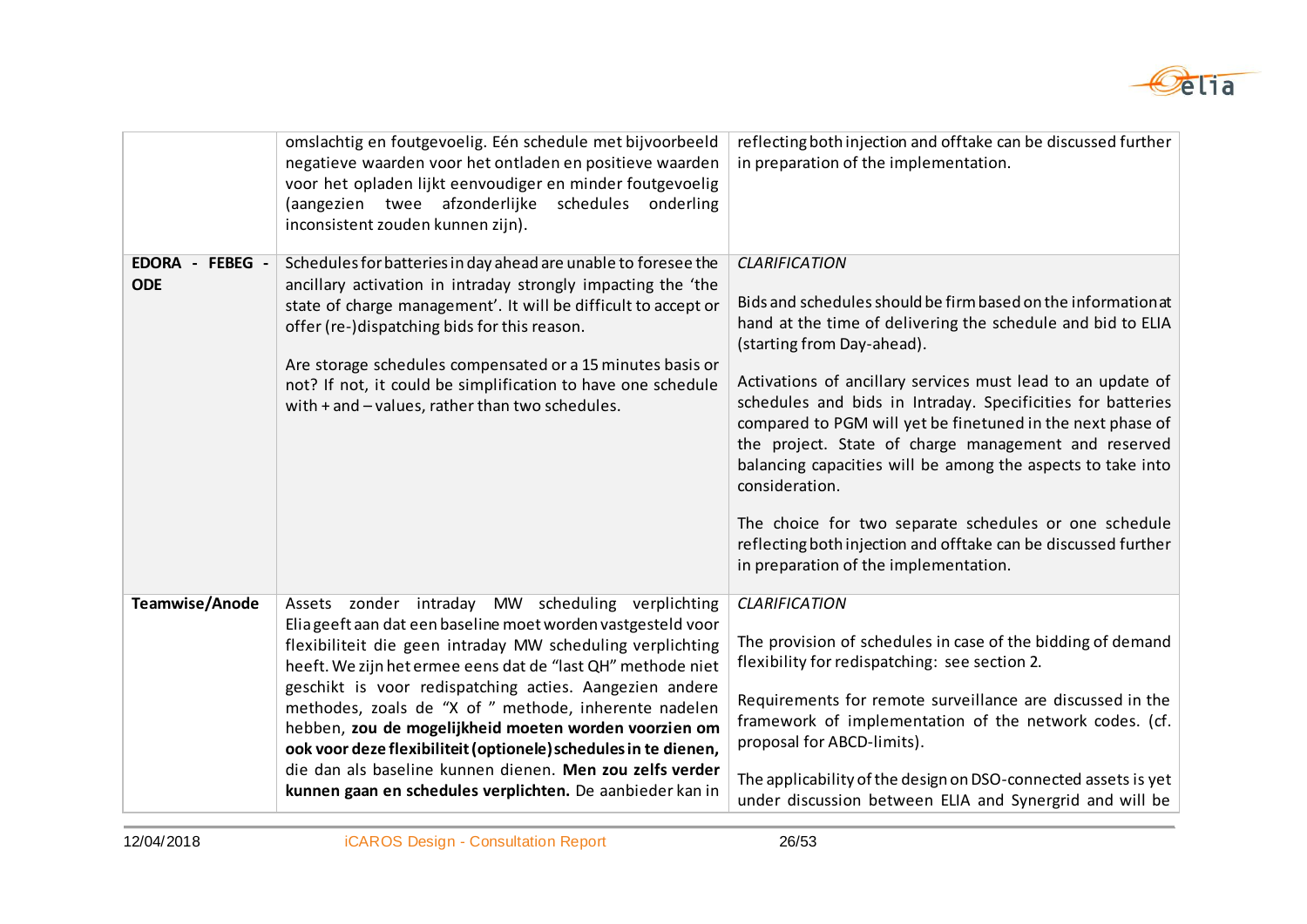

|                                  | omslachtig en foutgevoelig. Eén schedule met bijvoorbeeld<br>negatieve waarden voor het ontladen en positieve waarden<br>voor het opladen lijkt eenvoudiger en minder foutgevoelig<br>(aangezien twee afzonderlijke schedules onderling<br>inconsistent zouden kunnen zijn).                                                                                                                                                                                                                                                                                                                                            | reflecting both injection and offtake can be discussed further<br>in preparation of the implementation.                                                                                                                                                                                                                                                                                                                                                                                                                                                                                                                                                                                     |
|----------------------------------|-------------------------------------------------------------------------------------------------------------------------------------------------------------------------------------------------------------------------------------------------------------------------------------------------------------------------------------------------------------------------------------------------------------------------------------------------------------------------------------------------------------------------------------------------------------------------------------------------------------------------|---------------------------------------------------------------------------------------------------------------------------------------------------------------------------------------------------------------------------------------------------------------------------------------------------------------------------------------------------------------------------------------------------------------------------------------------------------------------------------------------------------------------------------------------------------------------------------------------------------------------------------------------------------------------------------------------|
| EDORA -<br>FEBEG -<br><b>ODE</b> | Schedules for batteries in day ahead are unable to foresee the<br>ancillary activation in intraday strongly impacting the 'the<br>state of charge management'. It will be difficult to accept or<br>offer (re-)dispatching bids for this reason.<br>Are storage schedules compensated or a 15 minutes basis or<br>not? If not, it could be simplification to have one schedule<br>with + and - values, rather than two schedules.                                                                                                                                                                                       | <b>CLARIFICATION</b><br>Bids and schedules should be firm based on the information at<br>hand at the time of delivering the schedule and bid to ELIA<br>(starting from Day-ahead).<br>Activations of ancillary services must lead to an update of<br>schedules and bids in Intraday. Specificities for batteries<br>compared to PGM will yet be finetuned in the next phase of<br>the project. State of charge management and reserved<br>balancing capacities will be among the aspects to take into<br>consideration.<br>The choice for two separate schedules or one schedule<br>reflecting both injection and offtake can be discussed further<br>in preparation of the implementation. |
| Teamwise/Anode                   | Assets zonder intraday MW scheduling verplichting<br>Elia geeft aan dat een baseline moet worden vastgesteld voor<br>flexibiliteit die geen intraday MW scheduling verplichting<br>heeft. We zijn het ermee eens dat de "last QH" methode niet<br>geschikt is voor redispatching acties. Aangezien andere<br>methodes, zoals de "X of " methode, inherente nadelen<br>hebben, zou de mogelijkheid moeten worden voorzien om<br>ook voor deze flexibiliteit (optionele) schedules in te dienen,<br>die dan als baseline kunnen dienen. Men zou zelfs verder<br>kunnen gaan en schedules verplichten. De aanbieder kan in | <b>CLARIFICATION</b><br>The provision of schedules in case of the bidding of demand<br>flexibility for redispatching: see section 2.<br>Requirements for remote surveillance are discussed in the<br>framework of implementation of the network codes. (cf.<br>proposal for ABCD-limits).<br>The applicability of the design on DSO-connected assets is yet<br>under discussion between ELIA and Synergrid and will be                                                                                                                                                                                                                                                                      |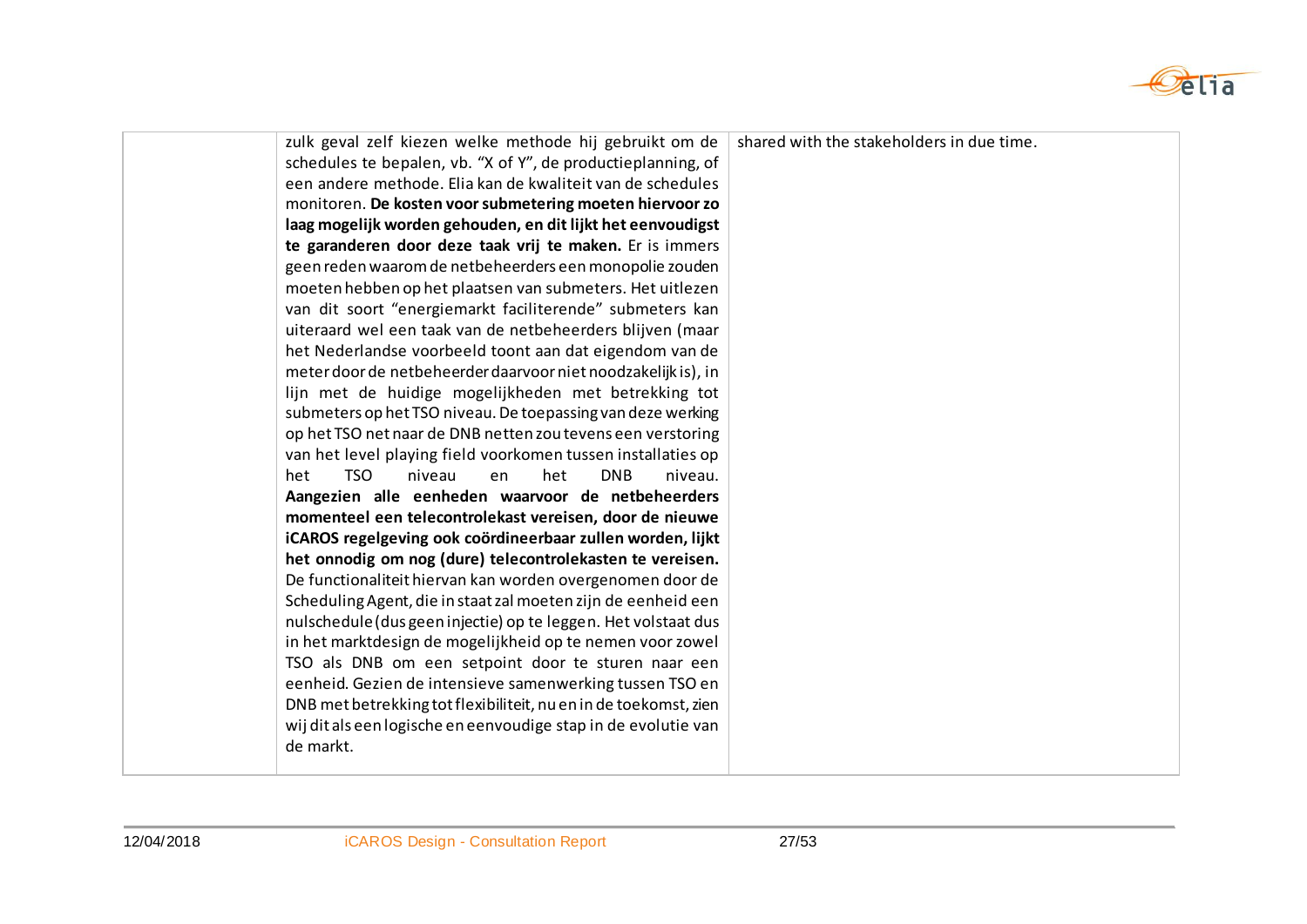

| zulk geval zelf kiezen welke methode hij gebruikt om de<br>schedules te bepalen, vb. "X of Y", de productieplanning, of<br>een andere methode. Elia kan de kwaliteit van de schedules<br>monitoren. De kosten voor submetering moeten hiervoor zo<br>laag mogelijk worden gehouden, en dit lijkt het eenvoudigst<br>te garanderen door deze taak vrij te maken. Er is immers<br>geen reden waarom de netbeheerders een monopolie zouden<br>moeten hebben op het plaatsen van submeters. Het uitlezen<br>van dit soort "energiemarkt faciliterende" submeters kan<br>uiteraard wel een taak van de netbeheerders blijven (maar<br>het Nederlandse voorbeeld toont aan dat eigendom van de<br>meter door de netbeheerder daarvoor niet noodzakelijk is), in<br>lijn met de huidige mogelijkheden met betrekking tot<br>submeters op het TSO niveau. De toepassing van deze werking<br>op het TSO net naar de DNB netten zou tevens een verstoring | shared with the stakeholders in due time. |
|-------------------------------------------------------------------------------------------------------------------------------------------------------------------------------------------------------------------------------------------------------------------------------------------------------------------------------------------------------------------------------------------------------------------------------------------------------------------------------------------------------------------------------------------------------------------------------------------------------------------------------------------------------------------------------------------------------------------------------------------------------------------------------------------------------------------------------------------------------------------------------------------------------------------------------------------------|-------------------------------------------|
| van het level playing field voorkomen tussen installaties op<br><b>TSO</b><br><b>DNB</b><br>het<br>niveau<br>het<br>en<br>niveau.                                                                                                                                                                                                                                                                                                                                                                                                                                                                                                                                                                                                                                                                                                                                                                                                               |                                           |
| Aangezien alle eenheden waarvoor de netbeheerders<br>momenteel een telecontrolekast vereisen, door de nieuwe<br>iCAROS regelgeving ook coördineerbaar zullen worden, lijkt                                                                                                                                                                                                                                                                                                                                                                                                                                                                                                                                                                                                                                                                                                                                                                      |                                           |
| het onnodig om nog (dure) telecontrolekasten te vereisen.<br>De functionaliteit hiervan kan worden overgenomen door de<br>Scheduling Agent, die in staat zal moeten zijn de eenheid een                                                                                                                                                                                                                                                                                                                                                                                                                                                                                                                                                                                                                                                                                                                                                         |                                           |
| nulschedule (dus geen injectie) op te leggen. Het volstaat dus<br>in het marktdesign de mogelijkheid op te nemen voor zowel<br>TSO als DNB om een setpoint door te sturen naar een                                                                                                                                                                                                                                                                                                                                                                                                                                                                                                                                                                                                                                                                                                                                                              |                                           |
| eenheid. Gezien de intensieve samenwerking tussen TSO en<br>DNB met betrekking tot flexibiliteit, nu en in de toekomst, zien<br>wij dit als een logische en eenvoudige stap in de evolutie van<br>de markt.                                                                                                                                                                                                                                                                                                                                                                                                                                                                                                                                                                                                                                                                                                                                     |                                           |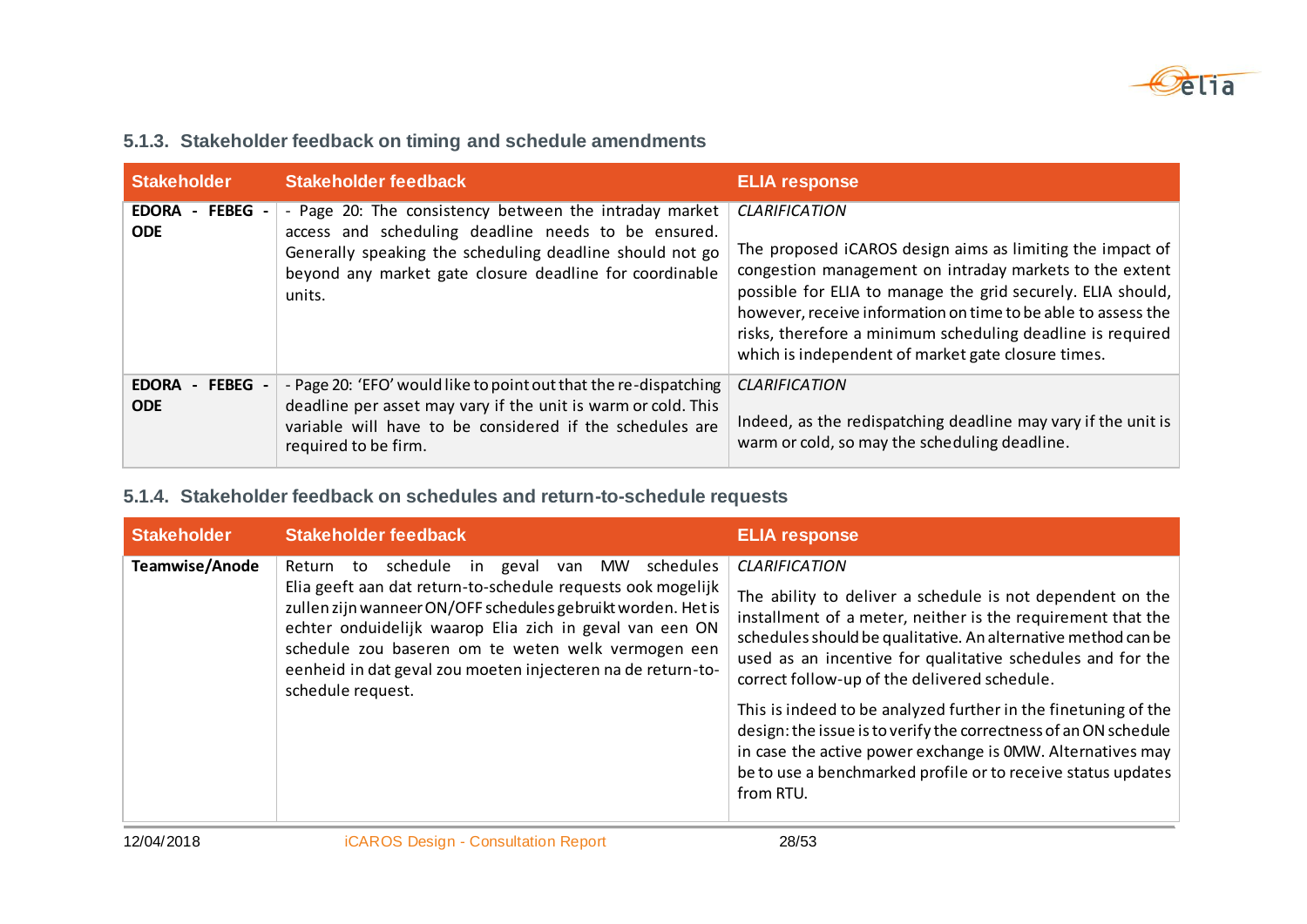

#### **5.1.3. Stakeholder feedback on timing and schedule amendments**

| <b>Stakeholder</b>                    | Stakeholder feedback                                                                                                                                                                                                                           | <b>ELIA response</b>                                                                                                                                                                                                                                                                                                                                                                             |
|---------------------------------------|------------------------------------------------------------------------------------------------------------------------------------------------------------------------------------------------------------------------------------------------|--------------------------------------------------------------------------------------------------------------------------------------------------------------------------------------------------------------------------------------------------------------------------------------------------------------------------------------------------------------------------------------------------|
| - FEBEG<br><b>EDORA</b><br><b>ODE</b> | - Page 20: The consistency between the intraday market<br>access and scheduling deadline needs to be ensured.<br>Generally speaking the scheduling deadline should not go<br>beyond any market gate closure deadline for coordinable<br>units. | <b>CLARIFICATION</b><br>The proposed iCAROS design aims as limiting the impact of<br>congestion management on intraday markets to the extent<br>possible for ELIA to manage the grid securely. ELIA should,<br>however, receive information on time to be able to assess the<br>risks, therefore a minimum scheduling deadline is required<br>which is independent of market gate closure times. |
| - FEBEG<br><b>EDORA</b><br><b>ODE</b> | - Page 20: 'EFO' would like to point out that the re-dispatching<br>deadline per asset may vary if the unit is warm or cold. This<br>variable will have to be considered if the schedules are<br>required to be firm.                          | <b>CLARIFICATION</b><br>Indeed, as the redispatching deadline may vary if the unit is<br>warm or cold, so may the scheduling deadline.                                                                                                                                                                                                                                                           |

#### **5.1.4. Stakeholder feedback on schedules and return-to-schedule requests**

| <b>Stakeholder</b> | <b>Stakeholder feedback</b>                                                                                                                                                                                                                                                                                                                                                                        | <b>ELIA response</b>                                                                                                                                                                                                                                                                                                                                                                                                                                                                                                                                                                                             |
|--------------------|----------------------------------------------------------------------------------------------------------------------------------------------------------------------------------------------------------------------------------------------------------------------------------------------------------------------------------------------------------------------------------------------------|------------------------------------------------------------------------------------------------------------------------------------------------------------------------------------------------------------------------------------------------------------------------------------------------------------------------------------------------------------------------------------------------------------------------------------------------------------------------------------------------------------------------------------------------------------------------------------------------------------------|
| Teamwise/Anode     | schedule in<br>schedules<br>geval<br>MW<br>Return<br>to<br>van<br>Elia geeft aan dat return-to-schedule requests ook mogelijk<br>zullen zijn wanneer ON/OFF schedules gebruikt worden. Het is<br>echter onduidelijk waarop Elia zich in geval van een ON<br>schedule zou baseren om te weten welk vermogen een<br>eenheid in dat geval zou moeten injecteren na de return-to-<br>schedule request. | <b>CLARIFICATION</b><br>The ability to deliver a schedule is not dependent on the<br>installment of a meter, neither is the requirement that the<br>schedules should be qualitative. An alternative method can be<br>used as an incentive for qualitative schedules and for the<br>correct follow-up of the delivered schedule.<br>This is indeed to be analyzed further in the finetuning of the<br>design: the issue is to verify the correctness of an ON schedule<br>in case the active power exchange is 0MW. Alternatives may<br>be to use a benchmarked profile or to receive status updates<br>from RTU. |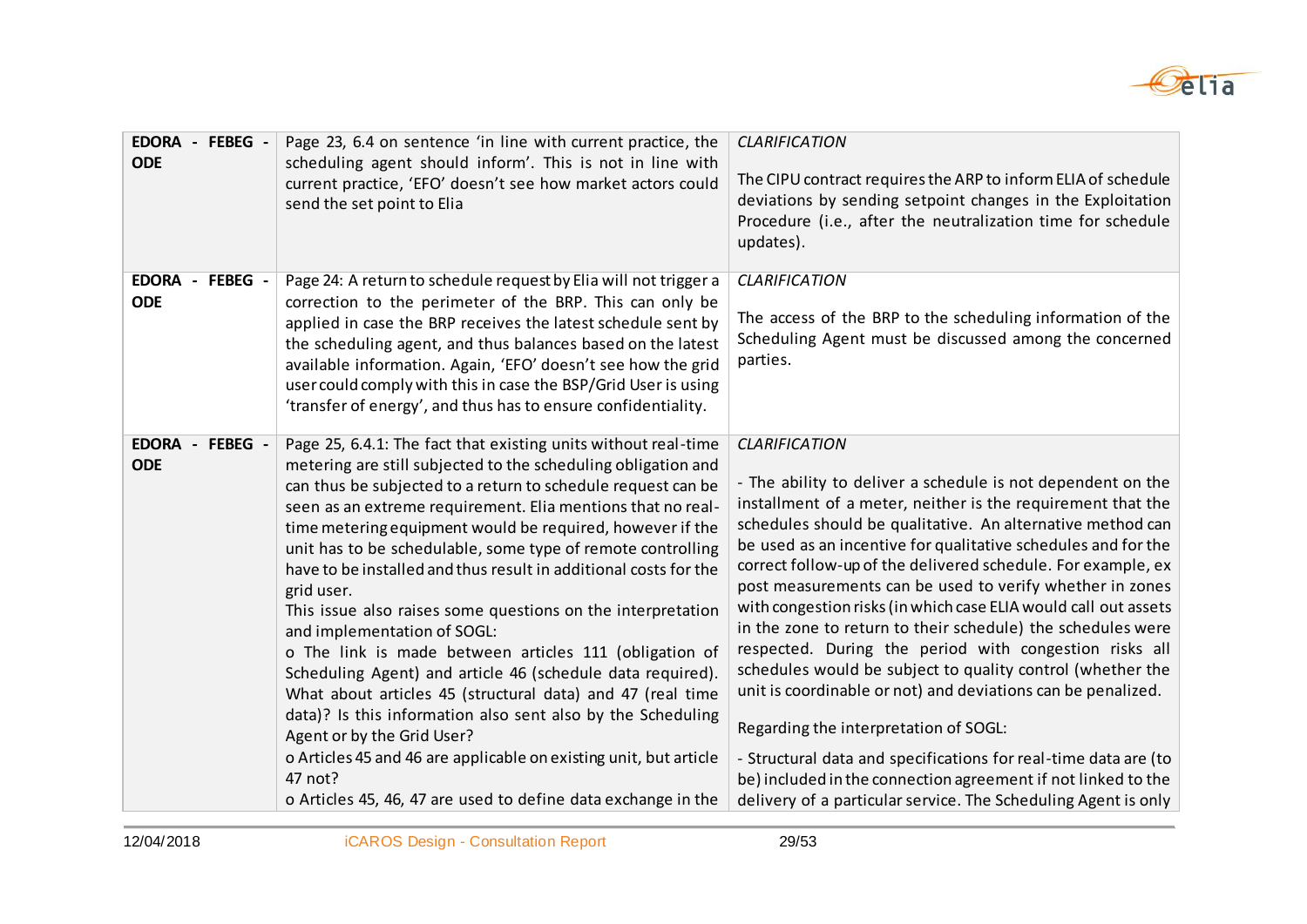

| EDORA - FEBEG -<br><b>ODE</b> | Page 23, 6.4 on sentence 'in line with current practice, the<br>scheduling agent should inform'. This is not in line with<br>current practice, 'EFO' doesn't see how market actors could<br>send the set point to Elia                                                                                                                                                                                                                                                                                                                                                                                                                                                                                                                                                                                                                                                                                                                                                                                         | <b>CLARIFICATION</b><br>The CIPU contract requires the ARP to inform ELIA of schedule<br>deviations by sending setpoint changes in the Exploitation<br>Procedure (i.e., after the neutralization time for schedule<br>updates).                                                                                                                                                                                                                                                                                                                                                                                                                                                                                                                                                                                                                                                                                                                                                        |
|-------------------------------|----------------------------------------------------------------------------------------------------------------------------------------------------------------------------------------------------------------------------------------------------------------------------------------------------------------------------------------------------------------------------------------------------------------------------------------------------------------------------------------------------------------------------------------------------------------------------------------------------------------------------------------------------------------------------------------------------------------------------------------------------------------------------------------------------------------------------------------------------------------------------------------------------------------------------------------------------------------------------------------------------------------|----------------------------------------------------------------------------------------------------------------------------------------------------------------------------------------------------------------------------------------------------------------------------------------------------------------------------------------------------------------------------------------------------------------------------------------------------------------------------------------------------------------------------------------------------------------------------------------------------------------------------------------------------------------------------------------------------------------------------------------------------------------------------------------------------------------------------------------------------------------------------------------------------------------------------------------------------------------------------------------|
| EDORA - FEBEG -<br><b>ODE</b> | Page 24: A return to schedule request by Elia will not trigger a<br>correction to the perimeter of the BRP. This can only be<br>applied in case the BRP receives the latest schedule sent by<br>the scheduling agent, and thus balances based on the latest<br>available information. Again, 'EFO' doesn't see how the grid<br>user could comply with this in case the BSP/Grid User is using<br>'transfer of energy', and thus has to ensure confidentiality.                                                                                                                                                                                                                                                                                                                                                                                                                                                                                                                                                 | <b>CLARIFICATION</b><br>The access of the BRP to the scheduling information of the<br>Scheduling Agent must be discussed among the concerned<br>parties.                                                                                                                                                                                                                                                                                                                                                                                                                                                                                                                                                                                                                                                                                                                                                                                                                               |
| EDORA - FEBEG -<br><b>ODE</b> | Page 25, 6.4.1: The fact that existing units without real-time<br>metering are still subjected to the scheduling obligation and<br>can thus be subjected to a return to schedule request can be<br>seen as an extreme requirement. Elia mentions that no real-<br>time metering equipment would be required, however if the<br>unit has to be schedulable, some type of remote controlling<br>have to be installed and thus result in additional costs for the<br>grid user.<br>This issue also raises some questions on the interpretation<br>and implementation of SOGL:<br>o The link is made between articles 111 (obligation of<br>Scheduling Agent) and article 46 (schedule data required).<br>What about articles 45 (structural data) and 47 (real time<br>data)? Is this information also sent also by the Scheduling<br>Agent or by the Grid User?<br>o Articles 45 and 46 are applicable on existing unit, but article<br>47 not?<br>o Articles 45, 46, 47 are used to define data exchange in the | <b>CLARIFICATION</b><br>- The ability to deliver a schedule is not dependent on the<br>installment of a meter, neither is the requirement that the<br>schedules should be qualitative. An alternative method can<br>be used as an incentive for qualitative schedules and for the<br>correct follow-up of the delivered schedule. For example, ex<br>post measurements can be used to verify whether in zones<br>with congestion risks (in which case ELIA would call out assets<br>in the zone to return to their schedule) the schedules were<br>respected. During the period with congestion risks all<br>schedules would be subject to quality control (whether the<br>unit is coordinable or not) and deviations can be penalized.<br>Regarding the interpretation of SOGL:<br>- Structural data and specifications for real-time data are (to<br>be) included in the connection agreement if not linked to the<br>delivery of a particular service. The Scheduling Agent is only |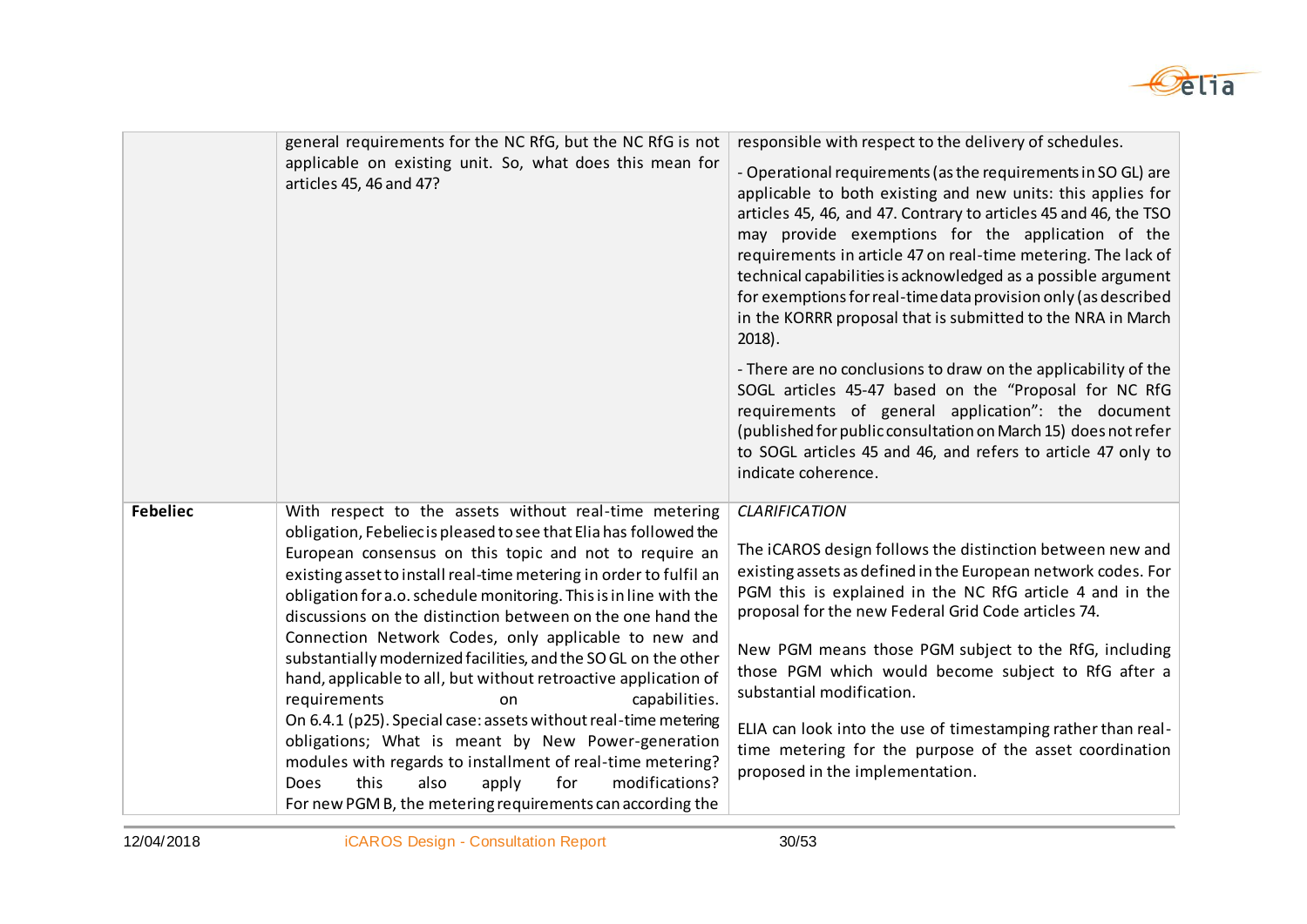

|                 | general requirements for the NC RfG, but the NC RfG is not<br>applicable on existing unit. So, what does this mean for<br>articles 45, 46 and 47?                                                                                                                                                                                                                                                                                                                                                                                                                                                                                                                                                                                                                                                                                                                                   | responsible with respect to the delivery of schedules.<br>- Operational requirements (as the requirements in SO GL) are<br>applicable to both existing and new units: this applies for<br>articles 45, 46, and 47. Contrary to articles 45 and 46, the TSO<br>may provide exemptions for the application of the<br>requirements in article 47 on real-time metering. The lack of<br>technical capabilities is acknowledged as a possible argument<br>for exemptions for real-time data provision only (as described<br>in the KORRR proposal that is submitted to the NRA in March<br>$2018$ ). |
|-----------------|-------------------------------------------------------------------------------------------------------------------------------------------------------------------------------------------------------------------------------------------------------------------------------------------------------------------------------------------------------------------------------------------------------------------------------------------------------------------------------------------------------------------------------------------------------------------------------------------------------------------------------------------------------------------------------------------------------------------------------------------------------------------------------------------------------------------------------------------------------------------------------------|-------------------------------------------------------------------------------------------------------------------------------------------------------------------------------------------------------------------------------------------------------------------------------------------------------------------------------------------------------------------------------------------------------------------------------------------------------------------------------------------------------------------------------------------------------------------------------------------------|
|                 |                                                                                                                                                                                                                                                                                                                                                                                                                                                                                                                                                                                                                                                                                                                                                                                                                                                                                     | - There are no conclusions to draw on the applicability of the<br>SOGL articles 45-47 based on the "Proposal for NC RfG<br>requirements of general application": the document<br>(published for public consultation on March 15) does not refer<br>to SOGL articles 45 and 46, and refers to article 47 only to<br>indicate coherence.                                                                                                                                                                                                                                                          |
| <b>Febeliec</b> | With respect to the assets without real-time metering<br>obligation, Febeliec is pleased to see that Elia has followed the<br>European consensus on this topic and not to require an<br>existing asset to install real-time metering in order to fulfil an<br>obligation for a.o. schedule monitoring. This is in line with the<br>discussions on the distinction between on the one hand the<br>Connection Network Codes, only applicable to new and<br>substantially modernized facilities, and the SO GL on the other<br>hand, applicable to all, but without retroactive application of<br>requirements<br>capabilities.<br>on<br>On 6.4.1 (p25). Special case: assets without real-time metering<br>obligations; What is meant by New Power-generation<br>modules with regards to installment of real-time metering?<br>modifications?<br>this<br>also<br>for<br>Does<br>apply | <b>CLARIFICATION</b><br>The iCAROS design follows the distinction between new and<br>existing assets as defined in the European network codes. For<br>PGM this is explained in the NC RfG article 4 and in the<br>proposal for the new Federal Grid Code articles 74.<br>New PGM means those PGM subject to the RfG, including<br>those PGM which would become subject to RfG after a<br>substantial modification.<br>ELIA can look into the use of timestamping rather than real-<br>time metering for the purpose of the asset coordination<br>proposed in the implementation.                |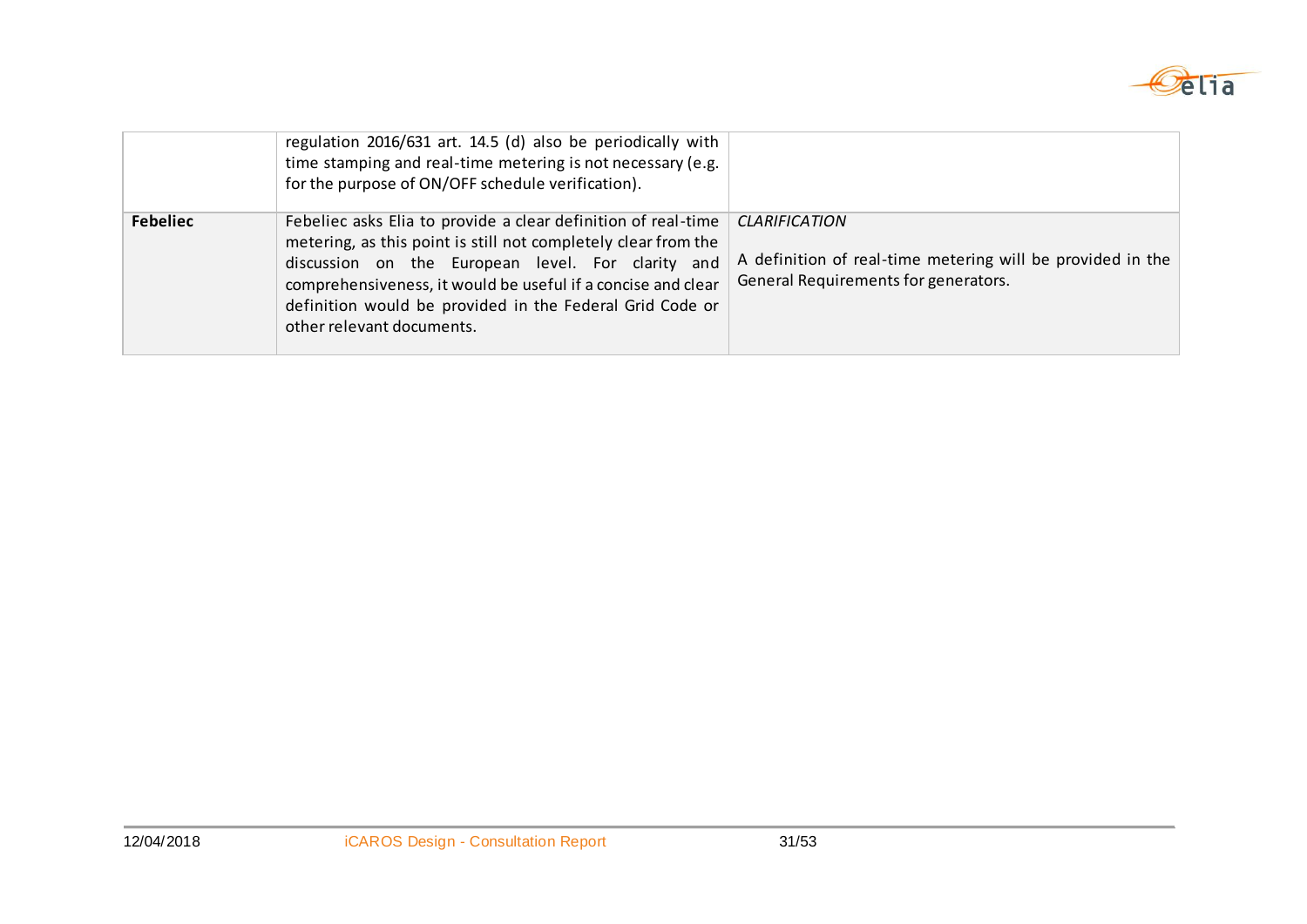

|                 | regulation 2016/631 art. 14.5 (d) also be periodically with<br>time stamping and real-time metering is not necessary (e.g.<br>for the purpose of ON/OFF schedule verification).                                                                                                                                                               |                                                                                                                            |
|-----------------|-----------------------------------------------------------------------------------------------------------------------------------------------------------------------------------------------------------------------------------------------------------------------------------------------------------------------------------------------|----------------------------------------------------------------------------------------------------------------------------|
| <b>Febeliec</b> | Febeliec asks Elia to provide a clear definition of real-time<br>metering, as this point is still not completely clear from the<br>discussion on the European level. For clarity and<br>comprehensiveness, it would be useful if a concise and clear<br>definition would be provided in the Federal Grid Code or<br>other relevant documents. | <b>CLARIFICATION</b><br>A definition of real-time metering will be provided in the<br>General Requirements for generators. |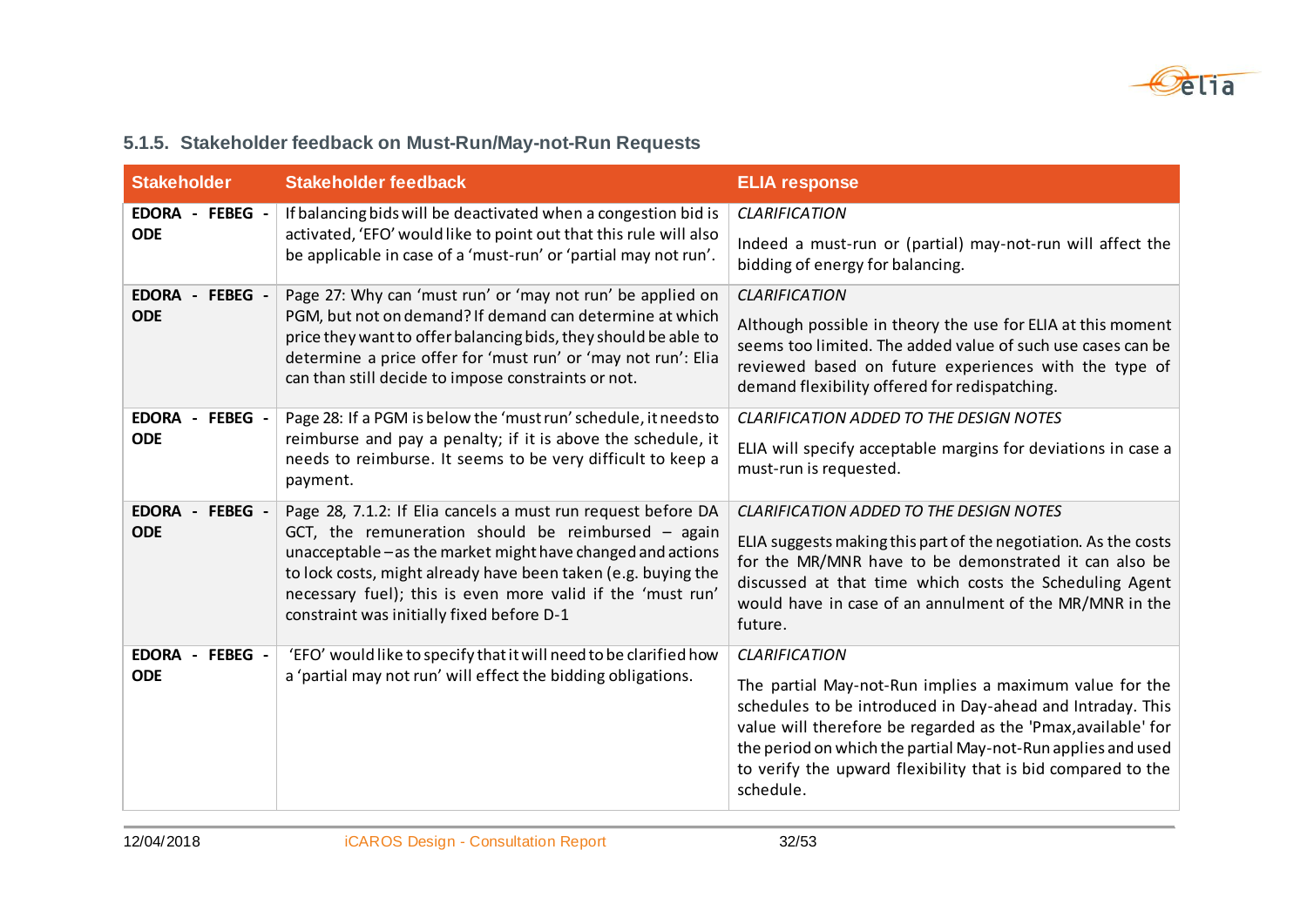

#### **5.1.5. Stakeholder feedback on Must-Run/May-not-Run Requests**

| <b>Stakeholder</b>            | <b>Stakeholder feedback</b>                                                                                                                                                                                                                                                                     | <b>ELIA response</b>                                                                                                                                                                                                                                                                                                                |
|-------------------------------|-------------------------------------------------------------------------------------------------------------------------------------------------------------------------------------------------------------------------------------------------------------------------------------------------|-------------------------------------------------------------------------------------------------------------------------------------------------------------------------------------------------------------------------------------------------------------------------------------------------------------------------------------|
| EDORA - FEBEG -               | If balancing bids will be deactivated when a congestion bid is                                                                                                                                                                                                                                  | <b>CLARIFICATION</b>                                                                                                                                                                                                                                                                                                                |
| <b>ODE</b>                    | activated, 'EFO' would like to point out that this rule will also<br>be applicable in case of a 'must-run' or 'partial may not run'.                                                                                                                                                            | Indeed a must-run or (partial) may-not-run will affect the<br>bidding of energy for balancing.                                                                                                                                                                                                                                      |
| EDORA - FEBEG -               | Page 27: Why can 'must run' or 'may not run' be applied on                                                                                                                                                                                                                                      | <b>CLARIFICATION</b>                                                                                                                                                                                                                                                                                                                |
| <b>ODE</b>                    | PGM, but not on demand? If demand can determine at which<br>price they want to offer balancing bids, they should be able to<br>determine a price offer for 'must run' or 'may not run': Elia<br>can than still decide to impose constraints or not.                                             | Although possible in theory the use for ELIA at this moment<br>seems too limited. The added value of such use cases can be<br>reviewed based on future experiences with the type of<br>demand flexibility offered for redispatching.                                                                                                |
| EDORA - FEBEG -<br><b>ODE</b> | Page 28: If a PGM is below the 'must run' schedule, it needs to<br>reimburse and pay a penalty; if it is above the schedule, it<br>needs to reimburse. It seems to be very difficult to keep a<br>payment.                                                                                      | <b>CLARIFICATION ADDED TO THE DESIGN NOTES</b><br>ELIA will specify acceptable margins for deviations in case a<br>must-run is requested.                                                                                                                                                                                           |
| EDORA - FEBEG -               | Page 28, 7.1.2: If Elia cancels a must run request before DA                                                                                                                                                                                                                                    | <b>CLARIFICATION ADDED TO THE DESIGN NOTES</b>                                                                                                                                                                                                                                                                                      |
| <b>ODE</b>                    | GCT, the remuneration should be reimbursed $-$ again<br>unacceptable - as the market might have changed and actions<br>to lock costs, might already have been taken (e.g. buying the<br>necessary fuel); this is even more valid if the 'must run'<br>constraint was initially fixed before D-1 | ELIA suggests making this part of the negotiation. As the costs<br>for the MR/MNR have to be demonstrated it can also be<br>discussed at that time which costs the Scheduling Agent<br>would have in case of an annulment of the MR/MNR in the<br>future.                                                                           |
| <b>EDORA</b><br>- FEBEG -     | 'EFO' would like to specify that it will need to be clarified how                                                                                                                                                                                                                               | <b>CLARIFICATION</b>                                                                                                                                                                                                                                                                                                                |
| <b>ODE</b>                    | a 'partial may not run' will effect the bidding obligations.                                                                                                                                                                                                                                    | The partial May-not-Run implies a maximum value for the<br>schedules to be introduced in Day-ahead and Intraday. This<br>value will therefore be regarded as the 'Pmax, available' for<br>the period on which the partial May-not-Run applies and used<br>to verify the upward flexibility that is bid compared to the<br>schedule. |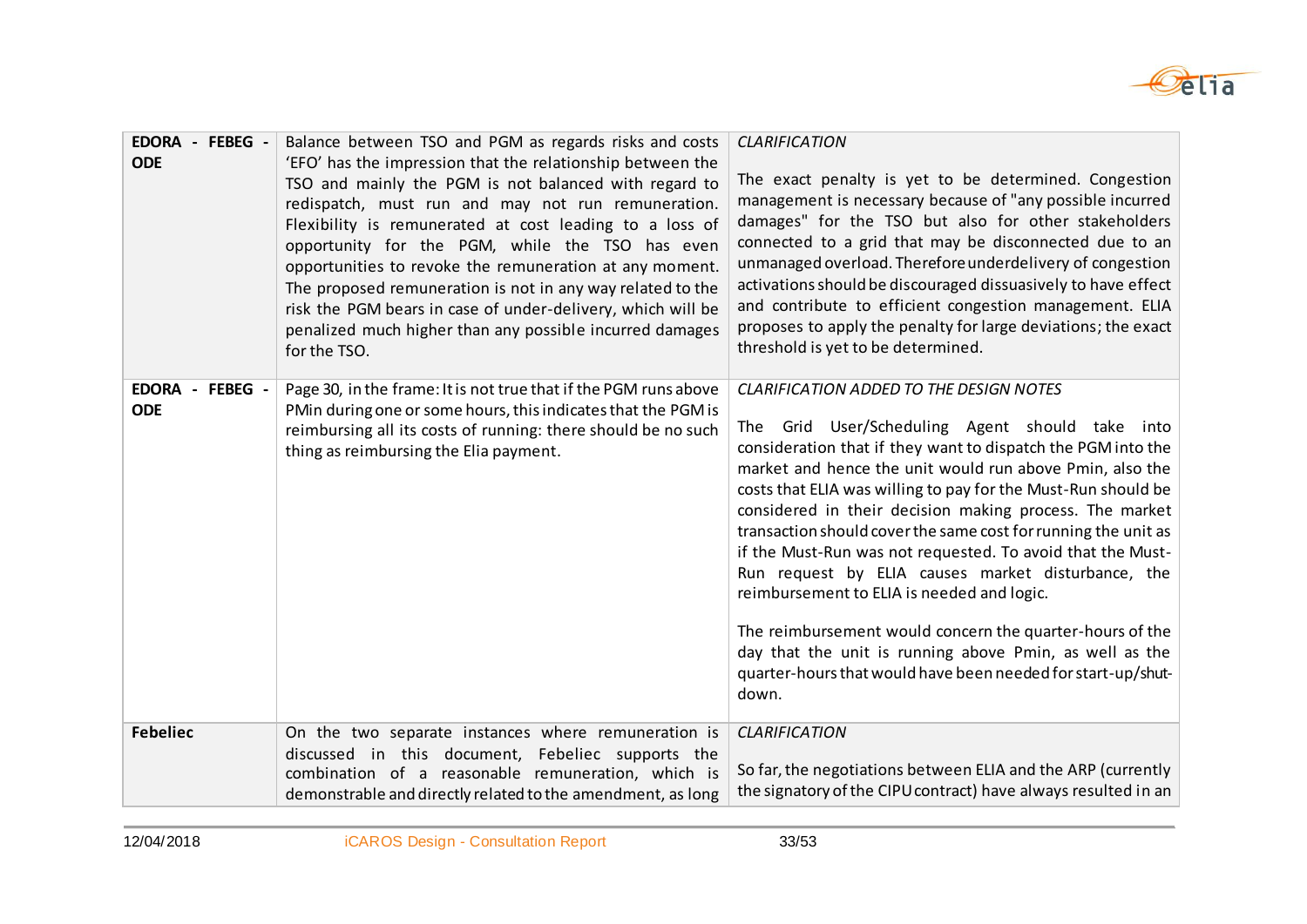

| EDORA - FEBEG -<br><b>ODE</b>    | Balance between TSO and PGM as regards risks and costs<br>'EFO' has the impression that the relationship between the<br>TSO and mainly the PGM is not balanced with regard to<br>redispatch, must run and may not run remuneration.<br>Flexibility is remunerated at cost leading to a loss of<br>opportunity for the PGM, while the TSO has even<br>opportunities to revoke the remuneration at any moment.<br>The proposed remuneration is not in any way related to the<br>risk the PGM bears in case of under-delivery, which will be<br>penalized much higher than any possible incurred damages<br>for the TSO. | <b>CLARIFICATION</b><br>The exact penalty is yet to be determined. Congestion<br>management is necessary because of "any possible incurred<br>damages" for the TSO but also for other stakeholders<br>connected to a grid that may be disconnected due to an<br>unmanaged overload. Therefore underdelivery of congestion<br>activations should be discouraged dissuasively to have effect<br>and contribute to efficient congestion management. ELIA<br>proposes to apply the penalty for large deviations; the exact<br>threshold is yet to be determined.                                                                                                                                                                                                                              |
|----------------------------------|-----------------------------------------------------------------------------------------------------------------------------------------------------------------------------------------------------------------------------------------------------------------------------------------------------------------------------------------------------------------------------------------------------------------------------------------------------------------------------------------------------------------------------------------------------------------------------------------------------------------------|-------------------------------------------------------------------------------------------------------------------------------------------------------------------------------------------------------------------------------------------------------------------------------------------------------------------------------------------------------------------------------------------------------------------------------------------------------------------------------------------------------------------------------------------------------------------------------------------------------------------------------------------------------------------------------------------------------------------------------------------------------------------------------------------|
| EDORA -<br>FEBEG -<br><b>ODE</b> | Page 30, in the frame: It is not true that if the PGM runs above<br>PMin during one or some hours, this indicates that the PGM is<br>reimbursing all its costs of running: there should be no such<br>thing as reimbursing the Elia payment.                                                                                                                                                                                                                                                                                                                                                                          | CLARIFICATION ADDED TO THE DESIGN NOTES<br>Grid User/Scheduling Agent should take into<br>The<br>consideration that if they want to dispatch the PGM into the<br>market and hence the unit would run above Pmin, also the<br>costs that ELIA was willing to pay for the Must-Run should be<br>considered in their decision making process. The market<br>transaction should cover the same cost for running the unit as<br>if the Must-Run was not requested. To avoid that the Must-<br>Run request by ELIA causes market disturbance, the<br>reimbursement to ELIA is needed and logic.<br>The reimbursement would concern the quarter-hours of the<br>day that the unit is running above Pmin, as well as the<br>quarter-hours that would have been needed for start-up/shut-<br>down. |
| <b>Febeliec</b>                  | On the two separate instances where remuneration is<br>discussed in this document, Febeliec supports the<br>combination of a reasonable remuneration, which is<br>demonstrable and directly related to the amendment, as long                                                                                                                                                                                                                                                                                                                                                                                         | <b>CLARIFICATION</b><br>So far, the negotiations between ELIA and the ARP (currently<br>the signatory of the CIPU contract) have always resulted in an                                                                                                                                                                                                                                                                                                                                                                                                                                                                                                                                                                                                                                    |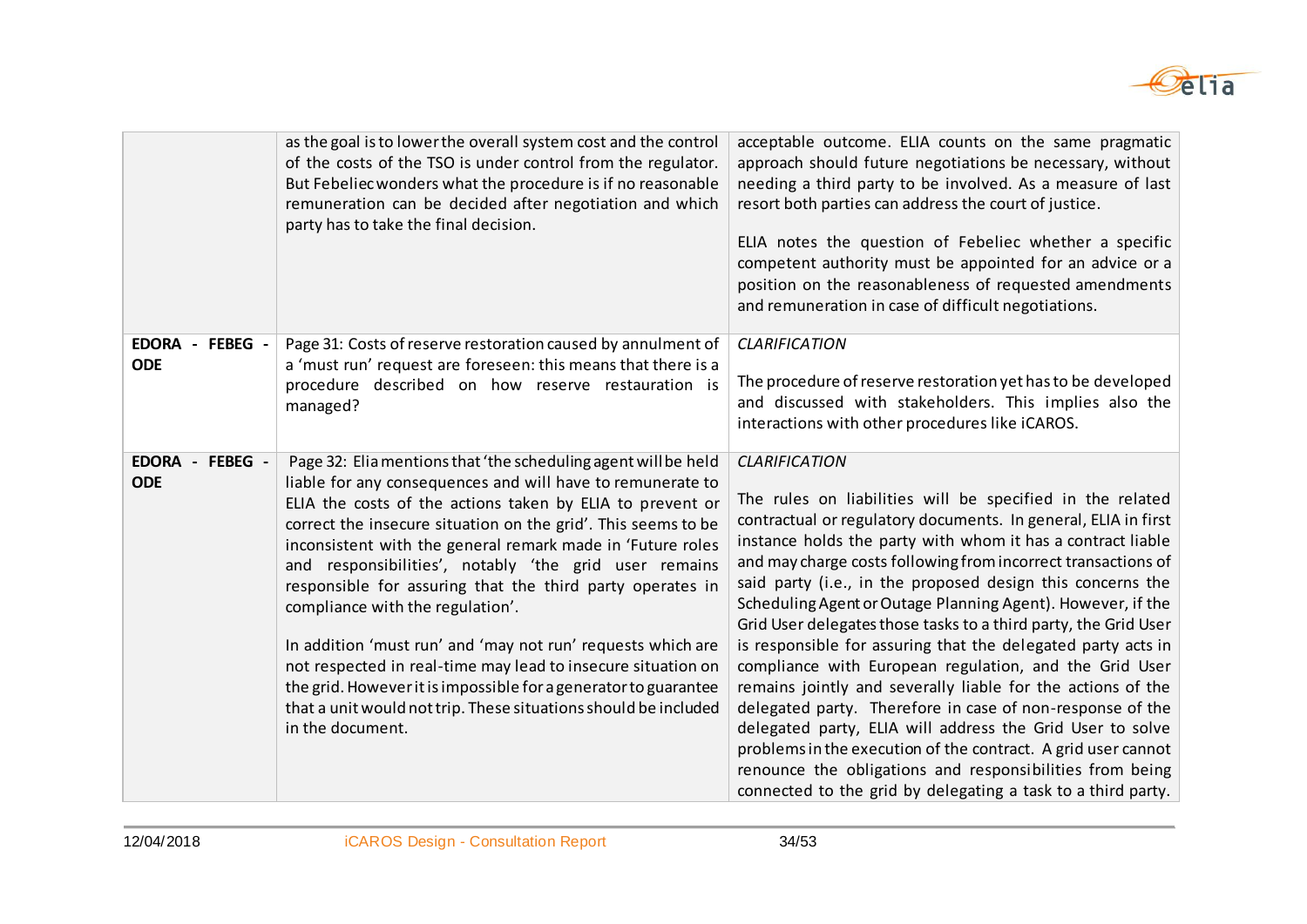

|                                         | as the goal is to lower the overall system cost and the control<br>of the costs of the TSO is under control from the regulator.<br>But Febeliec wonders what the procedure is if no reasonable<br>remuneration can be decided after negotiation and which<br>party has to take the final decision.                                                                                                                                                                                                                                                                                                                                                                                                                                                                          | acceptable outcome. ELIA counts on the same pragmatic<br>approach should future negotiations be necessary, without<br>needing a third party to be involved. As a measure of last<br>resort both parties can address the court of justice.<br>ELIA notes the question of Febeliec whether a specific<br>competent authority must be appointed for an advice or a<br>position on the reasonableness of requested amendments<br>and remuneration in case of difficult negotiations.                                                                                                                                                                                                                                                                                                                                                                                                                                                                                                                    |
|-----------------------------------------|-----------------------------------------------------------------------------------------------------------------------------------------------------------------------------------------------------------------------------------------------------------------------------------------------------------------------------------------------------------------------------------------------------------------------------------------------------------------------------------------------------------------------------------------------------------------------------------------------------------------------------------------------------------------------------------------------------------------------------------------------------------------------------|-----------------------------------------------------------------------------------------------------------------------------------------------------------------------------------------------------------------------------------------------------------------------------------------------------------------------------------------------------------------------------------------------------------------------------------------------------------------------------------------------------------------------------------------------------------------------------------------------------------------------------------------------------------------------------------------------------------------------------------------------------------------------------------------------------------------------------------------------------------------------------------------------------------------------------------------------------------------------------------------------------|
| EDORA - FEBEG -<br><b>ODE</b>           | Page 31: Costs of reserve restoration caused by annulment of<br>a 'must run' request are foreseen: this means that there is a<br>procedure described on how reserve restauration is<br>managed?                                                                                                                                                                                                                                                                                                                                                                                                                                                                                                                                                                             | <b>CLARIFICATION</b><br>The procedure of reserve restoration yet has to be developed<br>and discussed with stakeholders. This implies also the<br>interactions with other procedures like iCAROS.                                                                                                                                                                                                                                                                                                                                                                                                                                                                                                                                                                                                                                                                                                                                                                                                   |
| <b>EDORA</b><br>- FEBEG -<br><b>ODE</b> | Page 32: Elia mentions that 'the scheduling agent will be held<br>liable for any consequences and will have to remunerate to<br>ELIA the costs of the actions taken by ELIA to prevent or<br>correct the insecure situation on the grid'. This seems to be<br>inconsistent with the general remark made in 'Future roles<br>and responsibilities', notably 'the grid user remains<br>responsible for assuring that the third party operates in<br>compliance with the regulation'.<br>In addition 'must run' and 'may not run' requests which are<br>not respected in real-time may lead to insecure situation on<br>the grid. However it is impossible for a generator to guarantee<br>that a unit would not trip. These situations should be included<br>in the document. | <b>CLARIFICATION</b><br>The rules on liabilities will be specified in the related<br>contractual or regulatory documents. In general, ELIA in first<br>instance holds the party with whom it has a contract liable<br>and may charge costs following from incorrect transactions of<br>said party (i.e., in the proposed design this concerns the<br>Scheduling Agent or Outage Planning Agent). However, if the<br>Grid User delegates those tasks to a third party, the Grid User<br>is responsible for assuring that the delegated party acts in<br>compliance with European regulation, and the Grid User<br>remains jointly and severally liable for the actions of the<br>delegated party. Therefore in case of non-response of the<br>delegated party, ELIA will address the Grid User to solve<br>problems in the execution of the contract. A grid user cannot<br>renounce the obligations and responsibilities from being<br>connected to the grid by delegating a task to a third party. |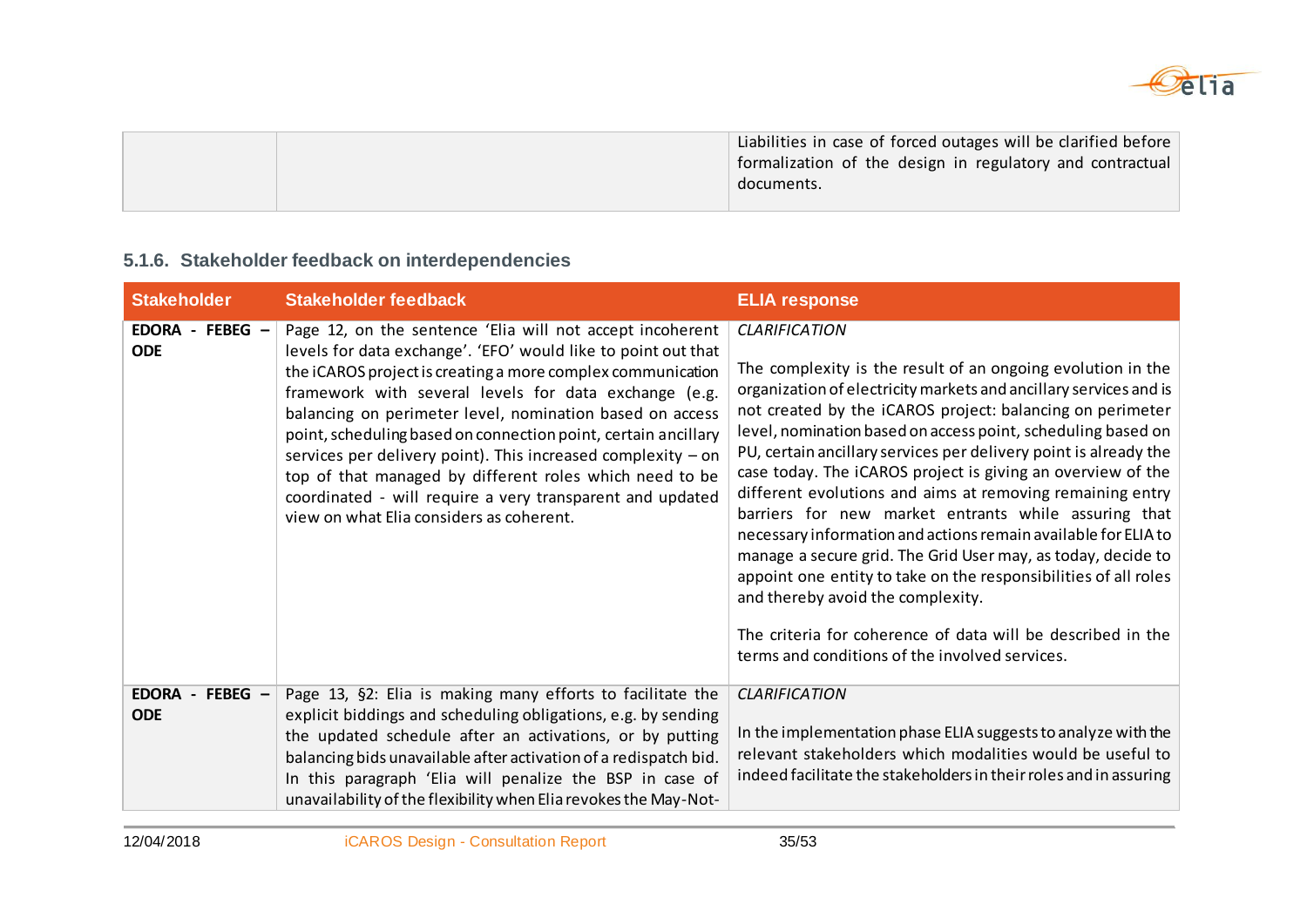

|  | Liabilities in case of forced outages will be clarified before |
|--|----------------------------------------------------------------|
|  | formalization of the design in regulatory and contractual      |
|  | documents.                                                     |
|  |                                                                |

### **5.1.6. Stakeholder feedback on interdependencies**

| <b>Stakeholder</b>            | <b>Stakeholder feedback</b>                                                                                                                                                                                                                                                                                                                                                                                                                                                                                                                                                                                          | <b>ELIA response</b>                                                                                                                                                                                                                                                                                                                                                                                                                                                                                                                                                                                                                                                                                                                                                                                                                                                                                     |
|-------------------------------|----------------------------------------------------------------------------------------------------------------------------------------------------------------------------------------------------------------------------------------------------------------------------------------------------------------------------------------------------------------------------------------------------------------------------------------------------------------------------------------------------------------------------------------------------------------------------------------------------------------------|----------------------------------------------------------------------------------------------------------------------------------------------------------------------------------------------------------------------------------------------------------------------------------------------------------------------------------------------------------------------------------------------------------------------------------------------------------------------------------------------------------------------------------------------------------------------------------------------------------------------------------------------------------------------------------------------------------------------------------------------------------------------------------------------------------------------------------------------------------------------------------------------------------|
| EDORA - FEBEG -<br><b>ODE</b> | Page 12, on the sentence 'Elia will not accept incoherent<br>levels for data exchange'. 'EFO' would like to point out that<br>the iCAROS project is creating a more complex communication<br>framework with several levels for data exchange (e.g.<br>balancing on perimeter level, nomination based on access<br>point, scheduling based on connection point, certain ancillary<br>services per delivery point). This increased complexity - on<br>top of that managed by different roles which need to be<br>coordinated - will require a very transparent and updated<br>view on what Elia considers as coherent. | <b>CLARIFICATION</b><br>The complexity is the result of an ongoing evolution in the<br>organization of electricity markets and ancillary services and is<br>not created by the iCAROS project: balancing on perimeter<br>level, nomination based on access point, scheduling based on<br>PU, certain ancillary services per delivery point is already the<br>case today. The iCAROS project is giving an overview of the<br>different evolutions and aims at removing remaining entry<br>barriers for new market entrants while assuring that<br>necessary information and actions remain available for ELIA to<br>manage a secure grid. The Grid User may, as today, decide to<br>appoint one entity to take on the responsibilities of all roles<br>and thereby avoid the complexity.<br>The criteria for coherence of data will be described in the<br>terms and conditions of the involved services. |
| EDORA - FEBEG -<br><b>ODE</b> | Page 13, §2: Elia is making many efforts to facilitate the<br>explicit biddings and scheduling obligations, e.g. by sending<br>the updated schedule after an activations, or by putting<br>balancing bids unavailable after activation of a redispatch bid.<br>In this paragraph 'Elia will penalize the BSP in case of<br>unavailability of the flexibility when Elia revokes the May-Not-                                                                                                                                                                                                                          | <b>CLARIFICATION</b><br>In the implementation phase ELIA suggests to analyze with the<br>relevant stakeholders which modalities would be useful to<br>indeed facilitate the stakeholders in their roles and in assuring                                                                                                                                                                                                                                                                                                                                                                                                                                                                                                                                                                                                                                                                                  |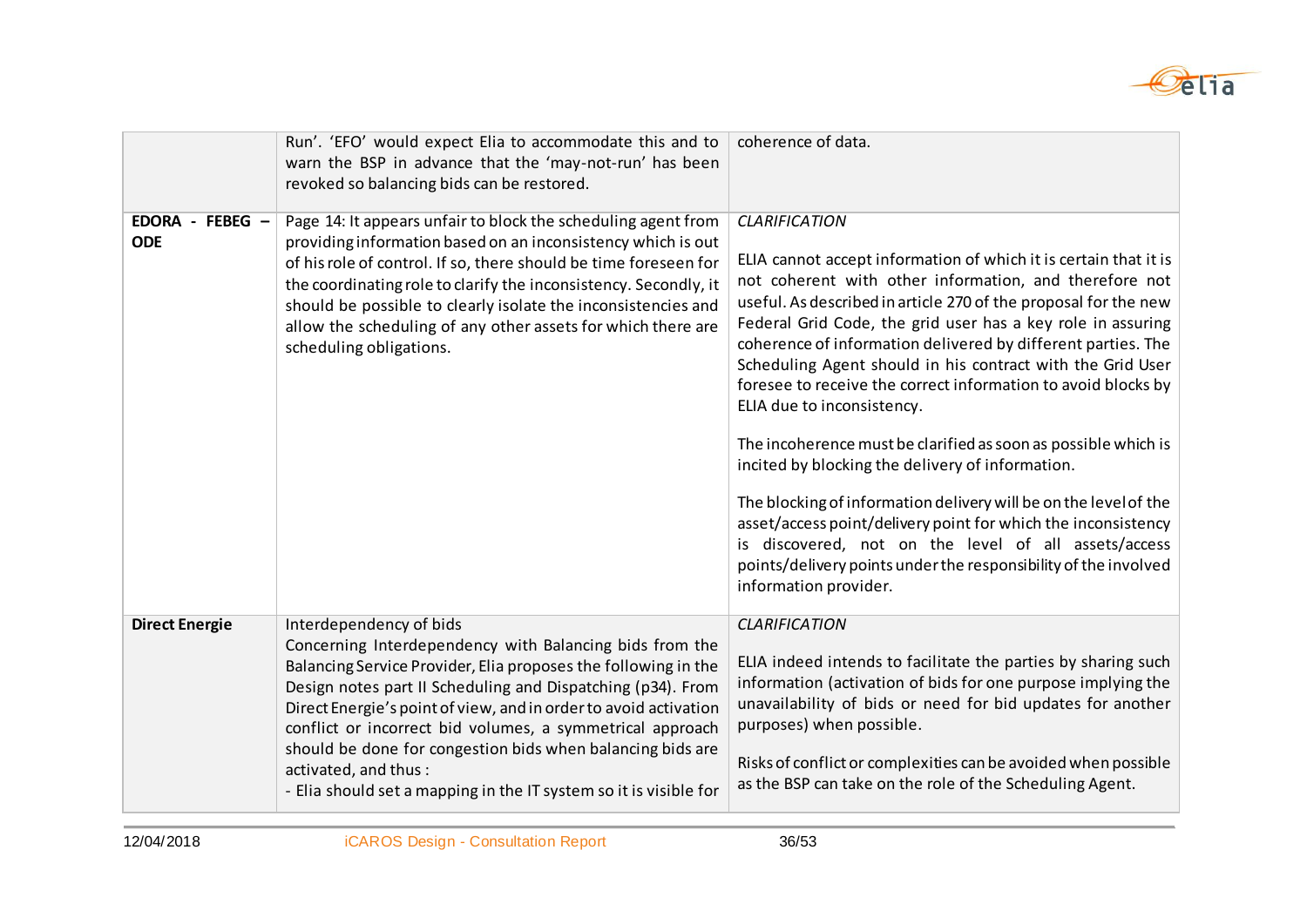

|                                                           | Run'. 'EFO' would expect Elia to accommodate this and to<br>warn the BSP in advance that the 'may-not-run' has been<br>revoked so balancing bids can be restored.                                                                                                                                                                                                                                                                                                                                               | coherence of data.                                                                                                                                                                                                                                                                                                                                                                                                                                                                                                                                                                                                                                                                                                                                                                                                                                                                                                               |
|-----------------------------------------------------------|-----------------------------------------------------------------------------------------------------------------------------------------------------------------------------------------------------------------------------------------------------------------------------------------------------------------------------------------------------------------------------------------------------------------------------------------------------------------------------------------------------------------|----------------------------------------------------------------------------------------------------------------------------------------------------------------------------------------------------------------------------------------------------------------------------------------------------------------------------------------------------------------------------------------------------------------------------------------------------------------------------------------------------------------------------------------------------------------------------------------------------------------------------------------------------------------------------------------------------------------------------------------------------------------------------------------------------------------------------------------------------------------------------------------------------------------------------------|
| <b>EDORA</b><br>$FEBEG -$<br>$\blacksquare$<br><b>ODE</b> | Page 14: It appears unfair to block the scheduling agent from<br>providing information based on an inconsistency which is out<br>of his role of control. If so, there should be time foreseen for<br>the coordinating role to clarify the inconsistency. Secondly, it<br>should be possible to clearly isolate the inconsistencies and<br>allow the scheduling of any other assets for which there are<br>scheduling obligations.                                                                               | <b>CLARIFICATION</b><br>ELIA cannot accept information of which it is certain that it is<br>not coherent with other information, and therefore not<br>useful. As described in article 270 of the proposal for the new<br>Federal Grid Code, the grid user has a key role in assuring<br>coherence of information delivered by different parties. The<br>Scheduling Agent should in his contract with the Grid User<br>foresee to receive the correct information to avoid blocks by<br>ELIA due to inconsistency.<br>The incoherence must be clarified as soon as possible which is<br>incited by blocking the delivery of information.<br>The blocking of information delivery will be on the level of the<br>asset/access point/delivery point for which the inconsistency<br>is discovered, not on the level of all assets/access<br>points/delivery points under the responsibility of the involved<br>information provider. |
| <b>Direct Energie</b>                                     | Interdependency of bids<br>Concerning Interdependency with Balancing bids from the<br>Balancing Service Provider, Elia proposes the following in the<br>Design notes part II Scheduling and Dispatching (p34). From<br>Direct Energie's point of view, and in order to avoid activation<br>conflict or incorrect bid volumes, a symmetrical approach<br>should be done for congestion bids when balancing bids are<br>activated, and thus:<br>- Elia should set a mapping in the IT system so it is visible for | <b>CLARIFICATION</b><br>ELIA indeed intends to facilitate the parties by sharing such<br>information (activation of bids for one purpose implying the<br>unavailability of bids or need for bid updates for another<br>purposes) when possible.<br>Risks of conflict or complexities can be avoided when possible<br>as the BSP can take on the role of the Scheduling Agent.                                                                                                                                                                                                                                                                                                                                                                                                                                                                                                                                                    |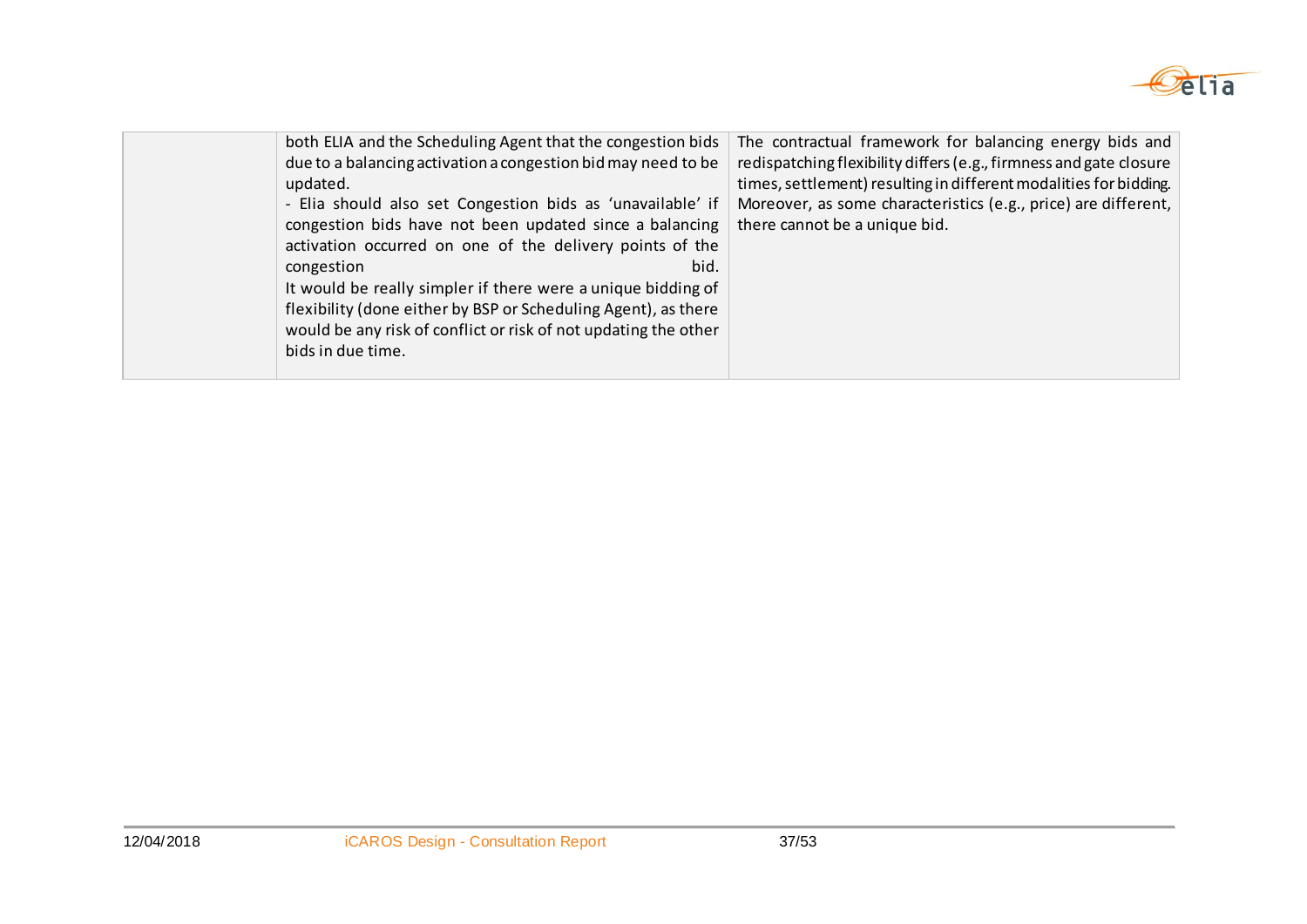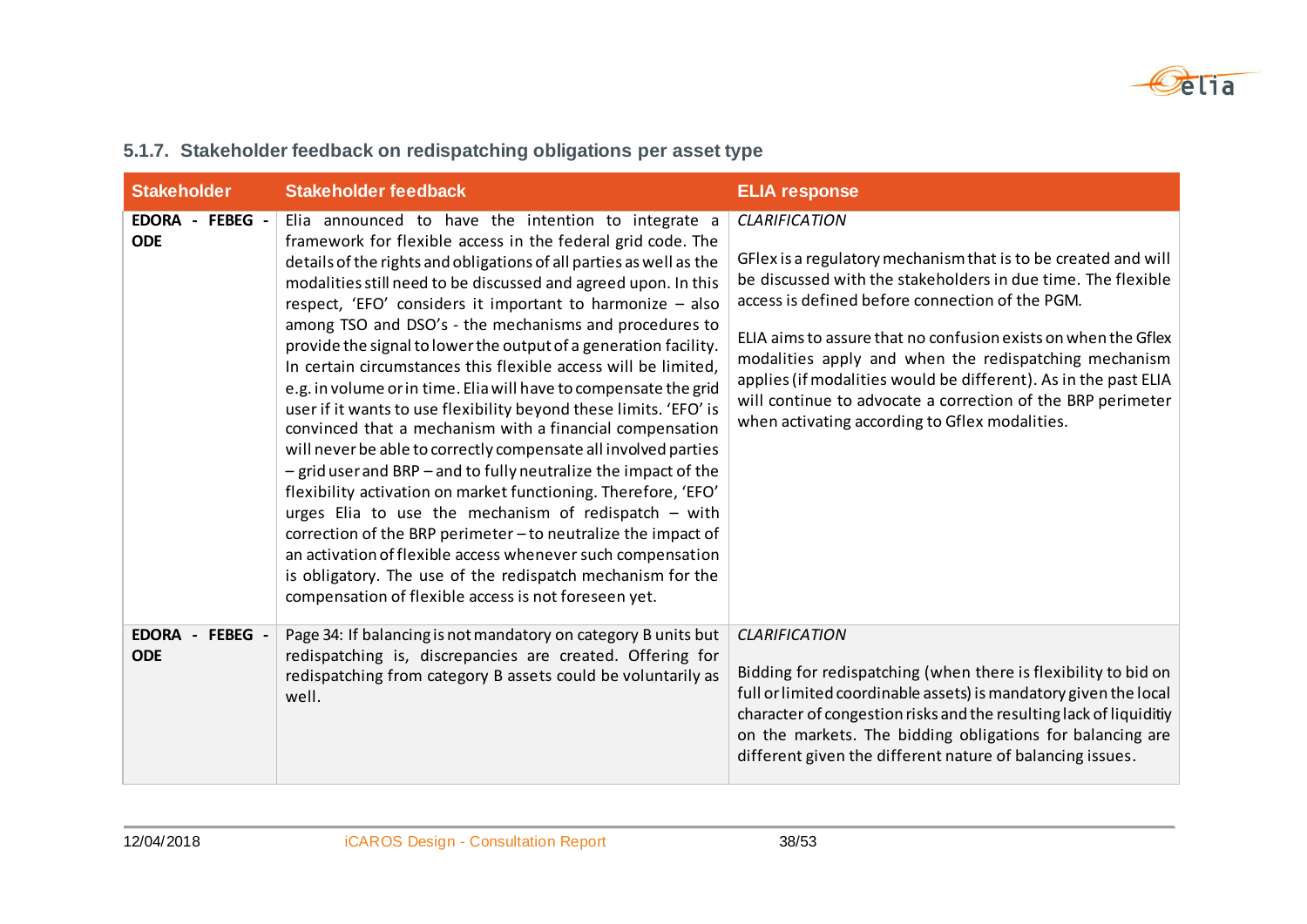

| <b>Stakeholder</b>            | <b>Stakeholder feedback</b>                                                                                                                                                                                                                                                                                                                                                                                                                                                                                                                                                                                                                                                                                                                                                                                                                                                                                                                                                                                                                                                                                                                                                                                                                           | <b>ELIA response</b>                                                                                                                                                                                                                                                                                                                                                                                                                                                                                                     |
|-------------------------------|-------------------------------------------------------------------------------------------------------------------------------------------------------------------------------------------------------------------------------------------------------------------------------------------------------------------------------------------------------------------------------------------------------------------------------------------------------------------------------------------------------------------------------------------------------------------------------------------------------------------------------------------------------------------------------------------------------------------------------------------------------------------------------------------------------------------------------------------------------------------------------------------------------------------------------------------------------------------------------------------------------------------------------------------------------------------------------------------------------------------------------------------------------------------------------------------------------------------------------------------------------|--------------------------------------------------------------------------------------------------------------------------------------------------------------------------------------------------------------------------------------------------------------------------------------------------------------------------------------------------------------------------------------------------------------------------------------------------------------------------------------------------------------------------|
| EDORA - FEBEG -<br><b>ODE</b> | Elia announced to have the intention to integrate a<br>framework for flexible access in the federal grid code. The<br>details of the rights and obligations of all parties as well as the<br>modalities still need to be discussed and agreed upon. In this<br>respect, 'EFO' considers it important to harmonize - also<br>among TSO and DSO's - the mechanisms and procedures to<br>provide the signal to lower the output of a generation facility.<br>In certain circumstances this flexible access will be limited,<br>e.g. in volume or in time. Elia will have to compensate the grid<br>user if it wants to use flexibility beyond these limits. 'EFO' is<br>convinced that a mechanism with a financial compensation<br>will never be able to correctly compensate all involved parties<br>- grid user and BRP - and to fully neutralize the impact of the<br>flexibility activation on market functioning. Therefore, 'EFO'<br>urges Elia to use the mechanism of redispatch $-$ with<br>correction of the BRP perimeter - to neutralize the impact of<br>an activation of flexible access whenever such compensation<br>is obligatory. The use of the redispatch mechanism for the<br>compensation of flexible access is not foreseen yet. | <b>CLARIFICATION</b><br>GFlex is a regulatory mechanism that is to be created and will<br>be discussed with the stakeholders in due time. The flexible<br>access is defined before connection of the PGM.<br>ELIA aims to assure that no confusion exists on when the Gflex<br>modalities apply and when the redispatching mechanism<br>applies (if modalities would be different). As in the past ELIA<br>will continue to advocate a correction of the BRP perimeter<br>when activating according to Gflex modalities. |
| EDORA - FEBEG -<br><b>ODE</b> | Page 34: If balancing is not mandatory on category B units but<br>redispatching is, discrepancies are created. Offering for<br>redispatching from category B assets could be voluntarily as<br>well.                                                                                                                                                                                                                                                                                                                                                                                                                                                                                                                                                                                                                                                                                                                                                                                                                                                                                                                                                                                                                                                  | <b>CLARIFICATION</b><br>Bidding for redispatching (when there is flexibility to bid on<br>full or limited coordinable assets) is mandatory given the local<br>character of congestion risks and the resulting lack of liquiditiy<br>on the markets. The bidding obligations for balancing are<br>different given the different nature of balancing issues.                                                                                                                                                               |

### **5.1.7. Stakeholder feedback on redispatching obligations per asset type**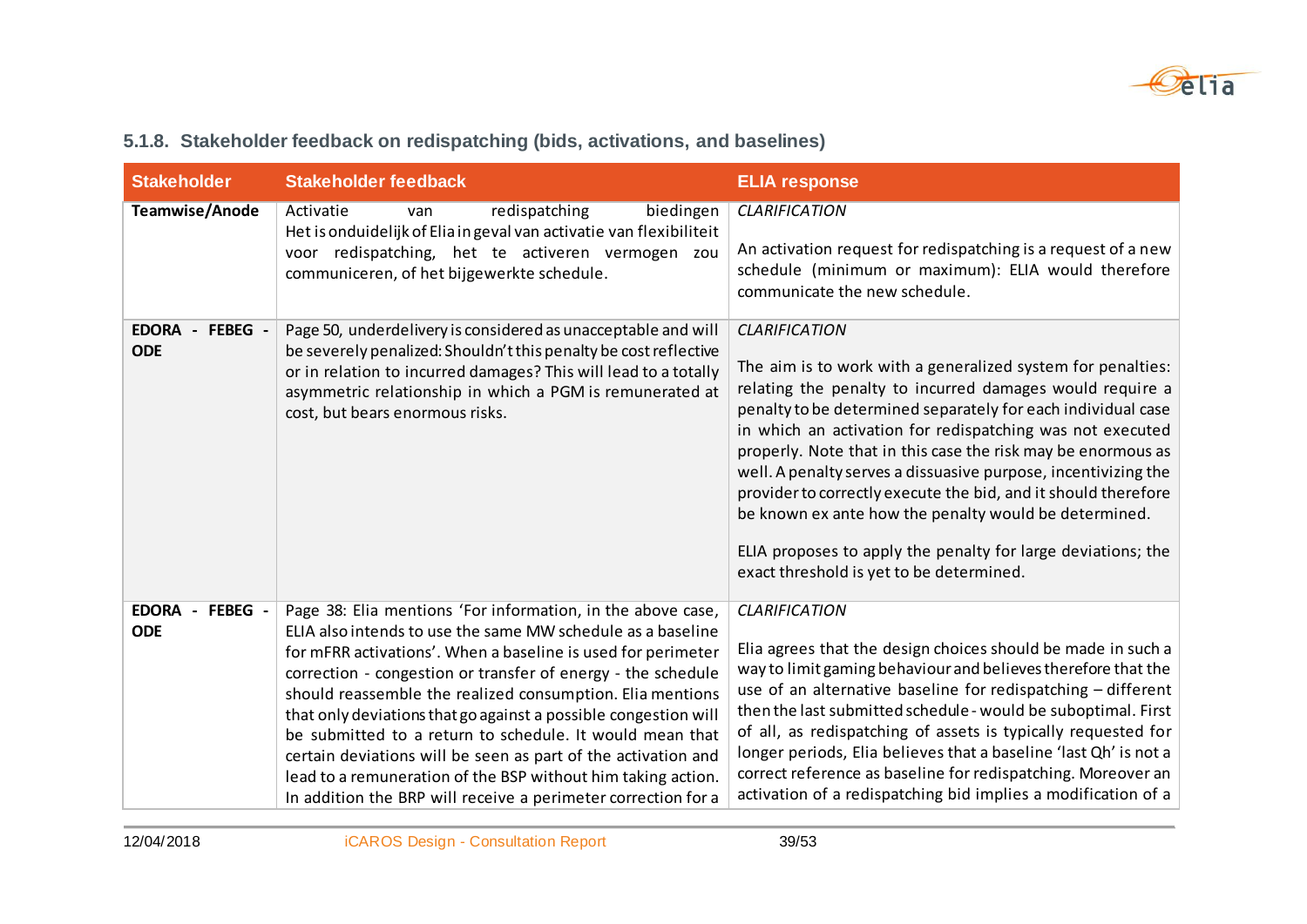

|  |  |  |  |  |  | 5.1.8. Stakeholder feedback on redispatching (bids, activations, and baselines) |  |
|--|--|--|--|--|--|---------------------------------------------------------------------------------|--|
|--|--|--|--|--|--|---------------------------------------------------------------------------------|--|

| <b>Stakeholder</b>                      | <b>Stakeholder feedback</b>                                                                                                                                                                                                                                                                                                                                                                                                                                                                                                                                                                                                                              | <b>ELIA response</b>                                                                                                                                                                                                                                                                                                                                                                                                                                                                                                                                                                                                                                  |
|-----------------------------------------|----------------------------------------------------------------------------------------------------------------------------------------------------------------------------------------------------------------------------------------------------------------------------------------------------------------------------------------------------------------------------------------------------------------------------------------------------------------------------------------------------------------------------------------------------------------------------------------------------------------------------------------------------------|-------------------------------------------------------------------------------------------------------------------------------------------------------------------------------------------------------------------------------------------------------------------------------------------------------------------------------------------------------------------------------------------------------------------------------------------------------------------------------------------------------------------------------------------------------------------------------------------------------------------------------------------------------|
| Teamwise/Anode                          | Activatie<br>redispatching<br>biedingen<br>van<br>Het is onduidelijk of Elia in geval van activatie van flexibiliteit<br>voor redispatching, het te activeren vermogen zou<br>communiceren, of het bijgewerkte schedule.                                                                                                                                                                                                                                                                                                                                                                                                                                 | <b>CLARIFICATION</b><br>An activation request for redispatching is a request of a new<br>schedule (minimum or maximum): ELIA would therefore<br>communicate the new schedule.                                                                                                                                                                                                                                                                                                                                                                                                                                                                         |
| EDORA - FEBEG -<br><b>ODE</b>           | Page 50, underdelivery is considered as unacceptable and will<br>be severely penalized: Shouldn't this penalty be cost reflective<br>or in relation to incurred damages? This will lead to a totally<br>asymmetric relationship in which a PGM is remunerated at<br>cost, but bears enormous risks.                                                                                                                                                                                                                                                                                                                                                      | <b>CLARIFICATION</b><br>The aim is to work with a generalized system for penalties:<br>relating the penalty to incurred damages would require a<br>penalty to be determined separately for each individual case<br>in which an activation for redispatching was not executed<br>properly. Note that in this case the risk may be enormous as<br>well. A penalty serves a dissuasive purpose, incentivizing the<br>provider to correctly execute the bid, and it should therefore<br>be known ex ante how the penalty would be determined.<br>ELIA proposes to apply the penalty for large deviations; the<br>exact threshold is yet to be determined. |
| <b>EDORA</b><br>- FEBEG -<br><b>ODE</b> | Page 38: Elia mentions 'For information, in the above case,<br>ELIA also intends to use the same MW schedule as a baseline<br>for mFRR activations'. When a baseline is used for perimeter<br>correction - congestion or transfer of energy - the schedule<br>should reassemble the realized consumption. Elia mentions<br>that only deviations that go against a possible congestion will<br>be submitted to a return to schedule. It would mean that<br>certain deviations will be seen as part of the activation and<br>lead to a remuneration of the BSP without him taking action.<br>In addition the BRP will receive a perimeter correction for a | <b>CLARIFICATION</b><br>Elia agrees that the design choices should be made in such a<br>way to limit gaming behaviour and believes therefore that the<br>use of an alternative baseline for redispatching - different<br>then the last submitted schedule - would be suboptimal. First<br>of all, as redispatching of assets is typically requested for<br>longer periods, Elia believes that a baseline 'last Qh' is not a<br>correct reference as baseline for redispatching. Moreover an<br>activation of a redispatching bid implies a modification of a                                                                                          |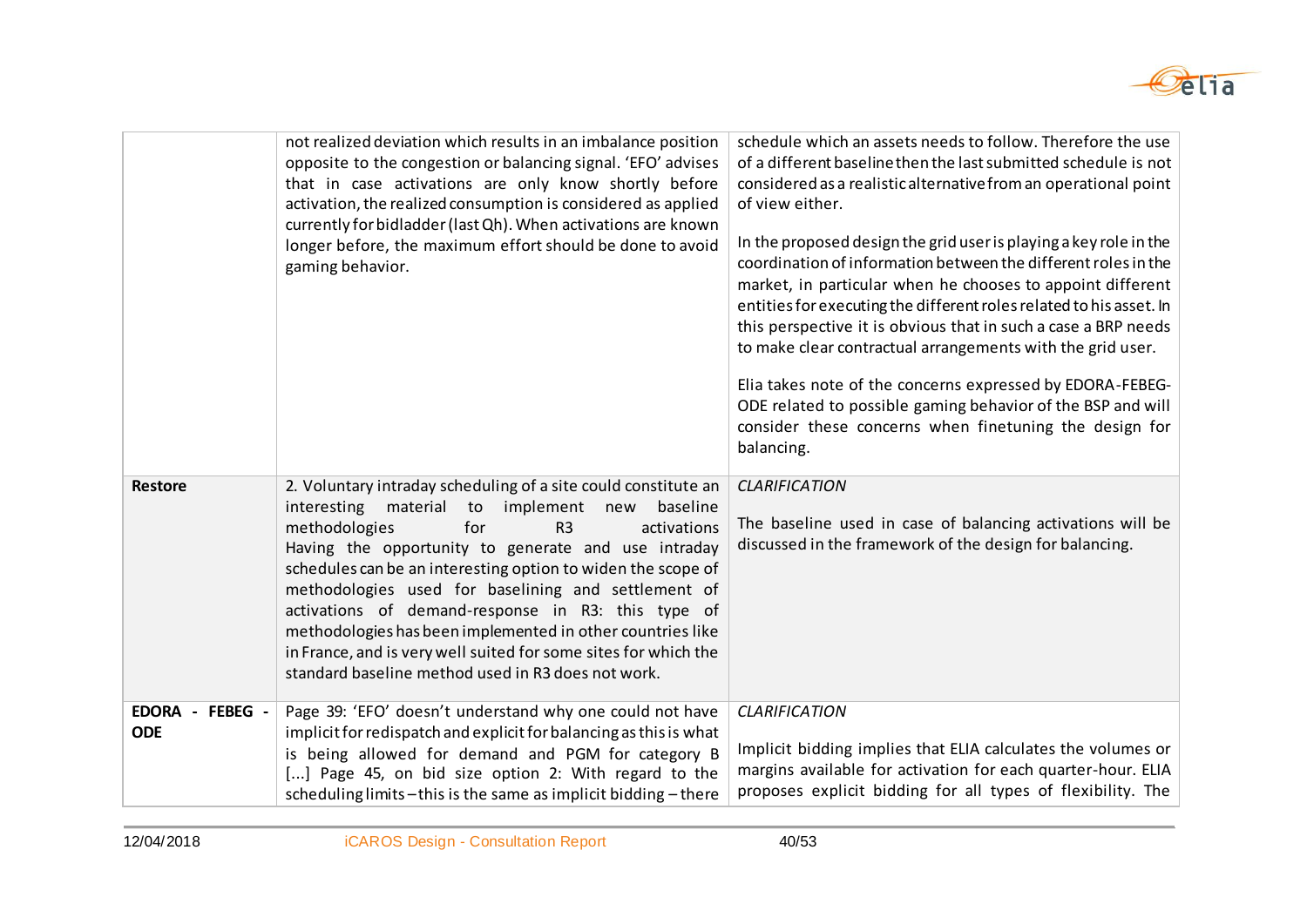

|                               | not realized deviation which results in an imbalance position<br>opposite to the congestion or balancing signal. 'EFO' advises<br>that in case activations are only know shortly before<br>activation, the realized consumption is considered as applied<br>currently for bidladder (last Qh). When activations are known<br>longer before, the maximum effort should be done to avoid<br>gaming behavior.                                                                                                                                                                                                 | schedule which an assets needs to follow. Therefore the use<br>of a different baseline then the last submitted schedule is not<br>considered as a realistic alternative from an operational point<br>of view either.<br>In the proposed design the grid user is playing a key role in the<br>coordination of information between the different roles in the<br>market, in particular when he chooses to appoint different<br>entities for executing the different roles related to his asset. In<br>this perspective it is obvious that in such a case a BRP needs<br>to make clear contractual arrangements with the grid user.<br>Elia takes note of the concerns expressed by EDORA-FEBEG-<br>ODE related to possible gaming behavior of the BSP and will<br>consider these concerns when finetuning the design for<br>balancing. |
|-------------------------------|------------------------------------------------------------------------------------------------------------------------------------------------------------------------------------------------------------------------------------------------------------------------------------------------------------------------------------------------------------------------------------------------------------------------------------------------------------------------------------------------------------------------------------------------------------------------------------------------------------|--------------------------------------------------------------------------------------------------------------------------------------------------------------------------------------------------------------------------------------------------------------------------------------------------------------------------------------------------------------------------------------------------------------------------------------------------------------------------------------------------------------------------------------------------------------------------------------------------------------------------------------------------------------------------------------------------------------------------------------------------------------------------------------------------------------------------------------|
| <b>Restore</b>                | 2. Voluntary intraday scheduling of a site could constitute an<br>material to implement new<br>interesting<br>baseline<br>methodologies<br>for<br>R <sub>3</sub><br>activations<br>Having the opportunity to generate and use intraday<br>schedules can be an interesting option to widen the scope of<br>methodologies used for baselining and settlement of<br>activations of demand-response in R3: this type of<br>methodologies has been implemented in other countries like<br>in France, and is very well suited for some sites for which the<br>standard baseline method used in R3 does not work. | <b>CLARIFICATION</b><br>The baseline used in case of balancing activations will be<br>discussed in the framework of the design for balancing.                                                                                                                                                                                                                                                                                                                                                                                                                                                                                                                                                                                                                                                                                        |
| EDORA - FEBEG -<br><b>ODE</b> | Page 39: 'EFO' doesn't understand why one could not have<br>implicit for redispatch and explicit for balancing as this is what<br>is being allowed for demand and PGM for category B<br>[] Page 45, on bid size option 2: With regard to the<br>scheduling limits - this is the same as implicit bidding - there                                                                                                                                                                                                                                                                                           | <b>CLARIFICATION</b><br>Implicit bidding implies that ELIA calculates the volumes or<br>margins available for activation for each quarter-hour. ELIA<br>proposes explicit bidding for all types of flexibility. The                                                                                                                                                                                                                                                                                                                                                                                                                                                                                                                                                                                                                  |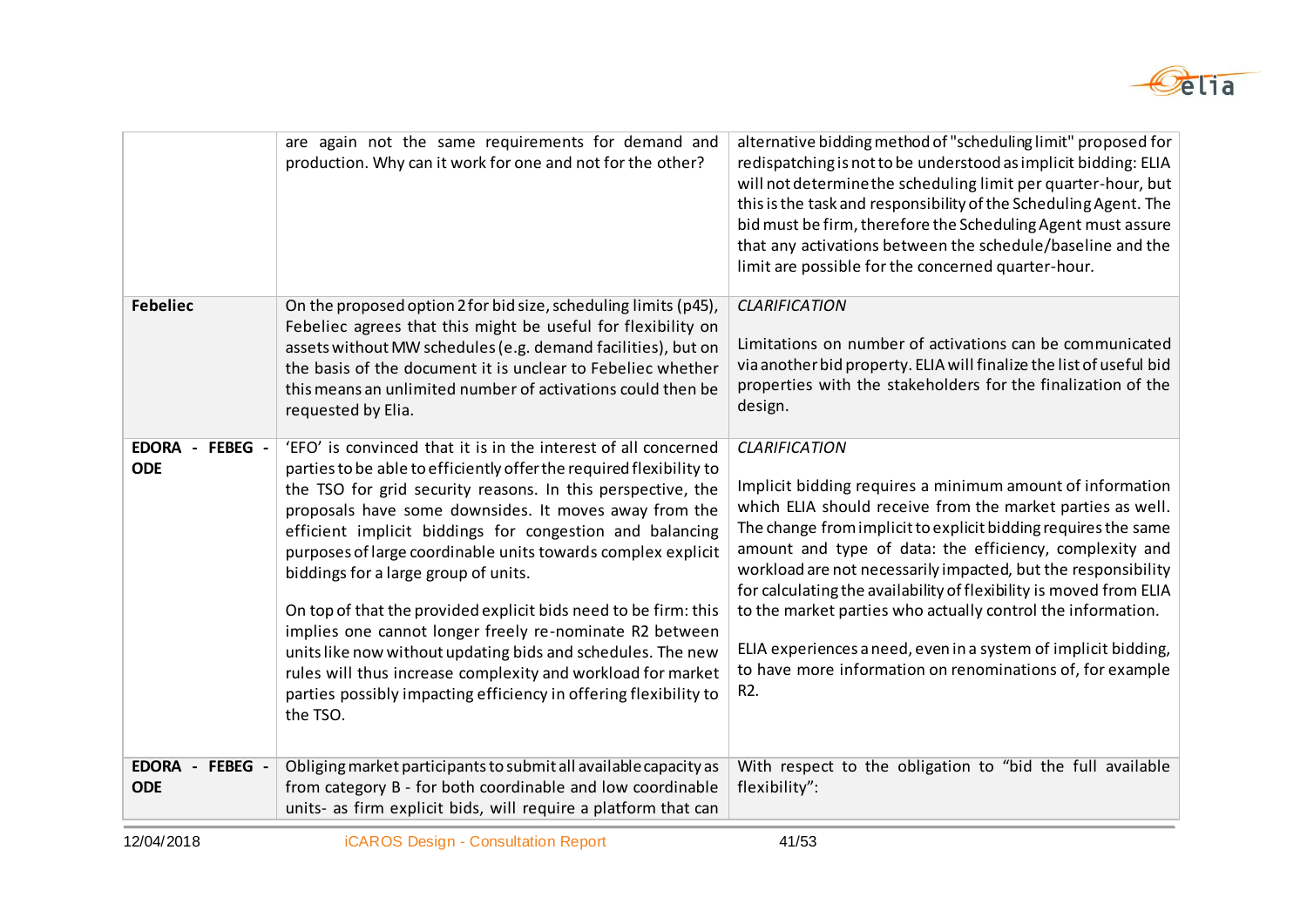

|                                                                   | are again not the same requirements for demand and<br>production. Why can it work for one and not for the other?                                                                                                                                                                                                                                                                                                                                                                                                                                                                                                                                                                                                                                                              | alternative bidding method of "scheduling limit" proposed for<br>redispatching is not to be understood as implicit bidding: ELIA<br>will not determine the scheduling limit per quarter-hour, but<br>this is the task and responsibility of the Scheduling Agent. The<br>bid must be firm, therefore the Scheduling Agent must assure<br>that any activations between the schedule/baseline and the<br>limit are possible for the concerned quarter-hour.                                                                                                                                                                |
|-------------------------------------------------------------------|-------------------------------------------------------------------------------------------------------------------------------------------------------------------------------------------------------------------------------------------------------------------------------------------------------------------------------------------------------------------------------------------------------------------------------------------------------------------------------------------------------------------------------------------------------------------------------------------------------------------------------------------------------------------------------------------------------------------------------------------------------------------------------|--------------------------------------------------------------------------------------------------------------------------------------------------------------------------------------------------------------------------------------------------------------------------------------------------------------------------------------------------------------------------------------------------------------------------------------------------------------------------------------------------------------------------------------------------------------------------------------------------------------------------|
| <b>Febeliec</b>                                                   | On the proposed option 2 for bid size, scheduling limits (p45),<br>Febeliec agrees that this might be useful for flexibility on<br>assets without MW schedules (e.g. demand facilities), but on<br>the basis of the document it is unclear to Febeliec whether<br>this means an unlimited number of activations could then be<br>requested by Elia.                                                                                                                                                                                                                                                                                                                                                                                                                           | <b>CLARIFICATION</b><br>Limitations on number of activations can be communicated<br>via another bid property. ELIA will finalize the list of useful bid<br>properties with the stakeholders for the finalization of the<br>design.                                                                                                                                                                                                                                                                                                                                                                                       |
| <b>EDORA</b><br>FEBEG -<br>$\overline{\phantom{a}}$<br><b>ODE</b> | 'EFO' is convinced that it is in the interest of all concerned<br>parties to be able to efficiently offer the required flexibility to<br>the TSO for grid security reasons. In this perspective, the<br>proposals have some downsides. It moves away from the<br>efficient implicit biddings for congestion and balancing<br>purposes of large coordinable units towards complex explicit<br>biddings for a large group of units.<br>On top of that the provided explicit bids need to be firm: this<br>implies one cannot longer freely re-nominate R2 between<br>units like now without updating bids and schedules. The new<br>rules will thus increase complexity and workload for market<br>parties possibly impacting efficiency in offering flexibility to<br>the TSO. | <b>CLARIFICATION</b><br>Implicit bidding requires a minimum amount of information<br>which ELIA should receive from the market parties as well.<br>The change from implicit to explicit bidding requires the same<br>amount and type of data: the efficiency, complexity and<br>workload are not necessarily impacted, but the responsibility<br>for calculating the availability of flexibility is moved from ELIA<br>to the market parties who actually control the information.<br>ELIA experiences a need, even in a system of implicit bidding,<br>to have more information on renominations of, for example<br>R2. |
| EDORA - FEBEG -<br><b>ODE</b>                                     | Obliging market participants to submit all available capacity as<br>from category B - for both coordinable and low coordinable<br>units- as firm explicit bids, will require a platform that can                                                                                                                                                                                                                                                                                                                                                                                                                                                                                                                                                                              | With respect to the obligation to "bid the full available<br>flexibility":                                                                                                                                                                                                                                                                                                                                                                                                                                                                                                                                               |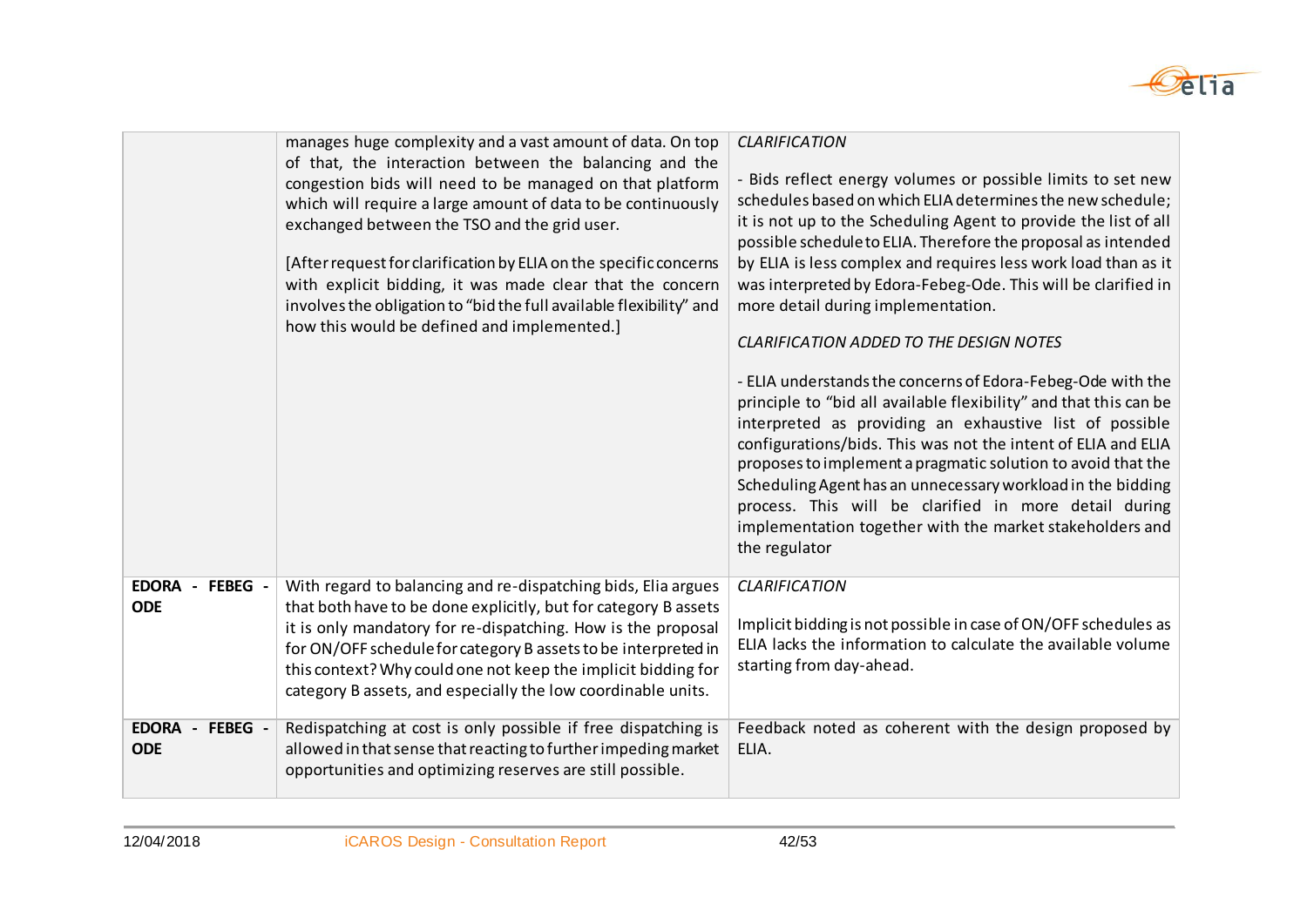

|                                                     | manages huge complexity and a vast amount of data. On top                                                                                                                                                                                                                                                                                                                                                                                                                                  | <b>CLARIFICATION</b>                                                                                                                                                                                                                                                                                                                                                                                                                                                                                                                                                                                                                                                                                                                                                                                                                                                                                                                                                                                                          |
|-----------------------------------------------------|--------------------------------------------------------------------------------------------------------------------------------------------------------------------------------------------------------------------------------------------------------------------------------------------------------------------------------------------------------------------------------------------------------------------------------------------------------------------------------------------|-------------------------------------------------------------------------------------------------------------------------------------------------------------------------------------------------------------------------------------------------------------------------------------------------------------------------------------------------------------------------------------------------------------------------------------------------------------------------------------------------------------------------------------------------------------------------------------------------------------------------------------------------------------------------------------------------------------------------------------------------------------------------------------------------------------------------------------------------------------------------------------------------------------------------------------------------------------------------------------------------------------------------------|
|                                                     | of that, the interaction between the balancing and the<br>congestion bids will need to be managed on that platform<br>which will require a large amount of data to be continuously<br>exchanged between the TSO and the grid user.<br>[After request for clarification by ELIA on the specific concerns<br>with explicit bidding, it was made clear that the concern<br>involves the obligation to "bid the full available flexibility" and<br>how this would be defined and implemented.] | - Bids reflect energy volumes or possible limits to set new<br>schedules based on which ELIA determines the new schedule;<br>it is not up to the Scheduling Agent to provide the list of all<br>possible schedule to ELIA. Therefore the proposal as intended<br>by ELIA is less complex and requires less work load than as it<br>was interpreted by Edora-Febeg-Ode. This will be clarified in<br>more detail during implementation.<br><b>CLARIFICATION ADDED TO THE DESIGN NOTES</b><br>- ELIA understands the concerns of Edora-Febeg-Ode with the<br>principle to "bid all available flexibility" and that this can be<br>interpreted as providing an exhaustive list of possible<br>configurations/bids. This was not the intent of ELIA and ELIA<br>proposes to implement a pragmatic solution to avoid that the<br>Scheduling Agent has an unnecessary workload in the bidding<br>process. This will be clarified in more detail during<br>implementation together with the market stakeholders and<br>the regulator |
| <b>EDORA</b><br>FEBEG -<br>$\overline{\phantom{a}}$ | With regard to balancing and re-dispatching bids, Elia argues                                                                                                                                                                                                                                                                                                                                                                                                                              | <b>CLARIFICATION</b>                                                                                                                                                                                                                                                                                                                                                                                                                                                                                                                                                                                                                                                                                                                                                                                                                                                                                                                                                                                                          |
| <b>ODE</b>                                          | that both have to be done explicitly, but for category B assets                                                                                                                                                                                                                                                                                                                                                                                                                            |                                                                                                                                                                                                                                                                                                                                                                                                                                                                                                                                                                                                                                                                                                                                                                                                                                                                                                                                                                                                                               |
|                                                     | it is only mandatory for re-dispatching. How is the proposal<br>for ON/OFF schedule for category B assets to be interpreted in                                                                                                                                                                                                                                                                                                                                                             | Implicit bidding is not possible in case of ON/OFF schedules as<br>ELIA lacks the information to calculate the available volume                                                                                                                                                                                                                                                                                                                                                                                                                                                                                                                                                                                                                                                                                                                                                                                                                                                                                               |
|                                                     | this context? Why could one not keep the implicit bidding for                                                                                                                                                                                                                                                                                                                                                                                                                              | starting from day-ahead.                                                                                                                                                                                                                                                                                                                                                                                                                                                                                                                                                                                                                                                                                                                                                                                                                                                                                                                                                                                                      |
|                                                     | category B assets, and especially the low coordinable units.                                                                                                                                                                                                                                                                                                                                                                                                                               |                                                                                                                                                                                                                                                                                                                                                                                                                                                                                                                                                                                                                                                                                                                                                                                                                                                                                                                                                                                                                               |
| FEBEG -<br>EDORA -                                  | Redispatching at cost is only possible if free dispatching is                                                                                                                                                                                                                                                                                                                                                                                                                              | Feedback noted as coherent with the design proposed by                                                                                                                                                                                                                                                                                                                                                                                                                                                                                                                                                                                                                                                                                                                                                                                                                                                                                                                                                                        |
| <b>ODE</b>                                          | allowed in that sense that reacting to further impeding market                                                                                                                                                                                                                                                                                                                                                                                                                             | ELIA.                                                                                                                                                                                                                                                                                                                                                                                                                                                                                                                                                                                                                                                                                                                                                                                                                                                                                                                                                                                                                         |
|                                                     | opportunities and optimizing reserves are still possible.                                                                                                                                                                                                                                                                                                                                                                                                                                  |                                                                                                                                                                                                                                                                                                                                                                                                                                                                                                                                                                                                                                                                                                                                                                                                                                                                                                                                                                                                                               |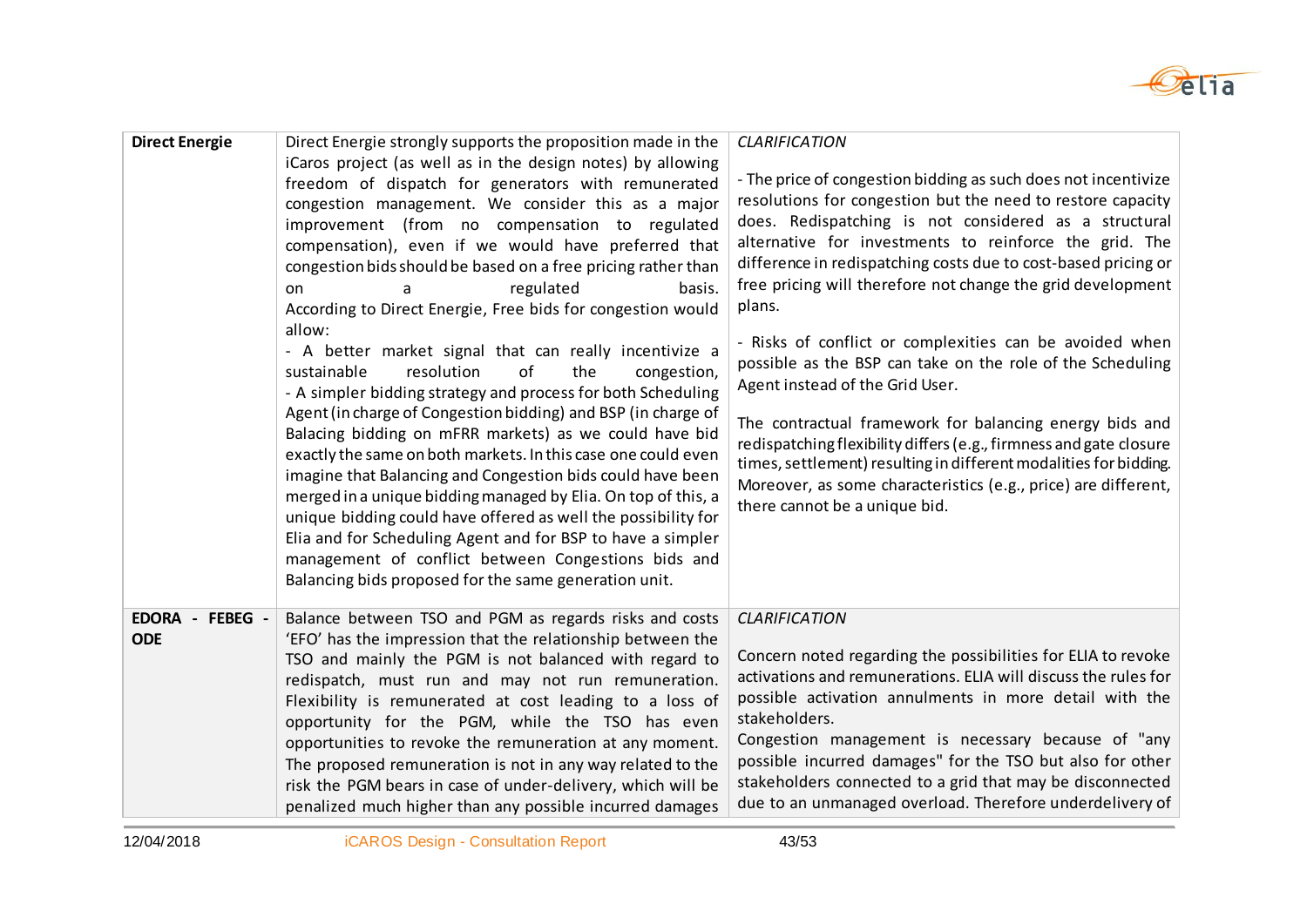

| <b>Direct Energie</b>            | Direct Energie strongly supports the proposition made in the<br>iCaros project (as well as in the design notes) by allowing<br>freedom of dispatch for generators with remunerated<br>congestion management. We consider this as a major<br>improvement (from no compensation to regulated<br>compensation), even if we would have preferred that<br>congestion bids should be based on a free pricing rather than<br>regulated<br>basis.<br>on<br>According to Direct Energie, Free bids for congestion would<br>allow:<br>- A better market signal that can really incentivize a<br>of<br>resolution<br>the<br>sustainable<br>congestion,<br>- A simpler bidding strategy and process for both Scheduling<br>Agent (in charge of Congestion bidding) and BSP (in charge of<br>Balacing bidding on mFRR markets) as we could have bid<br>exactly the same on both markets. In this case one could even<br>imagine that Balancing and Congestion bids could have been<br>merged in a unique bidding managed by Elia. On top of this, a<br>unique bidding could have offered as well the possibility for<br>Elia and for Scheduling Agent and for BSP to have a simpler<br>management of conflict between Congestions bids and<br>Balancing bids proposed for the same generation unit. | <b>CLARIFICATION</b><br>- The price of congestion bidding as such does not incentivize<br>resolutions for congestion but the need to restore capacity<br>does. Redispatching is not considered as a structural<br>alternative for investments to reinforce the grid. The<br>difference in redispatching costs due to cost-based pricing or<br>free pricing will therefore not change the grid development<br>plans.<br>- Risks of conflict or complexities can be avoided when<br>possible as the BSP can take on the role of the Scheduling<br>Agent instead of the Grid User.<br>The contractual framework for balancing energy bids and<br>redispatching flexibility differs (e.g., firmness and gate closure<br>times, settlement) resulting in different modalities for bidding.<br>Moreover, as some characteristics (e.g., price) are different,<br>there cannot be a unique bid. |
|----------------------------------|----------------------------------------------------------------------------------------------------------------------------------------------------------------------------------------------------------------------------------------------------------------------------------------------------------------------------------------------------------------------------------------------------------------------------------------------------------------------------------------------------------------------------------------------------------------------------------------------------------------------------------------------------------------------------------------------------------------------------------------------------------------------------------------------------------------------------------------------------------------------------------------------------------------------------------------------------------------------------------------------------------------------------------------------------------------------------------------------------------------------------------------------------------------------------------------------------------------------------------------------------------------------------------------|------------------------------------------------------------------------------------------------------------------------------------------------------------------------------------------------------------------------------------------------------------------------------------------------------------------------------------------------------------------------------------------------------------------------------------------------------------------------------------------------------------------------------------------------------------------------------------------------------------------------------------------------------------------------------------------------------------------------------------------------------------------------------------------------------------------------------------------------------------------------------------------|
| EDORA -<br>FEBEG -<br><b>ODE</b> | Balance between TSO and PGM as regards risks and costs<br>'EFO' has the impression that the relationship between the<br>TSO and mainly the PGM is not balanced with regard to<br>redispatch, must run and may not run remuneration.<br>Flexibility is remunerated at cost leading to a loss of<br>opportunity for the PGM, while the TSO has even<br>opportunities to revoke the remuneration at any moment.<br>The proposed remuneration is not in any way related to the<br>risk the PGM bears in case of under-delivery, which will be<br>penalized much higher than any possible incurred damages                                                                                                                                                                                                                                                                                                                                                                                                                                                                                                                                                                                                                                                                                  | <b>CLARIFICATION</b><br>Concern noted regarding the possibilities for ELIA to revoke<br>activations and remunerations. ELIA will discuss the rules for<br>possible activation annulments in more detail with the<br>stakeholders.<br>Congestion management is necessary because of "any<br>possible incurred damages" for the TSO but also for other<br>stakeholders connected to a grid that may be disconnected<br>due to an unmanaged overload. Therefore underdelivery of                                                                                                                                                                                                                                                                                                                                                                                                            |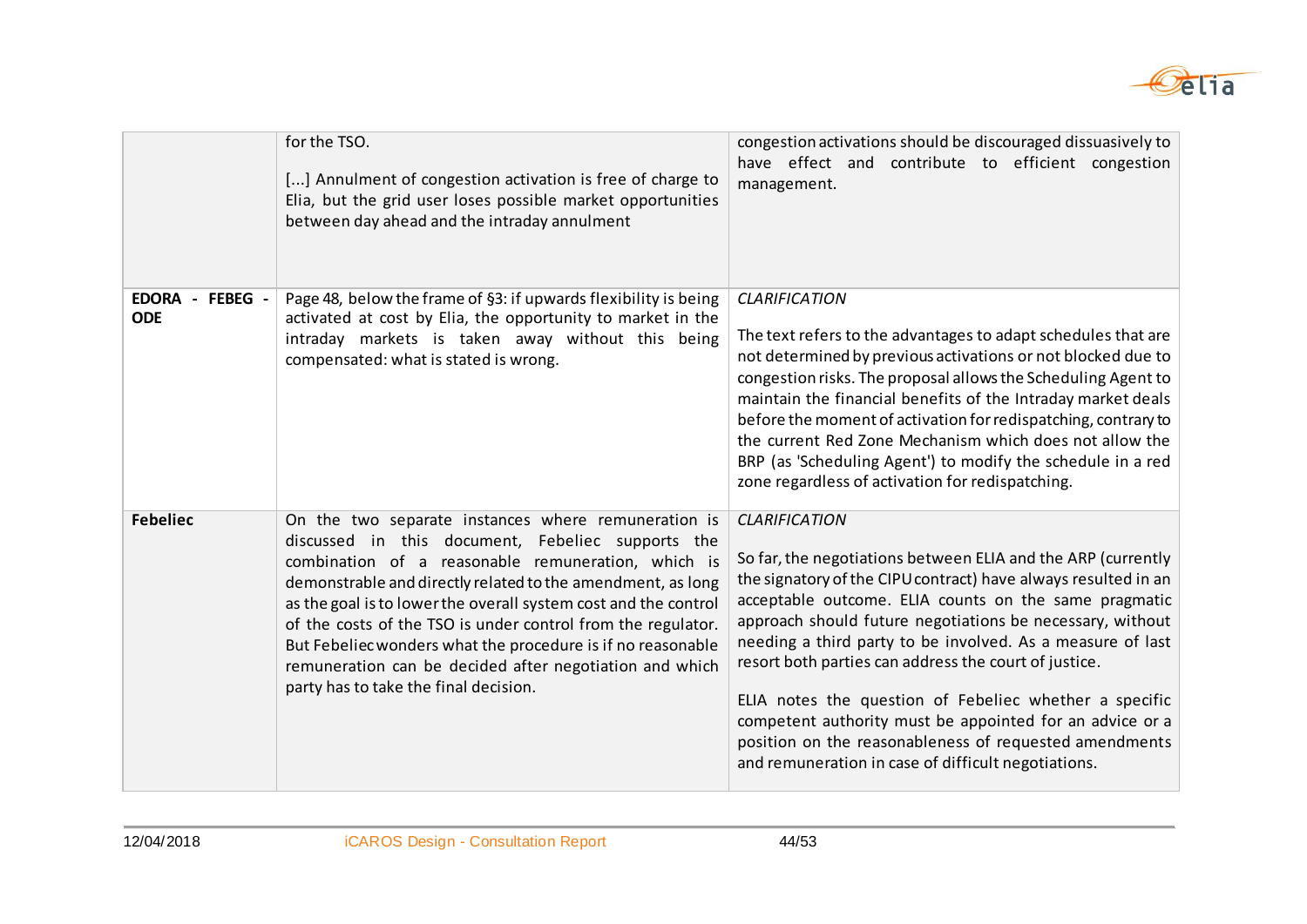

|                               | for the TSO.<br>[] Annulment of congestion activation is free of charge to<br>Elia, but the grid user loses possible market opportunities<br>between day ahead and the intraday annulment                                                                                                                                                                                                                                                                                                                                           | congestion activations should be discouraged dissuasively to<br>have effect and contribute to efficient congestion<br>management.                                                                                                                                                                                                                                                                                                                                                                                                                                                                                                          |
|-------------------------------|-------------------------------------------------------------------------------------------------------------------------------------------------------------------------------------------------------------------------------------------------------------------------------------------------------------------------------------------------------------------------------------------------------------------------------------------------------------------------------------------------------------------------------------|--------------------------------------------------------------------------------------------------------------------------------------------------------------------------------------------------------------------------------------------------------------------------------------------------------------------------------------------------------------------------------------------------------------------------------------------------------------------------------------------------------------------------------------------------------------------------------------------------------------------------------------------|
| EDORA - FEBEG -<br><b>ODE</b> | Page 48, below the frame of §3: if upwards flexibility is being<br>activated at cost by Elia, the opportunity to market in the<br>intraday markets is taken away without this being<br>compensated: what is stated is wrong.                                                                                                                                                                                                                                                                                                        | <b>CLARIFICATION</b><br>The text refers to the advantages to adapt schedules that are<br>not determined by previous activations or not blocked due to<br>congestion risks. The proposal allows the Scheduling Agent to<br>maintain the financial benefits of the Intraday market deals<br>before the moment of activation for redispatching, contrary to<br>the current Red Zone Mechanism which does not allow the<br>BRP (as 'Scheduling Agent') to modify the schedule in a red<br>zone regardless of activation for redispatching.                                                                                                     |
| <b>Febeliec</b>               | On the two separate instances where remuneration is<br>discussed in this document, Febeliec supports the<br>combination of a reasonable remuneration, which is<br>demonstrable and directly related to the amendment, as long<br>as the goal is to lower the overall system cost and the control<br>of the costs of the TSO is under control from the regulator.<br>But Febeliec wonders what the procedure is if no reasonable<br>remuneration can be decided after negotiation and which<br>party has to take the final decision. | <b>CLARIFICATION</b><br>So far, the negotiations between ELIA and the ARP (currently<br>the signatory of the CIPU contract) have always resulted in an<br>acceptable outcome. ELIA counts on the same pragmatic<br>approach should future negotiations be necessary, without<br>needing a third party to be involved. As a measure of last<br>resort both parties can address the court of justice.<br>ELIA notes the question of Febeliec whether a specific<br>competent authority must be appointed for an advice or a<br>position on the reasonableness of requested amendments<br>and remuneration in case of difficult negotiations. |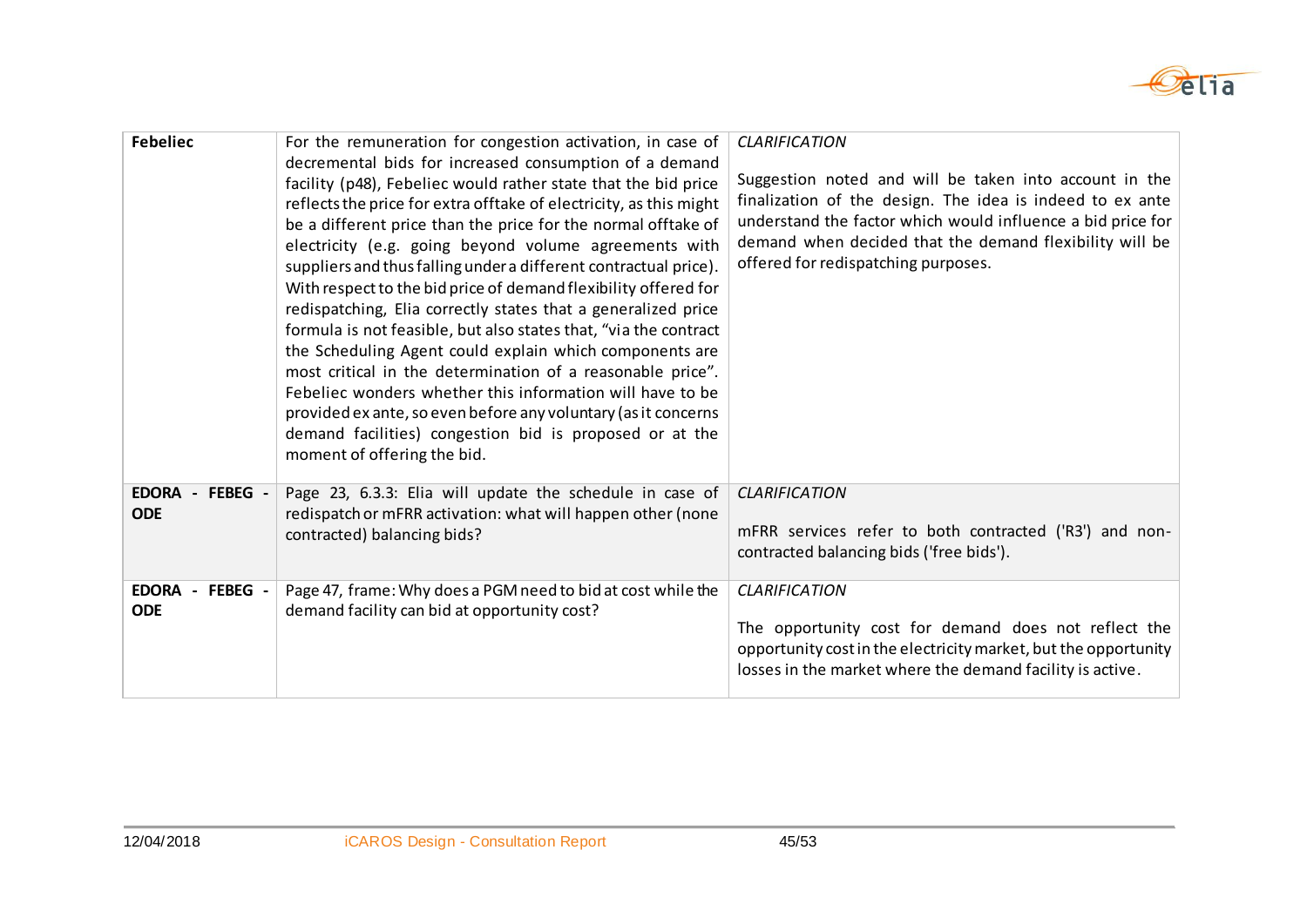

| <b>Febeliec</b>                                                   | For the remuneration for congestion activation, in case of<br>decremental bids for increased consumption of a demand<br>facility (p48), Febeliec would rather state that the bid price<br>reflects the price for extra offtake of electricity, as this might<br>be a different price than the price for the normal offtake of<br>electricity (e.g. going beyond volume agreements with<br>suppliers and thus falling under a different contractual price).<br>With respect to the bid price of demand flexibility offered for<br>redispatching, Elia correctly states that a generalized price<br>formula is not feasible, but also states that, "via the contract<br>the Scheduling Agent could explain which components are<br>most critical in the determination of a reasonable price".<br>Febeliec wonders whether this information will have to be<br>provided ex ante, so even before any voluntary (as it concerns<br>demand facilities) congestion bid is proposed or at the<br>moment of offering the bid. | <b>CLARIFICATION</b><br>Suggestion noted and will be taken into account in the<br>finalization of the design. The idea is indeed to ex ante<br>understand the factor which would influence a bid price for<br>demand when decided that the demand flexibility will be<br>offered for redispatching purposes. |
|-------------------------------------------------------------------|----------------------------------------------------------------------------------------------------------------------------------------------------------------------------------------------------------------------------------------------------------------------------------------------------------------------------------------------------------------------------------------------------------------------------------------------------------------------------------------------------------------------------------------------------------------------------------------------------------------------------------------------------------------------------------------------------------------------------------------------------------------------------------------------------------------------------------------------------------------------------------------------------------------------------------------------------------------------------------------------------------------------|--------------------------------------------------------------------------------------------------------------------------------------------------------------------------------------------------------------------------------------------------------------------------------------------------------------|
| <b>EDORA</b><br>FEBEG -<br>$\overline{\phantom{a}}$<br><b>ODE</b> | Page 23, 6.3.3: Elia will update the schedule in case of<br>redispatch or mFRR activation: what will happen other (none<br>contracted) balancing bids?                                                                                                                                                                                                                                                                                                                                                                                                                                                                                                                                                                                                                                                                                                                                                                                                                                                               | <b>CLARIFICATION</b><br>mFRR services refer to both contracted ('R3') and non-<br>contracted balancing bids ('free bids').                                                                                                                                                                                   |
| <b>EDORA</b><br>- FEBEG -<br><b>ODE</b>                           | Page 47, frame: Why does a PGM need to bid at cost while the<br>demand facility can bid at opportunity cost?                                                                                                                                                                                                                                                                                                                                                                                                                                                                                                                                                                                                                                                                                                                                                                                                                                                                                                         | <b>CLARIFICATION</b><br>The opportunity cost for demand does not reflect the<br>opportunity cost in the electricity market, but the opportunity<br>losses in the market where the demand facility is active.                                                                                                 |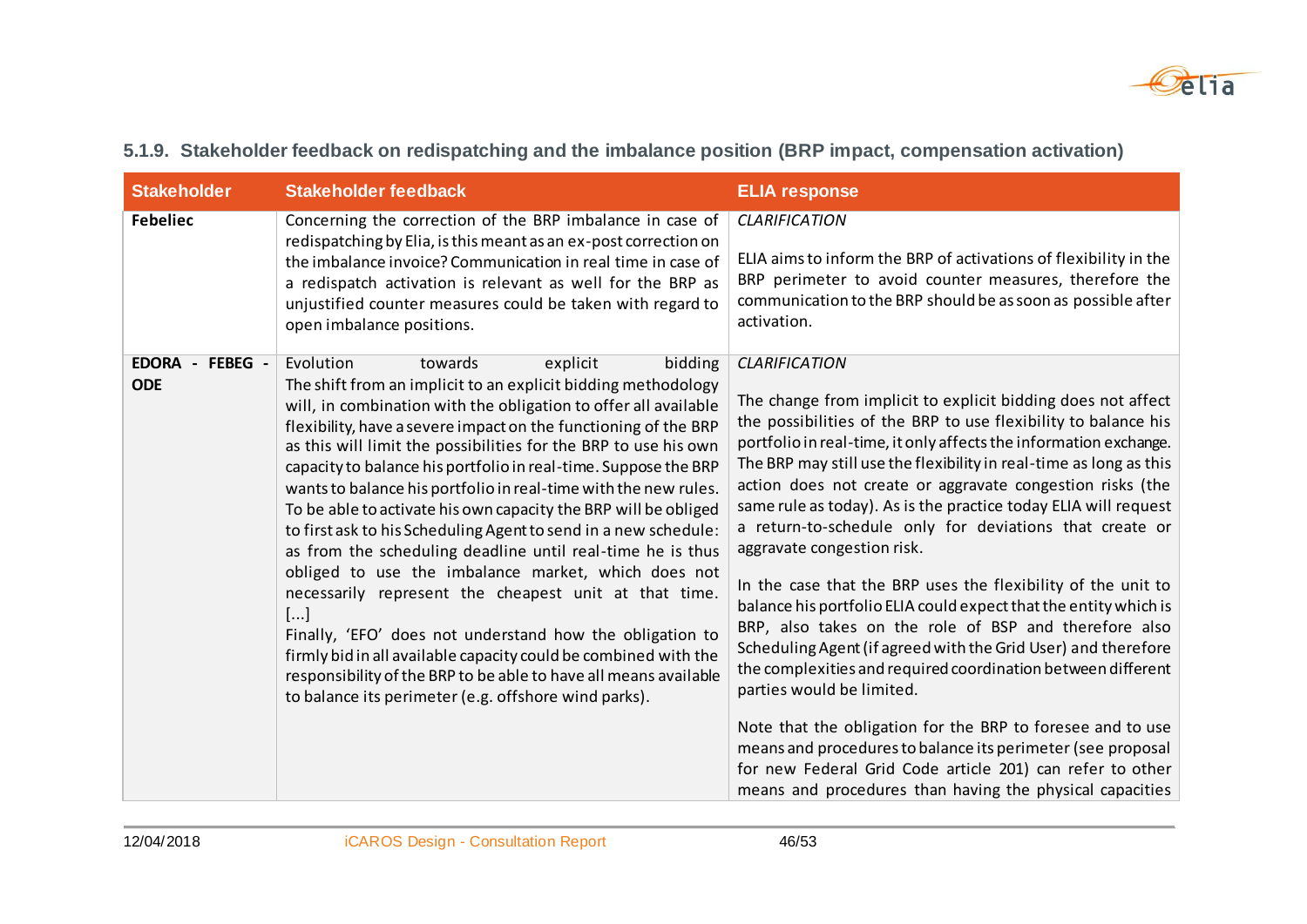

| <b>Stakeholder</b>            | <b>Stakeholder feedback</b>                                                                                                                                                                                                                                                                                                                                                                                                                                                                                                                                                                                                                                                                                                                                                                                                                                                                                                                                                                                                                      | <b>ELIA response</b>                                                                                                                                                                                                                                                                                                                                                                                                                                                                                                                                                                                                                                                                                                                                                                                                                                                                                                                                                                                                                                                                                                                        |
|-------------------------------|--------------------------------------------------------------------------------------------------------------------------------------------------------------------------------------------------------------------------------------------------------------------------------------------------------------------------------------------------------------------------------------------------------------------------------------------------------------------------------------------------------------------------------------------------------------------------------------------------------------------------------------------------------------------------------------------------------------------------------------------------------------------------------------------------------------------------------------------------------------------------------------------------------------------------------------------------------------------------------------------------------------------------------------------------|---------------------------------------------------------------------------------------------------------------------------------------------------------------------------------------------------------------------------------------------------------------------------------------------------------------------------------------------------------------------------------------------------------------------------------------------------------------------------------------------------------------------------------------------------------------------------------------------------------------------------------------------------------------------------------------------------------------------------------------------------------------------------------------------------------------------------------------------------------------------------------------------------------------------------------------------------------------------------------------------------------------------------------------------------------------------------------------------------------------------------------------------|
| <b>Febeliec</b>               | Concerning the correction of the BRP imbalance in case of<br>redispatching by Elia, is this meant as an ex-post correction on<br>the imbalance invoice? Communication in real time in case of<br>a redispatch activation is relevant as well for the BRP as<br>unjustified counter measures could be taken with regard to<br>open imbalance positions.                                                                                                                                                                                                                                                                                                                                                                                                                                                                                                                                                                                                                                                                                           | <b>CLARIFICATION</b><br>ELIA aims to inform the BRP of activations of flexibility in the<br>BRP perimeter to avoid counter measures, therefore the<br>communication to the BRP should be as soon as possible after<br>activation.                                                                                                                                                                                                                                                                                                                                                                                                                                                                                                                                                                                                                                                                                                                                                                                                                                                                                                           |
| EDORA - FEBEG -<br><b>ODE</b> | Evolution<br>towards<br>explicit<br>bidding<br>The shift from an implicit to an explicit bidding methodology<br>will, in combination with the obligation to offer all available<br>flexibility, have a severe impact on the functioning of the BRP<br>as this will limit the possibilities for the BRP to use his own<br>capacity to balance his portfolio in real-time. Suppose the BRP<br>wants to balance his portfolio in real-time with the new rules.<br>To be able to activate his own capacity the BRP will be obliged<br>to first ask to his Scheduling Agent to send in a new schedule:<br>as from the scheduling deadline until real-time he is thus<br>obliged to use the imbalance market, which does not<br>necessarily represent the cheapest unit at that time.<br>[]<br>Finally, 'EFO' does not understand how the obligation to<br>firmly bid in all available capacity could be combined with the<br>responsibility of the BRP to be able to have all means available<br>to balance its perimeter (e.g. offshore wind parks). | <b>CLARIFICATION</b><br>The change from implicit to explicit bidding does not affect<br>the possibilities of the BRP to use flexibility to balance his<br>portfolio in real-time, it only affects the information exchange.<br>The BRP may still use the flexibility in real-time as long as this<br>action does not create or aggravate congestion risks (the<br>same rule as today). As is the practice today ELIA will request<br>a return-to-schedule only for deviations that create or<br>aggravate congestion risk.<br>In the case that the BRP uses the flexibility of the unit to<br>balance his portfolio ELIA could expect that the entity which is<br>BRP, also takes on the role of BSP and therefore also<br>Scheduling Agent (if agreed with the Grid User) and therefore<br>the complexities and required coordination between different<br>parties would be limited.<br>Note that the obligation for the BRP to foresee and to use<br>means and procedures to balance its perimeter (see proposal<br>for new Federal Grid Code article 201) can refer to other<br>means and procedures than having the physical capacities |

### **5.1.9. Stakeholder feedback on redispatching and the imbalance position (BRP impact, compensation activation)**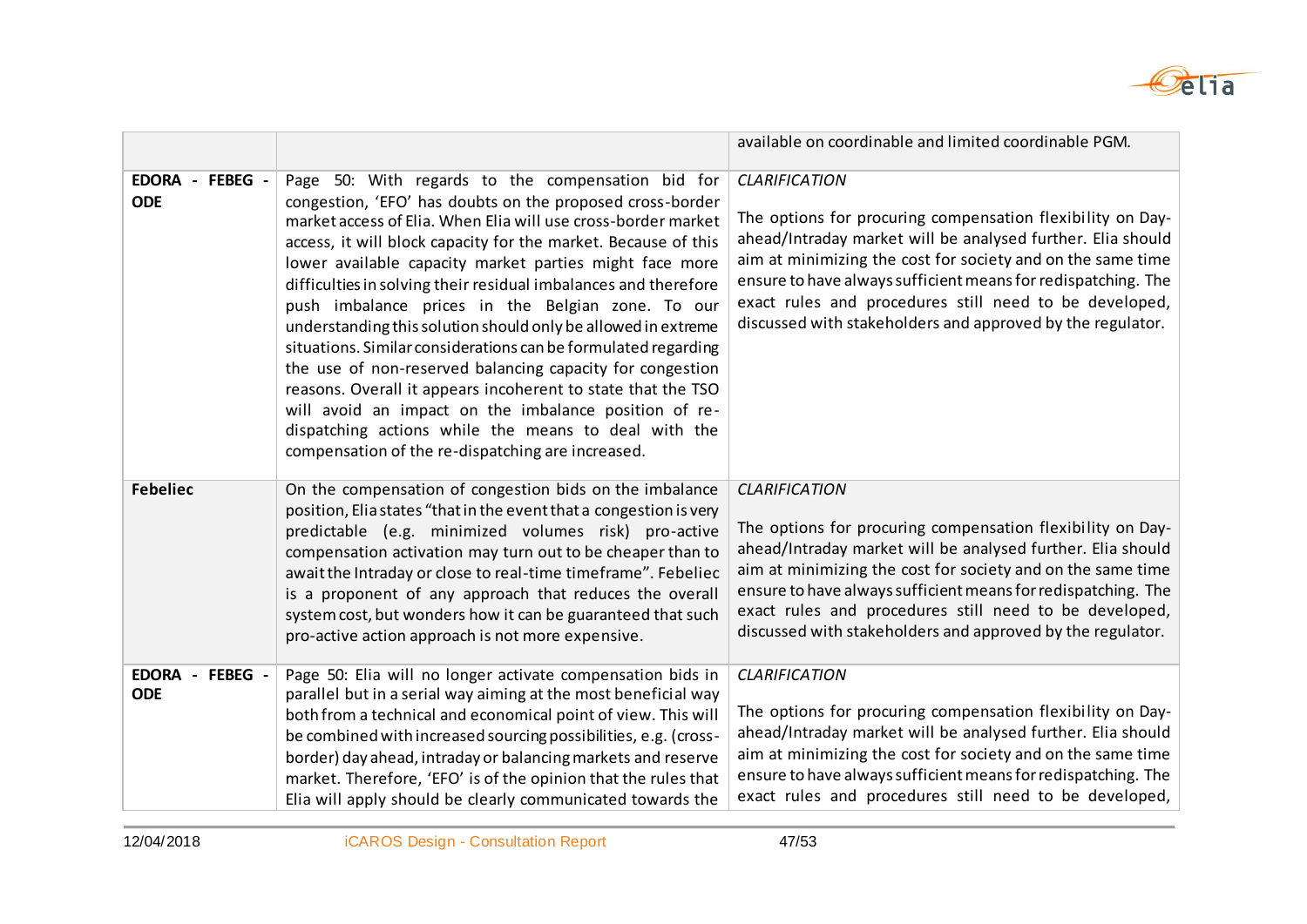

|                                  |                                                                                                                                                                                                                                                                                                                                                                                                                                                                                                                                                                                                                                                                                                                                                                                                                                                                            | available on coordinable and limited coordinable PGM.                                                                                                                                                                                                                                                                                                                                                     |
|----------------------------------|----------------------------------------------------------------------------------------------------------------------------------------------------------------------------------------------------------------------------------------------------------------------------------------------------------------------------------------------------------------------------------------------------------------------------------------------------------------------------------------------------------------------------------------------------------------------------------------------------------------------------------------------------------------------------------------------------------------------------------------------------------------------------------------------------------------------------------------------------------------------------|-----------------------------------------------------------------------------------------------------------------------------------------------------------------------------------------------------------------------------------------------------------------------------------------------------------------------------------------------------------------------------------------------------------|
| EDORA - FEBEG -<br><b>ODE</b>    | Page 50: With regards to the compensation bid for<br>congestion, 'EFO' has doubts on the proposed cross-border<br>market access of Elia. When Elia will use cross-border market<br>access, it will block capacity for the market. Because of this<br>lower available capacity market parties might face more<br>difficulties in solving their residual imbalances and therefore<br>push imbalance prices in the Belgian zone. To our<br>understanding this solution should only be allowed in extreme<br>situations. Similar considerations can be formulated regarding<br>the use of non-reserved balancing capacity for congestion<br>reasons. Overall it appears incoherent to state that the TSO<br>will avoid an impact on the imbalance position of re-<br>dispatching actions while the means to deal with the<br>compensation of the re-dispatching are increased. | <b>CLARIFICATION</b><br>The options for procuring compensation flexibility on Day-<br>ahead/Intraday market will be analysed further. Elia should<br>aim at minimizing the cost for society and on the same time<br>ensure to have always sufficient means for redispatching. The<br>exact rules and procedures still need to be developed,<br>discussed with stakeholders and approved by the regulator. |
| <b>Febeliec</b>                  | On the compensation of congestion bids on the imbalance<br>position, Elia states "that in the event that a congestion is very<br>predictable (e.g. minimized volumes risk) pro-active<br>compensation activation may turn out to be cheaper than to<br>await the Intraday or close to real-time timeframe". Febeliec<br>is a proponent of any approach that reduces the overall<br>system cost, but wonders how it can be guaranteed that such<br>pro-active action approach is not more expensive.                                                                                                                                                                                                                                                                                                                                                                        | <b>CLARIFICATION</b><br>The options for procuring compensation flexibility on Day-<br>ahead/Intraday market will be analysed further. Elia should<br>aim at minimizing the cost for society and on the same time<br>ensure to have always sufficient means for redispatching. The<br>exact rules and procedures still need to be developed,<br>discussed with stakeholders and approved by the regulator. |
| EDORA -<br>FEBEG -<br><b>ODE</b> | Page 50: Elia will no longer activate compensation bids in<br>parallel but in a serial way aiming at the most beneficial way<br>both from a technical and economical point of view. This will<br>be combined with increased sourcing possibilities, e.g. (cross-<br>border) day ahead, intraday or balancing markets and reserve<br>market. Therefore, 'EFO' is of the opinion that the rules that<br>Elia will apply should be clearly communicated towards the                                                                                                                                                                                                                                                                                                                                                                                                           | <b>CLARIFICATION</b><br>The options for procuring compensation flexibility on Day-<br>ahead/Intraday market will be analysed further. Elia should<br>aim at minimizing the cost for society and on the same time<br>ensure to have always sufficient means for redispatching. The<br>exact rules and procedures still need to be developed,                                                               |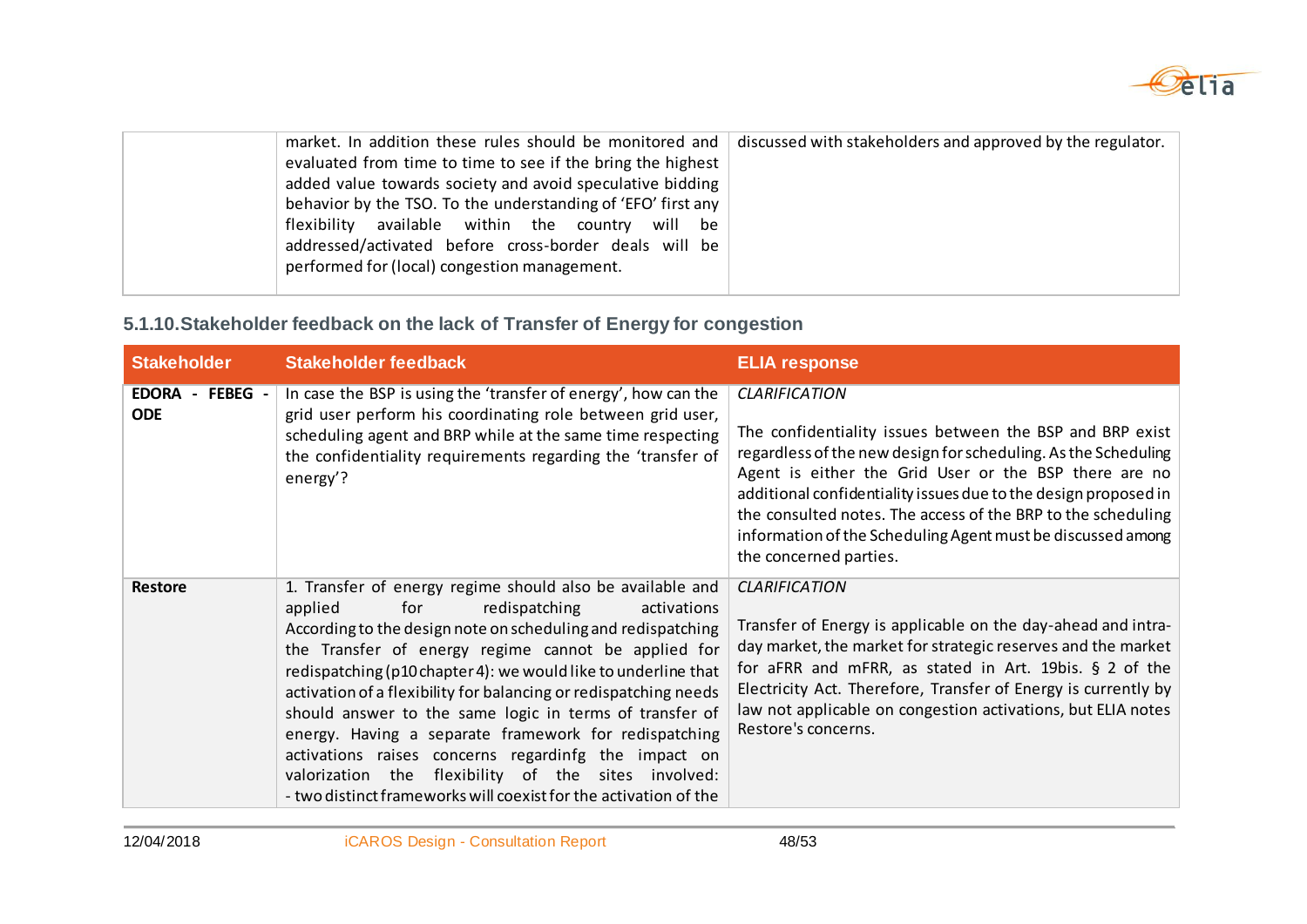

| market. In addition these rules should be monitored and<br>evaluated from time to time to see if the bring the highest<br>added value towards society and avoid speculative bidding<br>behavior by the TSO. To the understanding of 'EFO' first any<br>flexibility available within the country will be<br>addressed/activated before cross-border deals will be<br>performed for (local) congestion management. | discussed with stakeholders and approved by the regulator. |
|------------------------------------------------------------------------------------------------------------------------------------------------------------------------------------------------------------------------------------------------------------------------------------------------------------------------------------------------------------------------------------------------------------------|------------------------------------------------------------|
|                                                                                                                                                                                                                                                                                                                                                                                                                  |                                                            |

### **5.1.10.Stakeholder feedback on the lack of Transfer of Energy for congestion**

| <b>Stakeholder</b>            | <b>Stakeholder feedback</b>                                                                                                                                                                                                                                                                                                                                                                                                                                                                                                                                                                                                                                                        | <b>ELIA response</b>                                                                                                                                                                                                                                                                                                                                                                                                                    |
|-------------------------------|------------------------------------------------------------------------------------------------------------------------------------------------------------------------------------------------------------------------------------------------------------------------------------------------------------------------------------------------------------------------------------------------------------------------------------------------------------------------------------------------------------------------------------------------------------------------------------------------------------------------------------------------------------------------------------|-----------------------------------------------------------------------------------------------------------------------------------------------------------------------------------------------------------------------------------------------------------------------------------------------------------------------------------------------------------------------------------------------------------------------------------------|
| EDORA - FEBEG -<br><b>ODE</b> | In case the BSP is using the 'transfer of energy', how can the<br>grid user perform his coordinating role between grid user,<br>scheduling agent and BRP while at the same time respecting<br>the confidentiality requirements regarding the 'transfer of<br>energy'?                                                                                                                                                                                                                                                                                                                                                                                                              | <b>CLARIFICATION</b><br>The confidentiality issues between the BSP and BRP exist<br>regardless of the new design for scheduling. As the Scheduling<br>Agent is either the Grid User or the BSP there are no<br>additional confidentiality issues due to the design proposed in<br>the consulted notes. The access of the BRP to the scheduling<br>information of the Scheduling Agent must be discussed among<br>the concerned parties. |
| <b>Restore</b>                | 1. Transfer of energy regime should also be available and<br>applied<br>for<br>redispatching<br>activations<br>According to the design note on scheduling and redispatching<br>the Transfer of energy regime cannot be applied for<br>redispatching (p10 chapter 4): we would like to underline that<br>activation of a flexibility for balancing or redispatching needs<br>should answer to the same logic in terms of transfer of<br>energy. Having a separate framework for redispatching<br>activations raises concerns regardinfg the impact on<br>the flexibility of the sites involved:<br>valorization<br>- two distinct frameworks will coexist for the activation of the | <b>CLARIFICATION</b><br>Transfer of Energy is applicable on the day-ahead and intra-<br>day market, the market for strategic reserves and the market<br>for aFRR and mFRR, as stated in Art. 19bis. § 2 of the<br>Electricity Act. Therefore, Transfer of Energy is currently by<br>law not applicable on congestion activations, but ELIA notes<br>Restore's concerns.                                                                 |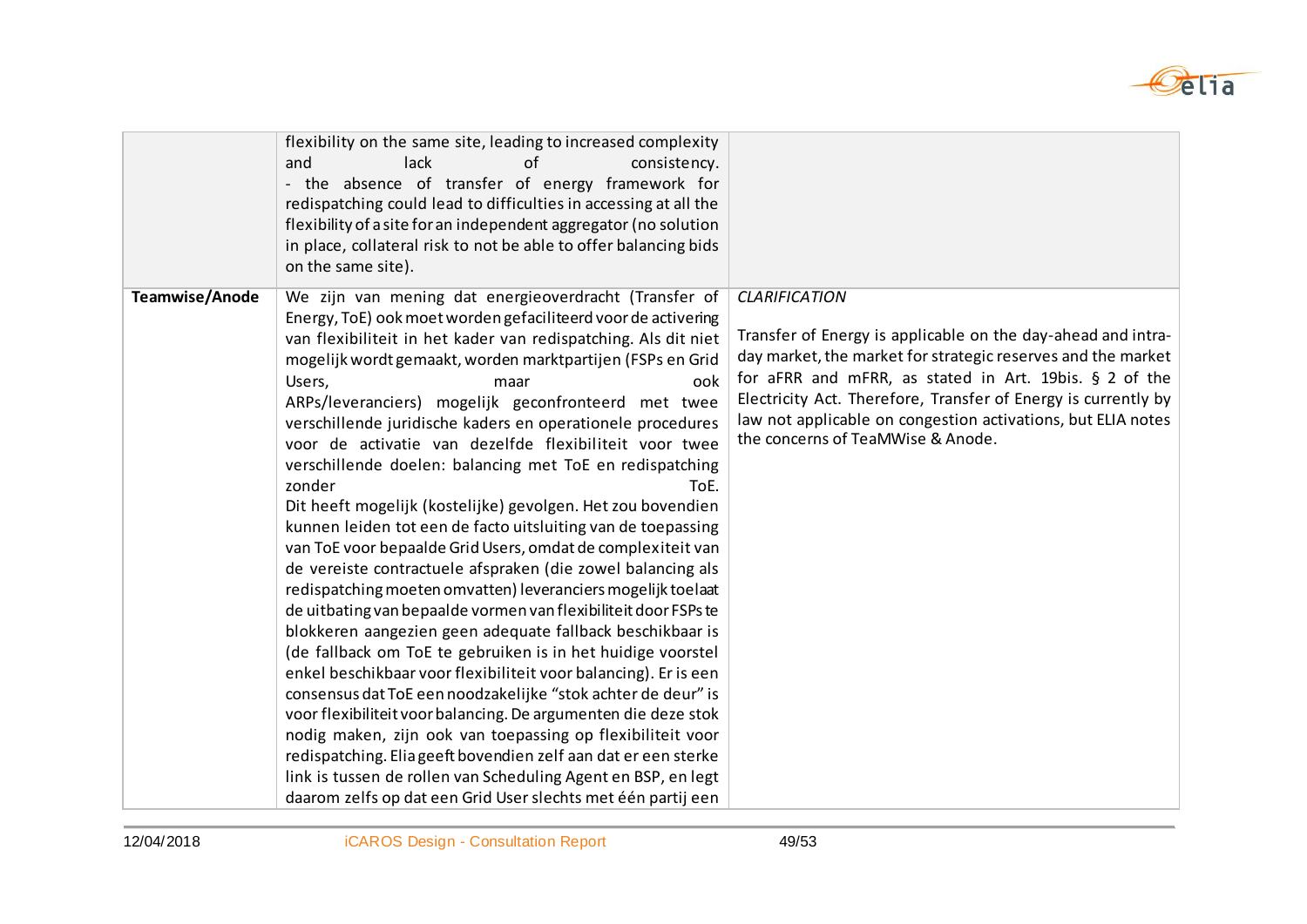

|                | flexibility on the same site, leading to increased complexity<br>and<br>lack<br>of<br>consistency.<br>- the absence of transfer of energy framework for<br>redispatching could lead to difficulties in accessing at all the<br>flexibility of a site for an independent aggregator (no solution<br>in place, collateral risk to not be able to offer balancing bids<br>on the same site).                                                                                                                                                                                                                                                                                                                                                                                                                                                                                                                                                                                                                                                                                                                                                                                                                                                                                                                                                                                                                                                                                                                                                      |                                                                                                                                                                                                                                                                                                                                                                                       |
|----------------|------------------------------------------------------------------------------------------------------------------------------------------------------------------------------------------------------------------------------------------------------------------------------------------------------------------------------------------------------------------------------------------------------------------------------------------------------------------------------------------------------------------------------------------------------------------------------------------------------------------------------------------------------------------------------------------------------------------------------------------------------------------------------------------------------------------------------------------------------------------------------------------------------------------------------------------------------------------------------------------------------------------------------------------------------------------------------------------------------------------------------------------------------------------------------------------------------------------------------------------------------------------------------------------------------------------------------------------------------------------------------------------------------------------------------------------------------------------------------------------------------------------------------------------------|---------------------------------------------------------------------------------------------------------------------------------------------------------------------------------------------------------------------------------------------------------------------------------------------------------------------------------------------------------------------------------------|
| Teamwise/Anode | We zijn van mening dat energieoverdracht (Transfer of<br>Energy, ToE) ook moet worden gefaciliteerd voor de activering<br>van flexibiliteit in het kader van redispatching. Als dit niet<br>mogelijk wordt gemaakt, worden marktpartijen (FSPs en Grid<br>Users,<br>ook<br>maar<br>ARPs/leveranciers) mogelijk geconfronteerd met twee<br>verschillende juridische kaders en operationele procedures<br>voor de activatie van dezelfde flexibiliteit voor twee<br>verschillende doelen: balancing met ToE en redispatching<br>zonder<br>ToE.<br>Dit heeft mogelijk (kostelijke) gevolgen. Het zou bovendien<br>kunnen leiden tot een de facto uitsluiting van de toepassing<br>van ToE voor bepaalde Grid Users, omdat de complexiteit van<br>de vereiste contractuele afspraken (die zowel balancing als<br>redispatching moeten omvatten) leveranciers mogelijk toelaat<br>de uitbating van bepaalde vormen van flexibiliteit door FSPs te<br>blokkeren aangezien geen adequate fallback beschikbaar is<br>(de fallback om ToE te gebruiken is in het huidige voorstel<br>enkel beschikbaar voor flexibiliteit voor balancing). Er is een<br>consensus dat ToE een noodzakelijke "stok achter de deur" is<br>voor flexibiliteit voor balancing. De argumenten die deze stok<br>nodig maken, zijn ook van toepassing op flexibiliteit voor<br>redispatching. Elia geeft bovendien zelf aan dat er een sterke<br>link is tussen de rollen van Scheduling Agent en BSP, en legt<br>daarom zelfs op dat een Grid User slechts met één partij een | <b>CLARIFICATION</b><br>Transfer of Energy is applicable on the day-ahead and intra-<br>day market, the market for strategic reserves and the market<br>for aFRR and mFRR, as stated in Art. 19bis. § 2 of the<br>Electricity Act. Therefore, Transfer of Energy is currently by<br>law not applicable on congestion activations, but ELIA notes<br>the concerns of TeaMWise & Anode. |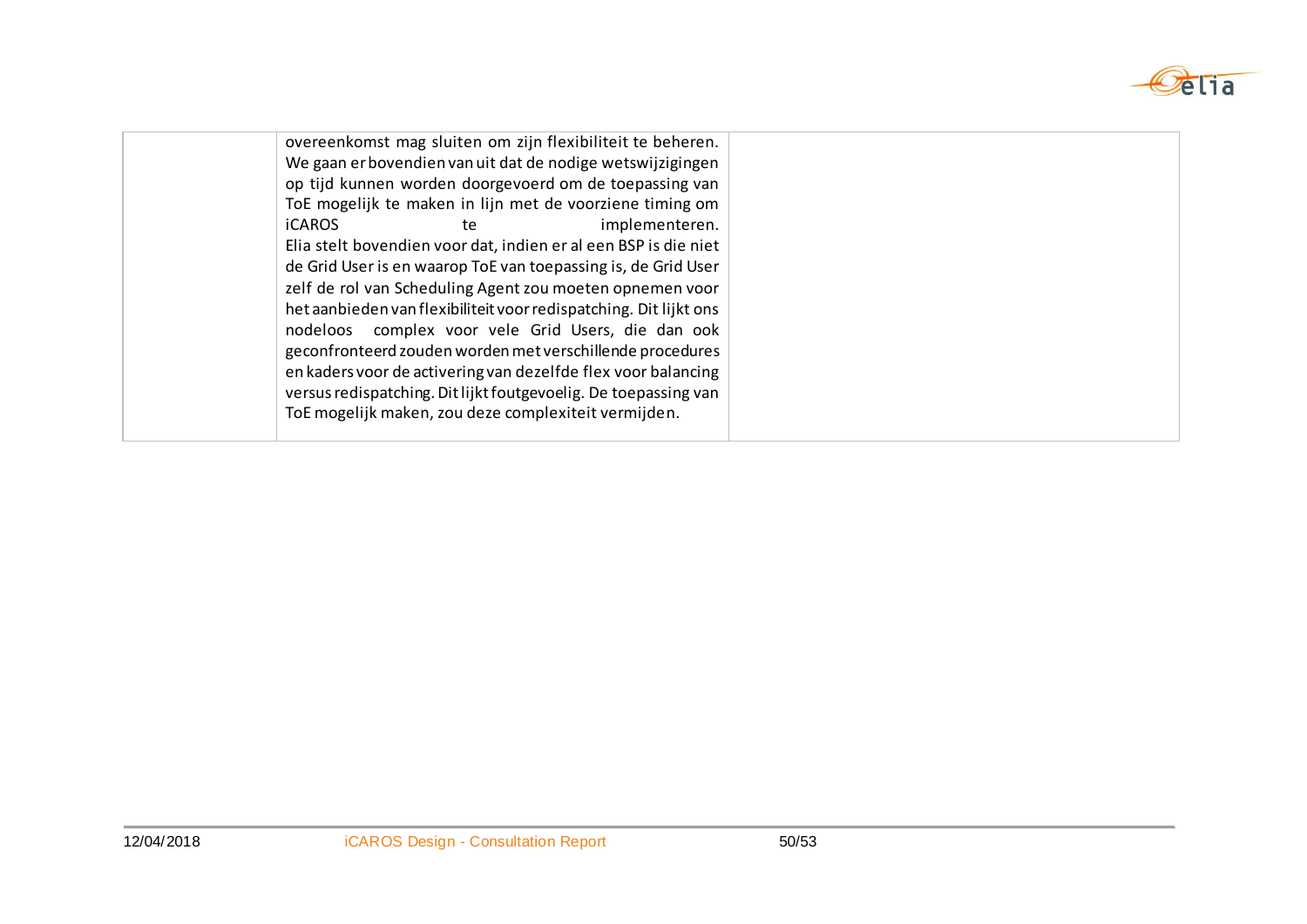

| overeenkomst mag sluiten om zijn flexibiliteit te beheren.        |  |
|-------------------------------------------------------------------|--|
| We gaan er bovendien van uit dat de nodige wetswijzigingen        |  |
| op tijd kunnen worden doorgevoerd om de toepassing van            |  |
| ToE mogelijk te maken in lijn met de voorziene timing om          |  |
| implementeren.<br><b>iCAROS</b><br>te                             |  |
| Elia stelt bovendien voor dat, indien er al een BSP is die niet   |  |
| de Grid User is en waarop ToE van toepassing is, de Grid User     |  |
| zelf de rol van Scheduling Agent zou moeten opnemen voor          |  |
| het aanbieden van flexibiliteit voor redispatching. Dit lijkt ons |  |
| nodeloos complex voor vele Grid Users, die dan ook                |  |
| geconfronteerd zouden worden met verschillende procedures         |  |
| en kaders voor de activering van dezelfde flex voor balancing     |  |
| versus redispatching. Dit lijkt foutgevoelig. De toepassing van   |  |
| ToE mogelijk maken, zou deze complexiteit vermijden.              |  |
|                                                                   |  |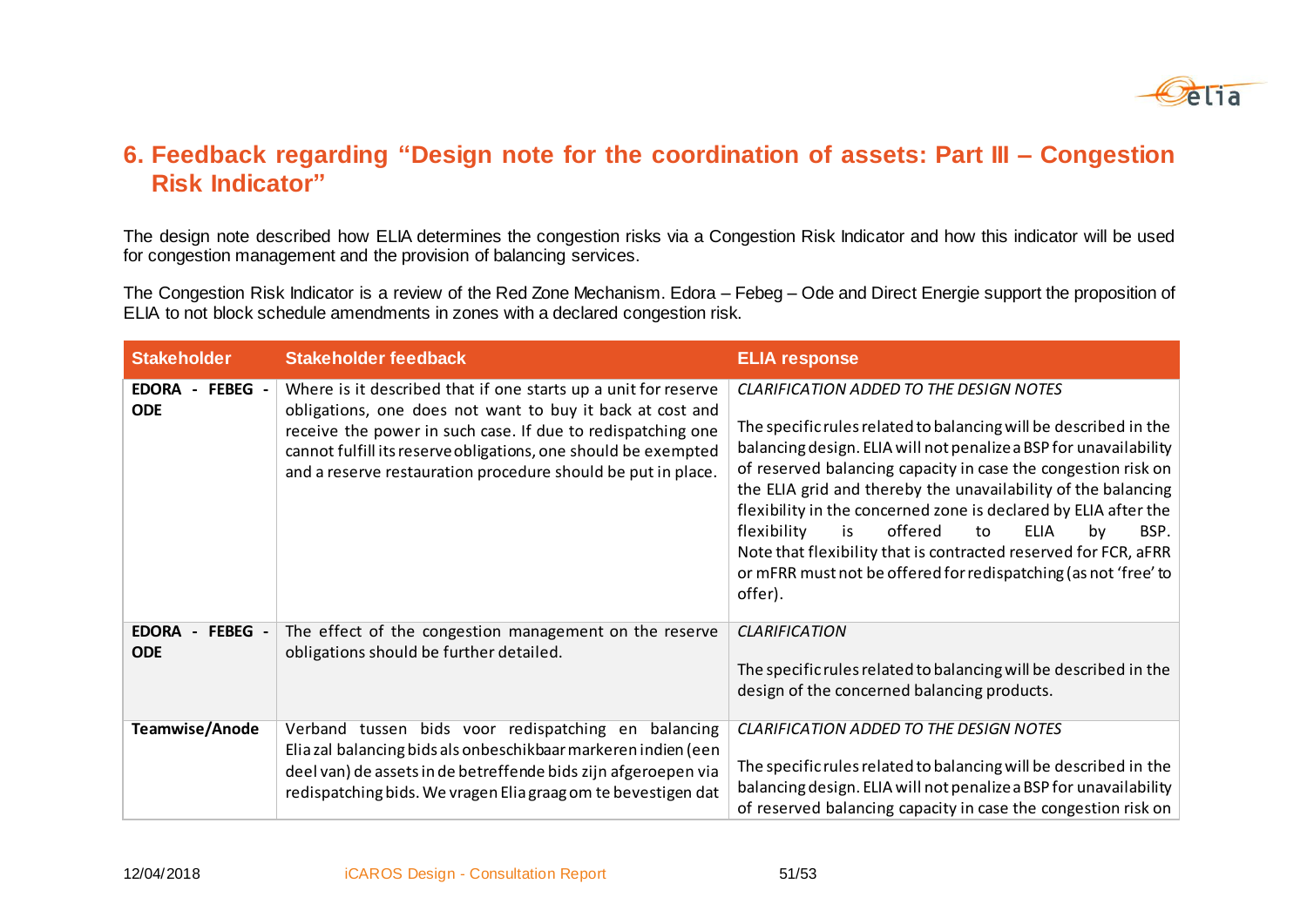

### **6. Feedback regarding "Design note for the coordination of assets: Part III – Congestion Risk Indicator"**

The design note described how ELIA determines the congestion risks via a Congestion Risk Indicator and how this indicator will be used for congestion management and the provision of balancing services.

The Congestion Risk Indicator is a review of the Red Zone Mechanism. Edora – Febeg – Ode and Direct Energie support the proposition of ELIA to not block schedule amendments in zones with a declared congestion risk.

| <b>Stakeholder</b>                                                | <b>Stakeholder feedback</b>                                                                                                                                                                                                                                                                                                  | <b>ELIA response</b>                                                                                                                                                                                                                                                                                                                                                                                                                                                                                                                                                                                             |
|-------------------------------------------------------------------|------------------------------------------------------------------------------------------------------------------------------------------------------------------------------------------------------------------------------------------------------------------------------------------------------------------------------|------------------------------------------------------------------------------------------------------------------------------------------------------------------------------------------------------------------------------------------------------------------------------------------------------------------------------------------------------------------------------------------------------------------------------------------------------------------------------------------------------------------------------------------------------------------------------------------------------------------|
| FEBEG -<br><b>EDORA</b><br><b>ODE</b>                             | Where is it described that if one starts up a unit for reserve<br>obligations, one does not want to buy it back at cost and<br>receive the power in such case. If due to redispatching one<br>cannot fulfill its reserve obligations, one should be exempted<br>and a reserve restauration procedure should be put in place. | <b>CLARIFICATION ADDED TO THE DESIGN NOTES</b><br>The specific rules related to balancing will be described in the<br>balancing design. ELIA will not penalize a BSP for unavailability<br>of reserved balancing capacity in case the congestion risk on<br>the ELIA grid and thereby the unavailability of the balancing<br>flexibility in the concerned zone is declared by ELIA after the<br>flexibility<br>offered<br>is<br><b>ELIA</b><br>to<br>BSP.<br>by<br>Note that flexibility that is contracted reserved for FCR, aFRR<br>or mFRR must not be offered for redispatching (as not 'free' to<br>offer). |
| FEBEG -<br><b>EDORA</b><br>$\overline{\phantom{0}}$<br><b>ODE</b> | The effect of the congestion management on the reserve<br>obligations should be further detailed.                                                                                                                                                                                                                            | <b>CLARIFICATION</b><br>The specific rules related to balancing will be described in the<br>design of the concerned balancing products.                                                                                                                                                                                                                                                                                                                                                                                                                                                                          |
| Teamwise/Anode                                                    | Verband tussen bids voor redispatching en balancing<br>Elia zal balancing bids als onbeschikbaar markeren indien (een<br>deel van) de assets in de betreffende bids zijn afgeroepen via<br>redispatching bids. We vragen Elia graag om te bevestigen dat                                                                     | <b>CLARIFICATION ADDED TO THE DESIGN NOTES</b><br>The specific rules related to balancing will be described in the<br>balancing design. ELIA will not penalize a BSP for unavailability<br>of reserved balancing capacity in case the congestion risk on                                                                                                                                                                                                                                                                                                                                                         |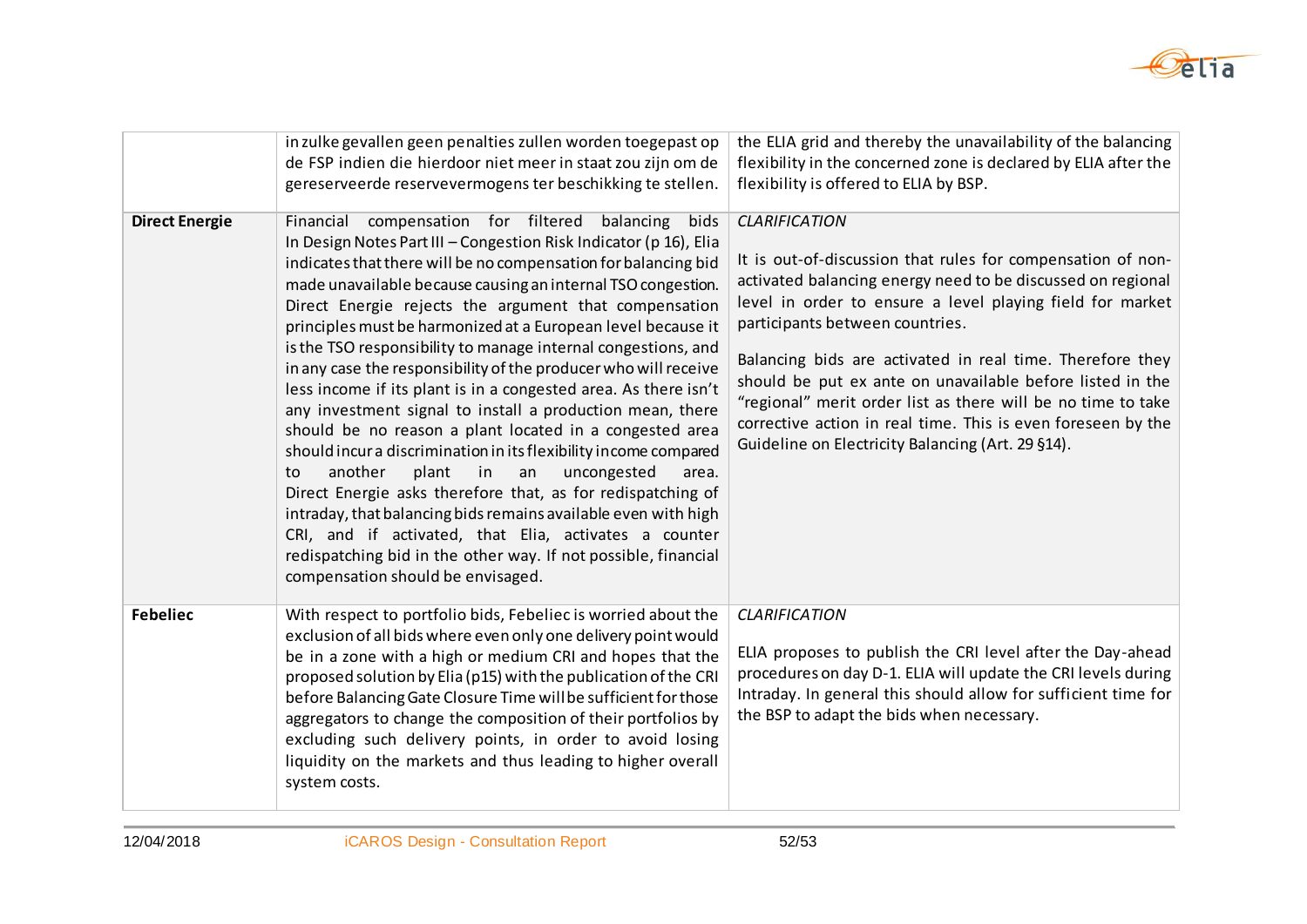

|                       | in zulke gevallen geen penalties zullen worden toegepast op<br>de FSP indien die hierdoor niet meer in staat zou zijn om de<br>gereserveerde reservevermogens ter beschikking te stellen.                                                                                                                                                                                                                                                                                                                                                                                                                                                                                                                                                                                                                                                                                                                                                                                                                                                                                                                                                               | the ELIA grid and thereby the unavailability of the balancing<br>flexibility in the concerned zone is declared by ELIA after the<br>flexibility is offered to ELIA by BSP.                                                                                                                                                                                                                                                                                                                                                                                        |
|-----------------------|---------------------------------------------------------------------------------------------------------------------------------------------------------------------------------------------------------------------------------------------------------------------------------------------------------------------------------------------------------------------------------------------------------------------------------------------------------------------------------------------------------------------------------------------------------------------------------------------------------------------------------------------------------------------------------------------------------------------------------------------------------------------------------------------------------------------------------------------------------------------------------------------------------------------------------------------------------------------------------------------------------------------------------------------------------------------------------------------------------------------------------------------------------|-------------------------------------------------------------------------------------------------------------------------------------------------------------------------------------------------------------------------------------------------------------------------------------------------------------------------------------------------------------------------------------------------------------------------------------------------------------------------------------------------------------------------------------------------------------------|
| <b>Direct Energie</b> | Financial compensation for filtered balancing<br>bids<br>In Design Notes Part III - Congestion Risk Indicator (p 16), Elia<br>indicates that there will be no compensation for balancing bid<br>made unavailable because causing an internal TSO congestion.<br>Direct Energie rejects the argument that compensation<br>principles must be harmonized at a European level because it<br>is the TSO responsibility to manage internal congestions, and<br>in any case the responsibility of the producer who will receive<br>less income if its plant is in a congested area. As there isn't<br>any investment signal to install a production mean, there<br>should be no reason a plant located in a congested area<br>should incur a discrimination in its flexibility income compared<br>another<br>plant<br>in<br>an<br>uncongested<br>to<br>area.<br>Direct Energie asks therefore that, as for redispatching of<br>intraday, that balancing bids remains available even with high<br>CRI, and if activated, that Elia, activates a counter<br>redispatching bid in the other way. If not possible, financial<br>compensation should be envisaged. | <b>CLARIFICATION</b><br>It is out-of-discussion that rules for compensation of non-<br>activated balancing energy need to be discussed on regional<br>level in order to ensure a level playing field for market<br>participants between countries.<br>Balancing bids are activated in real time. Therefore they<br>should be put ex ante on unavailable before listed in the<br>"regional" merit order list as there will be no time to take<br>corrective action in real time. This is even foreseen by the<br>Guideline on Electricity Balancing (Art. 29 §14). |
| <b>Febeliec</b>       | With respect to portfolio bids, Febeliec is worried about the<br>exclusion of all bids where even only one delivery point would<br>be in a zone with a high or medium CRI and hopes that the<br>proposed solution by Elia (p15) with the publication of the CRI<br>before Balancing Gate Closure Time will be sufficient for those<br>aggregators to change the composition of their portfolios by<br>excluding such delivery points, in order to avoid losing<br>liquidity on the markets and thus leading to higher overall<br>system costs.                                                                                                                                                                                                                                                                                                                                                                                                                                                                                                                                                                                                          | <b>CLARIFICATION</b><br>ELIA proposes to publish the CRI level after the Day-ahead<br>procedures on day D-1. ELIA will update the CRI levels during<br>Intraday. In general this should allow for sufficient time for<br>the BSP to adapt the bids when necessary.                                                                                                                                                                                                                                                                                                |